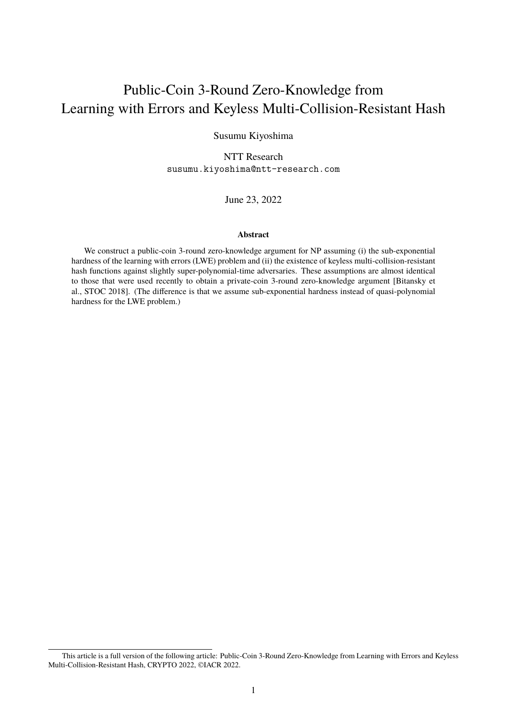# Public-Coin 3-Round Zero-Knowledge from Learning with Errors and Keyless Multi-Collision-Resistant Hash

Susumu Kiyoshima

NTT Research susumu.kiyoshima@ntt-research.com

June 23, 2022

#### **Abstract**

We construct a public-coin 3-round zero-knowledge argument for NP assuming (i) the sub-exponential hardness of the learning with errors (LWE) problem and (ii) the existence of keyless multi-collision-resistant hash functions against slightly super-polynomial-time adversaries. These assumptions are almost identical to those that were used recently to obtain a private-coin 3-round zero-knowledge argument [Bitansky et al., STOC 2018]. (The difference is that we assume sub-exponential hardness instead of quasi-polynomial hardness for the LWE problem.)

This article is a full version of the following article: Public-Coin 3-Round Zero-Knowledge from Learning with Errors and Keyless Multi-Collision-Resistant Hash, CRYPTO 2022, ©IACR 2022.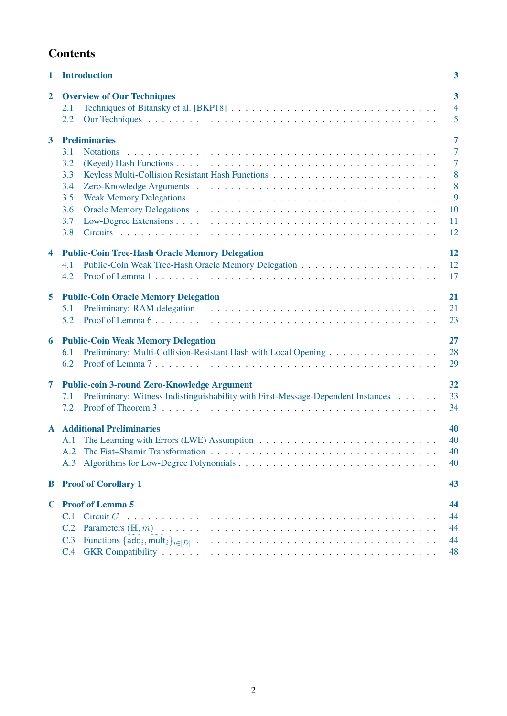# **Contents**

| $\mathbf{1}$            | <b>Introduction</b>                                                                                                                                  | 3                                                                                   |
|-------------------------|------------------------------------------------------------------------------------------------------------------------------------------------------|-------------------------------------------------------------------------------------|
| $\overline{2}$          | <b>Overview of Our Techniques</b><br>2.1<br>2.2                                                                                                      | $\boldsymbol{3}$<br>$\overline{4}$<br>5                                             |
| $\overline{\mathbf{3}}$ | <b>Preliminaries</b><br>3.1<br><b>Notations</b><br>3.2<br>3.3<br>3.4<br>3.5<br>3.6<br>3.7<br>3.8                                                     | $\overline{7}$<br>$\overline{7}$<br>$\overline{7}$<br>8<br>8<br>9<br>10<br>11<br>12 |
| 4                       | <b>Public-Coin Tree-Hash Oracle Memory Delegation</b><br>4.1<br>4.2                                                                                  | 12<br>12<br>17                                                                      |
| 5                       | <b>Public-Coin Oracle Memory Delegation</b><br>5.1<br>5.2                                                                                            | 21<br>21<br>23                                                                      |
| 6                       | <b>Public-Coin Weak Memory Delegation</b><br>Preliminary: Multi-Collision-Resistant Hash with Local Opening<br>6.1<br>6.2                            | 27<br>28<br>29                                                                      |
| 7                       | <b>Public-coin 3-round Zero-Knowledge Argument</b><br>Preliminary: Witness Indistinguishability with First-Message-Dependent Instances<br>7.1<br>7.2 | 32<br>33<br>34                                                                      |
| $\mathbf{A}$            | <b>Additional Preliminaries</b><br>A.3                                                                                                               | 40<br>40<br>40<br>40                                                                |
| B                       | <b>Proof of Corollary 1</b>                                                                                                                          | 43                                                                                  |
|                         | C Proof of Lemma 5<br>Circuit $C$<br>C.1<br>C.2<br>C.3<br>C.4                                                                                        | 44<br>44<br>44<br>44<br>48                                                          |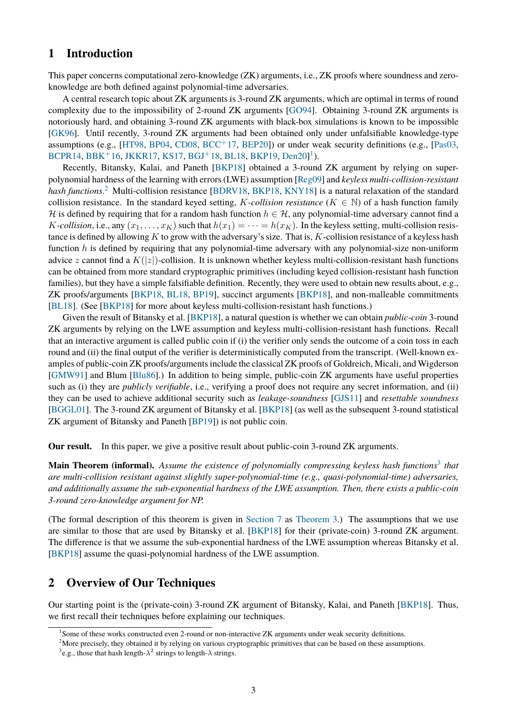# **1 Introduction**

This paper concerns computational zero-knowledge (ZK) arguments, i.e., ZK proofs where soundness and zeroknowledge are both defined against polynomial-time adversaries.

<span id="page-2-0"></span>A central research topic about ZK arguments is 3-round ZK arguments, which are optimal in terms of round complexity due to the impossibility of 2-round ZK arguments [GO94]. Obtaining 3-round ZK arguments is notoriously hard, and obtaining 3-round ZK arguments with black-box simulations is known to be impossible [GK96]. Until recently, 3-round ZK arguments had been obtained only under unfalsifiable knowledge-type assumptions (e.g., [HT98, BP04, CD08, BCC+17, BEP20]) or under weak security definitions (e.g., [Pas03, BCPR14, BBK<sup>+</sup>16, JKKR17, KS17, BGJ<sup>+</sup>18, BL18, BKP19, D[en20\]](#page-37-0)<sup>1</sup>).

Recently, Bitansky, Kalai, and Paneth [BKP18] obtained a 3-round ZK argument by relying on super[polynom](#page-37-1)ial hardness of the learning with errors (LW[E\) assum](#page-36-2)ption [Reg09] and *keyless multi-collision-resistant hash functions*. <sup>2</sup> M[ulti-co](#page-38-0)l[lision](#page-36-0) r[esistan](#page-37-2)[ce \[BDRV](#page-36-1)18, BKP18, KNY1[8](#page-2-2)] is a natural relaxation of the st[andard](#page-39-4) [collision](#page-36-3) [resistance.](#page-36-4) [In the sta](#page-38-1)[ndard](#page-38-2) [keyed set](#page-36-5)t[ing,](#page-36-6) *K*[-collisio](#page-36-7)[n resista](#page-37-3)nce  $(K \in \mathbb{N})$  of a hash function family *H* is defined by requiring that for a random [hash func](#page-36-8)tion  $h \in H$ , any polynomial-time adversary cannot find a *K*-collision, i.[e.,](#page-2-3) any  $(x_1, \ldots, x_K)$  such that  $h(x_1) = \cdots = h(x_K)$ [. In the](#page-39-5) keyless setting, multi-collision resistance is defined by allowing *K* to grow with t[he adversa](#page-36-9)[ry's size](#page-36-8). [That is,](#page-38-3) *K*-collision resistance of a keyless hash function *h* is defined by requiring that any polynomial-time adversary with any polynomial-size non-uniform advice *z* cannot find a  $K(|z|)$ -collision. It is unknown whether keyless multi-collision-resistant hash functions can be obtained from more standard cryptographic primitives (including keyed collision-resistant hash function families), but they have a simple falsifiable definition. Recently, they were used to obtain new results about, e.g., ZK proofs/arguments [BKP18, BL18, BP19], succinct arguments [BKP18], and non-malleable commitments [BL18]. (See [BKP18] for more about keyless multi-collision-resistant hash functions.)

Given the result of Bitansky et al. [BKP18], a natural question is whether we can obtain *public-coin* 3-round ZK arguments by relying on the LWE assumption and keyless multi-collision-resistant hash functions. Recall that an interactive argu[ment is](#page-36-8) c[alled p](#page-36-6)[ublic c](#page-36-10)oin if (i) the verifier o[nly send](#page-36-8)s the outcome of a coin toss in each [round a](#page-36-6)nd (ii) [the final](#page-36-8) output of the verifier is deterministically computed from the transcript. (Well-known examples of public-coin ZK proofs/argu[ments inc](#page-36-8)lude the classical ZK proofs of Goldreich, Micali, and Wigderson [GMW91] and Blum [Blu86].) In addition to being simple, public-coin ZK arguments have useful properties such as (i) they are *publicly verifiable*, i.e., verifying a proof does not require any secret information, and (ii) they can be used to achieve additional security such as *leakage-soundness* [GJS11] and *resettable soundness* [BGGL01]. The 3-round ZK argument of Bitansky et al. [BKP18] (as well as the subsequent 3-round statistical [ZK argum](#page-37-4)ent of Bitan[sky and](#page-36-11) Paneth [BP19]) is not public coin.

**[Our resul](#page-36-12)t.** In this paper, we give a positive result abou[t public](#page-36-8)-coin 3-rou[nd ZK a](#page-37-5)rguments.

**Main Theorem (informal).** Assume [the ex](#page-36-10)istence of polynomially compressing keyless hash functions<sup>3</sup> that *are multi-collision resistant against slightly super-polynomial-time (e.g., quasi-polynomial-time) adversaries, and additionally assume the sub-exponential hardness of the LWE assumption. Then, there exists a public-coin 3-round zero-knowledge argument for NP.*

(The formal description of this theorem is given in Section 7 as Theorem 3.) The assumptions that we use are similar to those that are used by Bitansky et al. [BKP18] for their (private-coin) 3-round ZK argument. The difference is that we assume the sub-exponential hardness of the LWE assumption whereas Bitansky et al. [BKP18] assume the quasi-polynomial hardness of t[he LWE as](#page-31-0)su[mption.](#page-31-1)

# **2 Overview of Our Techniques**

<span id="page-2-1"></span>[Our star](#page-36-8)ting point is the (private-coin) 3-round ZK argument of Bitansky, Kalai, and Paneth [BKP18]. Thus, we first recall their techniques before explaining our techniques.

<sup>&</sup>lt;sup>1</sup>Some of these works constructed even 2-round or non-interactive ZK arguments under weak security definitions.

<sup>&</sup>lt;sup>2</sup>More precisely, they obtained it by relying on various cryptographic primitives that can be based on these assu[mptions.](#page-36-8)

<span id="page-2-3"></span><span id="page-2-2"></span><sup>&</sup>lt;sup>3</sup>e.g., those that hash length- $\lambda^2$  strings to length- $\lambda$  strings.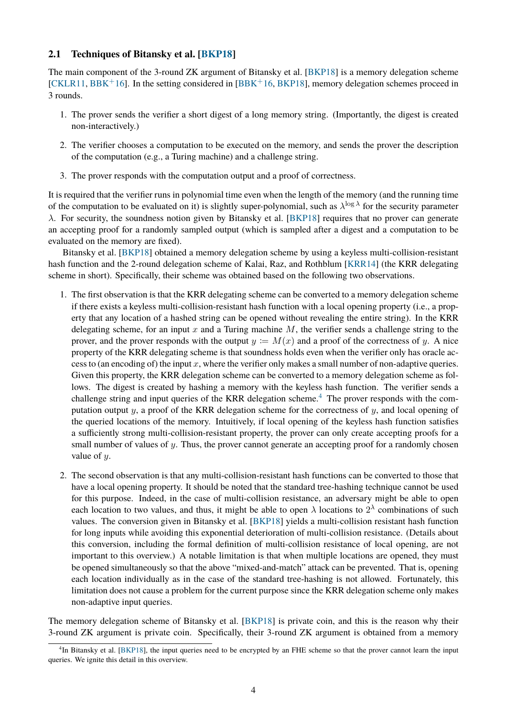#### **2.1 Techniques of Bitansky et al. [BKP18]**

<span id="page-3-0"></span>The main component of the 3-round ZK argument of Bitansky et al. [BKP18] is a memory delegation scheme [CKLR11, BBK<sup>+</sup>16]. In the setting cons[idered in](#page-36-8) [BBK<sup>+</sup>16, BKP18], memory delegation schemes proceed in 3 rounds.

- 1. The prover sends the verifier a short digest of a long memory [string. \(](#page-36-8)Importantly, the digest is created [non](#page-37-6)-[interactive](#page-36-4)ly.)
- 2. The verifier chooses a computation to be executed on the memory, and sends the prover the description of the computation (e.g., a Turing machine) and a challenge string.
- 3. The prover responds with the computation output and a proof of correctness.

It is required that the verifier runs in polynomial time even when the length of the memory (and the running time of the computation to be evaluated on it) is slightly super-polynomial, such as  $\lambda^{\log \lambda}$  for the security parameter *λ*. For security, the soundness notion given by Bitansky et al. [BKP18] requires that no prover can generate an accepting proof for a randomly sampled output (which is sampled after a digest and a computation to be evaluated on the memory are fixed).

Bitansky et al. [BKP18] obtained a memory delegation scheme by using a keyless multi-collision-resistant hash function and the 2-round delegation scheme of Kalai, Raz, [and Rot](#page-36-8)hblum [KRR14] (the KRR delegating scheme in short). Specifically, their scheme was obtained based on the following two observations.

- 1. The first obse[rvation](#page-36-8) is that the KRR delegating scheme can be converted to a memory delegation scheme if there exists a keyless multi-collision-resistant hash function with a local [opening](#page-38-4) property (i.e., a property that any location of a hashed string can be opened without revealing the entire string). In the KRR delegating scheme, for an input *x* and a Turing machine *M*, the verifier sends a challenge string to the prover, and the prover responds with the output  $y := M(x)$  and a proof of the correctness of *y*. A nice property of the KRR delegating scheme is that soundness holds even when the verifier only has oracle access to (an encoding of) the input *x*, where the verifier only makes a small number of non-adaptive queries. Given this property, the KRR delegation scheme can be converted to a memory delegation scheme as follows. The digest is created by hashing a memory with the keyless hash function. The verifier sends a challenge string and input queries of the KRR delegation scheme.<sup>4</sup> The prover responds with the computation output *y*, a proof of the KRR delegation scheme for the correctness of *y*, and local opening of the queried locations of the memory. Intuitively, if local opening of the keyless hash function satisfies a sufficiently strong multi-collision-resistant property, the prover [ca](#page-3-1)n only create accepting proofs for a small number of values of *y*. Thus, the prover cannot generate an accepting proof for a randomly chosen value of *y*.
- 2. The second observation is that any multi-collision-resistant hash functions can be converted to those that have a local opening property. It should be noted that the standard tree-hashing technique cannot be used for this purpose. Indeed, in the case of multi-collision resistance, an adversary might be able to open each location to two values, and thus, it might be able to open  $\lambda$  locations to  $2^{\lambda}$  combinations of such values. The conversion given in Bitansky et al. [BKP18] yields a multi-collision resistant hash function for long inputs while avoiding this exponential deterioration of multi-collision resistance. (Details about this conversion, including the formal definition of multi-collision resistance of local opening, are not important to this overview.) A notable limitation is that when multiple locations are opened, they must be opened simultaneously so that the above "mix[ed-and-m](#page-36-8)atch" attack can be prevented. That is, opening each location individually as in the case of the standard tree-hashing is not allowed. Fortunately, this limitation does not cause a problem for the current purpose since the KRR delegation scheme only makes non-adaptive input queries.

The memory delegation scheme of Bitansky et al. [BKP18] is private coin, and this is the reason why their 3-round ZK argument is private coin. Specifically, their 3-round ZK argument is obtained from a memory

<span id="page-3-1"></span><sup>&</sup>lt;sup>4</sup>In Bitansky et al. [BKP18], the input queries need to be encrypted by an FHE scheme so that the prover cannot learn the input queries. We ignite this detail in this overview.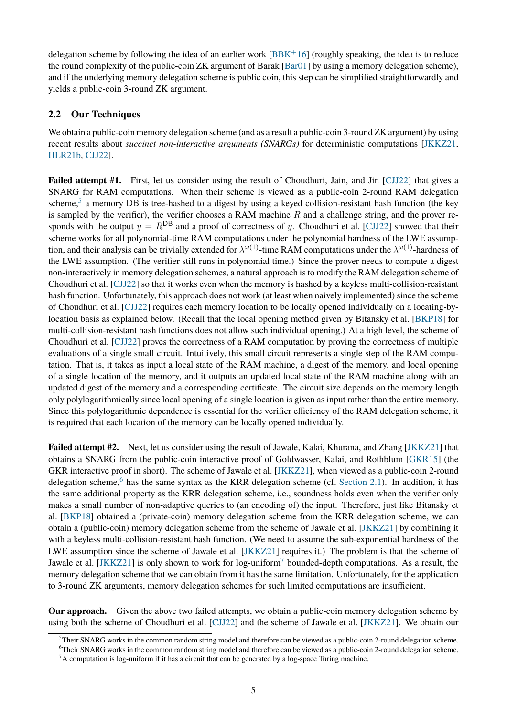delegation scheme by following the idea of an earlier work  $[B B K<sup>+</sup>16]$  (roughly speaking, the idea is to reduce the round complexity of the public-coin ZK argument of Barak [Bar01] by using a memory delegation scheme), and if the underlying memory delegation scheme is public coin, this step can be simplified straightforwardly and yields a public-coin 3-round ZK argument.

# **2.2 Our Techniques**

<span id="page-4-0"></span>We obtain a public-coin memory delegation scheme (and as a result a public-coin 3-round ZK argument) by using recent results about *succinct non-interactive arguments (SNARGs)* for deterministic computations [JKKZ21, HLR21b, CJJ22].

**Failed attempt #1.** First, let us consider using the result of Choudhuri, Jain, and Jin [CJJ22] th[at gives a](#page-38-5) [SNARG](#page-38-6) [for RA](#page-37-7)M computations. When their scheme is viewed as a public-coin 2-round RAM delegation scheme,<sup>5</sup> a memory DB is tree-hashed to a digest by using a keyed collision-resistant hash function (the key is sampled by the verifier), the verifier chooses a RAM machine *R* and a challenge string, and the prover responds with the output  $y = R^{DB}$  and a proof of correctness of *y*. Choudhuri et al. [CJJ2[2\] show](#page-37-7)ed that their scheme [w](#page-4-1)orks for all polynomial-time RAM computations under the polynomial hardness of the LWE assumption, and their analysis can be trivially extended for  $\lambda^{\omega(1)}$ -time RAM computations under the  $\lambda^{\omega(1)}$ -hardness of the LWE assumption. (The verifier still runs in polynomial time.) Since the prover needs to compute a digest non-interactively in memory delegation schemes, a natural approach is to modify the R[AM de](#page-37-7)legation scheme of Choudhuri et al. [CJJ22] so that it works even when the memory is hashed by a keyless multi-collision-resistant hash function. Unfortunately, this approach does not work (at least when naively implemented) since the scheme of Choudhuri et al. [CJJ22] requires each memory location to be locally opened individually on a locating-bylocation basis as explained below. (Recall that the local opening method given by Bitansky et al. [BKP18] for multi-collision-r[esistant](#page-37-7) hash functions does not allow such individual opening.) At a high level, the scheme of Choudhuri et al. [CJJ22] proves the correctness of a RAM computation by proving the correctness of multiple evaluations of a sin[gle sma](#page-37-7)ll circuit. Intuitively, this small circuit represents a single step of the RAM computation. That is, it takes as input a local state of the RAM machine, a digest of the memory, and lo[cal open](#page-36-8)ing of a single location of the memory, and it outputs an updated local state of the RAM machine along with an updated digest of [the me](#page-37-7)mory and a corresponding certificate. The circuit size depends on the memory length only polylogarithmically since local opening of a single location is given as input rather than the entire memory. Since this polylogarithmic dependence is essential for the verifier efficiency of the RAM delegation scheme, it is required that each location of the memory can be locally opened individually.

**Failed attempt #2.** Next, let us consider using the result of Jawale, Kalai, Khurana, and Zhang [JKKZ21] that obtains a SNARG from the public-coin interactive proof of Goldwasser, Kalai, and Rothblum [GKR15] (the GKR interactive proof in short). The scheme of Jawale et al. [JKKZ21], when viewed as a public-coin 2-round delegation scheme,<sup>6</sup> has the same syntax as the KRR delegation scheme (cf. Section 2.1). In addition, it has the same additional property as the KRR delegation scheme, i.e., soundness holds even when th[e verifier](#page-38-5) only makes a small number of non-adaptive queries to (an encoding of) the input. Therefore, just lik[e Bitans](#page-37-8)ky et al. [BKP18] obtai[ne](#page-4-2)d a (private-coin) memory delegation sc[heme fro](#page-38-5)m the KRR delegation scheme, we can obtain a (public-coin) memory delegation scheme from the scheme of Jawale [et al. \[JKKZ](#page-3-0)21] by combining it with a keyless multi-collision-resistant hash function. (We need to assume the sub-exponential hardness of the LWE assumption since the scheme of Jawale et al. [JKKZ21] requires it.) The problem is that the scheme of Jaw[ale et al](#page-36-8). [JKKZ21] is only shown to work for log-uniform<sup>7</sup> bounded-depth computations. As a result, the memory delegation scheme that we can obtain from it has the same limitation. Unfort[unately, f](#page-38-5)or the application to 3-round ZK arguments, memory delegation sche[mes for su](#page-38-5)ch limited computations are insufficient.

**Our approach.** [Give](#page-38-5)n the above two f[ai](#page-4-3)led attempts, we obtain a public-coin memory delegation scheme by using both the scheme of Choudhuri et al. [CJJ22] and the scheme of Jawale et al. [JKKZ21]. We obtain our

<sup>&</sup>lt;sup>5</sup>Their SNARG works in the common random string model and therefore can be viewed as a public-coin 2-round delegation scheme.

<span id="page-4-3"></span><span id="page-4-2"></span><span id="page-4-1"></span><sup>&</sup>lt;sup>6</sup>Their SNARG works in the common random string model and therefore can be viewed as a public-coin 2-round delegation scheme.  $A^7$ A computation is log-uniform if it has a circuit t[hat can b](#page-37-7)e generated by a log-space Turing machin[e.](#page-38-5)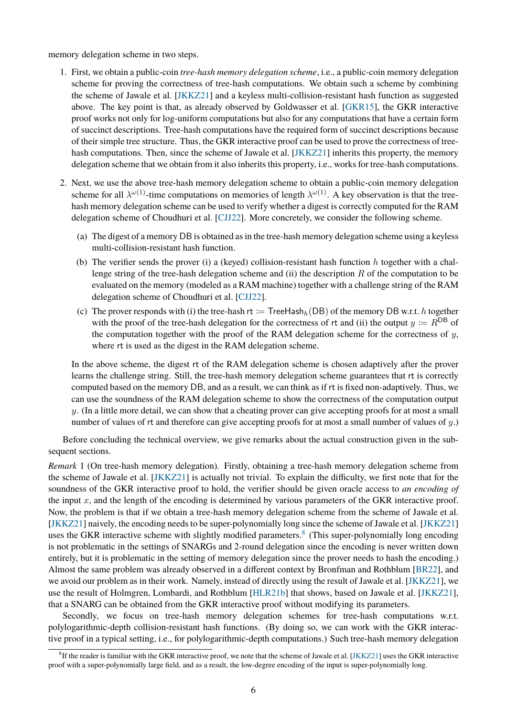memory delegation scheme in two steps.

- 1. First, we obtain a public-coin *tree-hash memory delegation scheme*, i.e., a public-coin memory delegation scheme for proving the correctness of tree-hash computations. We obtain such a scheme by combining the scheme of Jawale et al. [JKKZ21] and a keyless multi-collision-resistant hash function as suggested above. The key point is that, as already observed by Goldwasser et al. [GKR15], the GKR interactive proof works not only for log-uniform computations but also for any computations that have a certain form of succinct descriptions. Tree-hash computations have the required form of succinct descriptions because of their simple tree structure. [Thus, th](#page-38-5)e GKR interactive proof can be used to prove the correctness of treehash computations. Then, since the scheme of Jawale et al. [JKKZ21] inh[erits this](#page-37-8) property, the memory delegation scheme that we obtain from it also inherits this property, i.e., works for tree-hash computations.
- 2. Next, we use the above tree-hash memory delegation scheme to obtain a public-coin memory delegation scheme for all  $\lambda^{\omega(1)}$ -time computations on memories of len[gth](#page-38-5)  $\lambda^{\omega(1)}$ . A key observation is that the treehash memory delegation scheme can be used to verify whether a digest is correctly computed for the RAM delegation scheme of Choudhuri et al. [CJJ22]. More concretely, we consider the following scheme.
	- (a) The digest of a memory DB is obtained as in the tree-hash memory delegation scheme using a keyless multi-collision-resistant hash function.
	- (b) The verifier sends the prover (i) a [\(keyed](#page-37-7)) collision-resistant hash function *h* together with a challenge string of the tree-hash delegation scheme and (ii) the description *R* of the computation to be evaluated on the memory (modeled as a RAM machine) together with a challenge string of the RAM delegation scheme of Choudhuri et al. [CJJ22].
	- (c) The prover responds with (i) the tree-hash  $rt :=$ TreeHash<sub>*h*</sub>(DB) of the memory DB w.r.t. *h* together with the proof of the tree-hash delegation for the correctness of rt and (ii) the output  $y := R^{DB}$  of the computation together with the pro[of of th](#page-37-7)e RAM delegation scheme for the correctness of *y*, where rt is used as the digest in the RAM delegation scheme.

In the above scheme, the digest rt of the RAM delegation scheme is chosen adaptively after the prover learns the challenge string. Still, the tree-hash memory delegation scheme guarantees that rt is correctly computed based on the memory DB, and as a result, we can think as if rt is fixed non-adaptively. Thus, we can use the soundness of the RAM delegation scheme to show the correctness of the computation output *y*. (In a little more detail, we can show that a cheating prover can give accepting proofs for at most a small number of values of rt and therefore can give accepting proofs for at most a small number of values of *y*.)

Before concluding the technical overview, we give remarks about the actual construction given in the subsequent sections.

*Remark* 1 (On tree-hash memory delegation)*.* Firstly, obtaining a tree-hash memory delegation scheme from the scheme of Jawale et al. [JKKZ21] is actually not trivial. To explain the difficulty, we first note that for the soundness of the GKR interactive proof to hold, the verifier should be given oracle access to *an encoding of* the input *x*, and the length of the encoding is determined by various parameters of the GKR interactive proof. Now, the problem is that if we obtain a tree-hash memory delegation scheme from the scheme of Jawale et al. [JKKZ21] naively, the encod[ing needs](#page-38-5) to be super-polynomially long since the scheme of Jawale et al. [JKKZ21] uses the GKR interactive scheme with slightly modified parameters.<sup>8</sup> (This super-polynomially long encoding is not problematic in the settings of SNARGs and 2-round delegation since the encoding is never written down entirely, but it is problematic in the setting of memory delegation since the prover needs to hash the encoding.) [Almost th](#page-38-5)e same problem was already observed in a different conte[xt](#page-5-0) by Bronfman and Rothblum [B[R22\], and](#page-38-5) we avoid our problem as in their work. Namely, instead of directly using the result of Jawale et al. [JKKZ21], we use the result of Holmgren, Lombardi, and Rothblum [HLR21b] that shows, based on Jawale et al. [JKKZ21], that a SNARG can be obtained from the GKR interactive proof without modifying its parameters.

Secondly, we focus on tree-hash memory delegation schemes for tree-hash comput[ations](#page-37-9) w.r.t. polylogarithmic-depth collision-resistant hash functions. (By doing so, we can work with the [GKR inte](#page-38-5)ractive proof in a typical setting, i.e., for polylogarithmic-[depth com](#page-38-6)putations.) Such tree-hash memory [delegatio](#page-38-5)n

<span id="page-5-0"></span> ${}^{8}$  If the reader is familiar with the GKR interactive proof, we note that the scheme of Jawale et al. [JKKZ21] uses the GKR interactive proof with a super-polynomially large field, and as a result, the low-degree encoding of the input is super-polynomially long.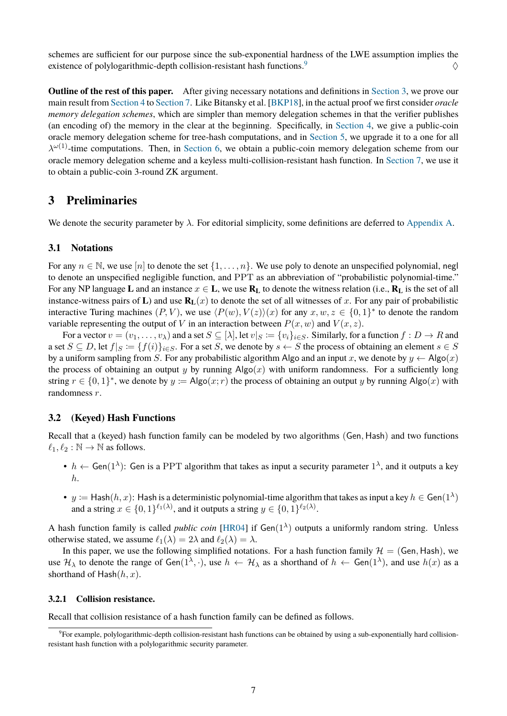schemes are sufficient for our purpose since the sub-exponential hardness of the LWE assumption implies the existence of polylogarithmic-depth collision-resistant hash functions.<sup>9</sup>  $\diamond$ 

**Outline of the rest of this paper.** After giving necessary notations and definitions in Section 3, we prove our main result from Section 4 to Section 7. Like Bitansky et al. [BKP18], [i](#page-6-3)n the actual proof we first consider *oracle memory delegation schemes*, which are simpler than memory delegation schemes in that the verifier publishes (an encoding of) the memory in the clear at the beginning. Specifically, in Section 4, we give a public-coin oracle memory delegation scheme for tree-hash computations, and in Section 5, we u[pgrade it to](#page-6-0) a one for all *λ <sup>ω</sup>*(1)-time com[putations.](#page-11-1) T[hen, in](#page-31-0) Section 6, we obtain a [public-](#page-36-8)coin memory delegation scheme from our oracle memory delegation scheme and a keyless multi-collision-resistant has[h function.](#page-11-1) In Section 7, we use it to obtain a public-coin 3-round ZK argument.

# **3 Preliminaries**

We denote the security parameter by *λ*. For editorial simplicity, some definitions are deferred to Appendix A.

#### <span id="page-6-0"></span>**3.1 Notations**

<span id="page-6-1"></span>For any  $n \in \mathbb{N}$ , we use [*n*] to denote the set  $\{1, \ldots, n\}$ . We use poly to denote an unspecified po[lynomial,](#page-39-0) negl to denote an unspecified negligible function, and PPT as an abbreviation of "probabilistic polynomial-time." For any NP language **L** and an instance  $x \in L$ , we use  $R_L$  to denote the witness relation (i.e.,  $R_L$  is the set of all instance-witness pairs of **L**) and use  $\mathbf{R}_{\text{L}}(x)$  to denote the set of all witnesses of x. For any pair of probabilistic interactive Turing machines  $(P, V)$ , we use  $\langle P(w), V(z) \rangle (x)$  for any  $x, w, z \in \{0, 1\}^*$  to denote the random variable representing the output of *V* in an interaction between  $P(x, w)$  and  $V(x, z)$ .

For a vector  $v = (v_1, \ldots, v_\lambda)$  and a set  $S \subseteq [\lambda]$ , let  $v|_S := \{v_i\}_{i \in S}$ . Similarly, for a function  $f : D \to R$  and a set  $S \subseteq D$ , let  $f|_S := \{f(i)\}_{i \in S}$ . For a set S, we denote by  $s \leftarrow S$  the process of obtaining an element  $s \in S$ by a uniform sampling from *S*. For any probabilistic algorithm Algo and an input *x*, we denote by  $y \leftarrow$  Algo $(x)$ the process of obtaining an output *y* by running  $\text{Algo}(x)$  with uniform randomness. For a sufficiently long string  $r \in \{0,1\}^*$ , we denote by  $y := \text{Also}(x; r)$  the process of obtaining an output *y* by running Algo(*x*) with randomness *r*.

#### **3.2 (Keyed) Hash Functions**

Recall that a (keyed) hash function family can be modeled by two algorithms (Gen*,* Hash) and two functions  $\ell_1, \ell_2 : \mathbb{N} \to \mathbb{N}$  as follows.

- <span id="page-6-2"></span>•  $h \leftarrow$  Gen(1<sup> $\lambda$ </sup>): Gen is a PPT algorithm that takes as input a security parameter 1<sup> $\lambda$ </sup>, and it outputs a key *h*.
- $y \coloneqq$  Hash $(h, x)$ : Hash is a deterministic polynomial-time algorithm that takes as input a key  $h \in \mathsf{Gen}(1^\lambda)$ and a string  $x \in \{0,1\}^{\ell_1(\lambda)}$ , and it outputs a string  $y \in \{0,1\}^{\ell_2(\lambda)}$ .

A hash function family is called *public coin* [HR04] if  $Gen(1^{\lambda})$  outputs a uniformly random string. Unless otherwise stated, we assume  $\ell_1(\lambda) = 2\lambda$  and  $\ell_2(\lambda) = \lambda$ .

In this paper, we use the following simplified notations. For a hash function family  $H = (Gen, Hash)$ , we use  $H_\lambda$  to denote the range of Gen( $1^\lambda$ , $\cdot$ ), use  $h \leftarrow H_\lambda$  as a shorthand of  $h \leftarrow$  Gen( $1^\lambda$ ), and use  $h(x)$  as a shorthand of Hash(*h, x*).

#### **3.2.1 Collision resistance.**

Recall that collision resistance of a hash function family can be defined as follows.

<span id="page-6-4"></span><span id="page-6-3"></span><sup>&</sup>lt;sup>9</sup> For example, polylogarithmic-depth collision-resistant hash functions can be obtained by using a sub-exponentially hard collisionresistant hash function with a polylogarithmic security parameter.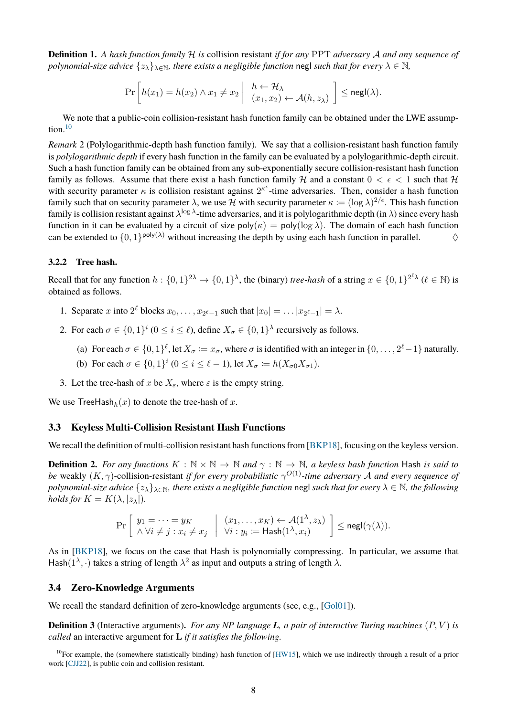**Definition 1.** *A hash function family H is* collision resistant *if for any* PPT *adversary A and any sequence of polynomial-size advice*  $\{z_\lambda\}_{\lambda \in \mathbb{N}}$ *, there exists a negligible function* negl *such that for every*  $\lambda \in \mathbb{N}$ *,* r fun<br>ce {<br>Pr [ r

$$
\Pr\left[h(x_1) = h(x_2) \land x_1 \neq x_2 \middle| \begin{array}{c} h \leftarrow \mathcal{H}_{\lambda} \\ (x_1, x_2) \leftarrow \mathcal{A}(h, z_{\lambda}) \end{array} \right] \leq \mathsf{negl}(\lambda).
$$

We note that a public-coin collision-resistant hash function family can be obtained under the LWE assumption. $10$ 

<span id="page-7-3"></span>*Remark* 2 (Polylogarithmic-depth hash function family)*.* We say that a collision-resistant hash function family is *polylogarithmic depth* if every hash function in the family can be evaluated by a polylogarithmic-depth circuit. Suc[h a](#page-7-2) hash function family can be obtained from any sub-exponentially secure collision-resistant hash function family as follows. Assume that there exist a hash function family *H* and a constant  $0 < \epsilon < 1$  such that *H* with security parameter  $\kappa$  is collision resistant against  $2^{\kappa^{\epsilon}}$ -time adversaries. Then, consider a hash function family such that on security parameter  $\lambda$ , we use  $\cal H$  with security parameter  $\kappa := (\log \lambda)^{2/\epsilon}$ . This hash function family is collision resistant against *λ* log *λ* -time adversaries, and it is polylogarithmic depth (in *λ*) since every hash function in it can be evaluated by a circuit of size  $poly(\kappa) = poly(log \lambda)$ . The domain of each hash function can be extended to  $\{0,1\}^{\text{poly}(\lambda)}$  without increasing the depth by using each hash function in parallel.  $\diamondsuit$ 

#### **3.2.2 Tree hash.**

Recall that for any function  $h: \{0,1\}^{2\lambda} \to \{0,1\}^{\lambda}$ , the (binary) tree-hash of a string  $x \in \{0,1\}^{2^{\ell} \lambda}$  ( $\ell \in \mathbb{N}$ ) is obtained as follows.

- 1. Separate *x* into  $2^{\ell}$  blocks  $x_0, \ldots, x_{2^{\ell}-1}$  such that  $|x_0| = \ldots |x_{2^{\ell}-1}| = \lambda$ .
- 2. For each  $\sigma \in \{0,1\}^i$  ( $0 \le i \le \ell$ ), define  $X_{\sigma} \in \{0,1\}^{\lambda}$  recursively as follows.
	- (a) For each  $\sigma \in \{0,1\}^{\ell}$ , let  $X_{\sigma} := x_{\sigma}$ , where  $\sigma$  is identified with an integer in  $\{0,\ldots,2^{\ell}-1\}$  naturally.
	- (b) For each  $\sigma \in \{0, 1\}^i$  ( $0 \le i \le \ell 1$ ), let  $X_{\sigma} := h(X_{\sigma 0} X_{\sigma 1})$ .
- 3. Let the tree-hash of *x* be  $X_{\varepsilon}$ , where  $\varepsilon$  is the empty string.

We use TreeHash<sub>*h*</sub> $(x)$  to denote the tree-hash of *x*.

#### **3.3 Keyless Multi-Collision Resistant Hash Functions**

We recall the definition of multi-collision resistant hash functions from [BKP18], focusing on the keyless version.

<span id="page-7-0"></span>**Definition 2.** For any functions  $K : \mathbb{N} \times \mathbb{N} \to \mathbb{N}$  and  $\gamma : \mathbb{N} \to \mathbb{N}$ , a keyless hash function Hash is said to *be* weakly  $(K, \gamma)$ -collision-resistant *if for every probabilistic*  $\gamma^{O(1)}$ -*time adversary A and every sequence of* polynomial-size advice  $\{z_{\lambda}\}_{\lambda \in \mathbb{N}}$ , there exists a negligible function negl such that for *polynomial-size advice*  $\{z_{\lambda}\}_{\lambda \in \mathbb{N}}$ *, there exists a negligible function* negl *[such th](#page-36-8)at for every*  $\lambda \in \mathbb{N}$ *, the following holds for*  $K = K(\lambda, |z_{\lambda}|)$ *.* 

$$
\Pr\left[\begin{array}{c}y_1 = \cdots = y_K \\ \wedge \forall i \neq j: x_i \neq x_j\end{array} \middle| \begin{array}{c} (x_1, \ldots, x_K) \leftarrow \mathcal{A}(1^\lambda, z_\lambda) \\ \forall i: y_i := \mathsf{Hash}(1^\lambda, x_i)\end{array} \right] \leq \mathsf{negl}(\gamma(\lambda)).
$$

As in [BKP18], we focus on the case that Hash is polynomially compressing. In particular, we assume that Hash $(1^{\lambda}, \cdot)$  takes a string of length  $\lambda^2$  as input and outputs a string of length  $\lambda$ .

#### **3.4 [Zero-K](#page-36-8)nowledge Arguments**

We recall the standard definition of zero-knowledge arguments (see, e.g., [Gol01]).

<span id="page-7-1"></span>**Definition 3** (Interactive arguments)**.** *For any NP language L, a pair of interactive Turing machines* (*P, V* ) *is called* an interactive argument for **L** *if it satisfies the following.*

<span id="page-7-2"></span> $^{10}$ For example, the (somewhere statistically binding) hash function of [HW15], which [we use i](#page-37-10)ndirectly through a result of a prior work [CJJ22], is public coin and collision resistant.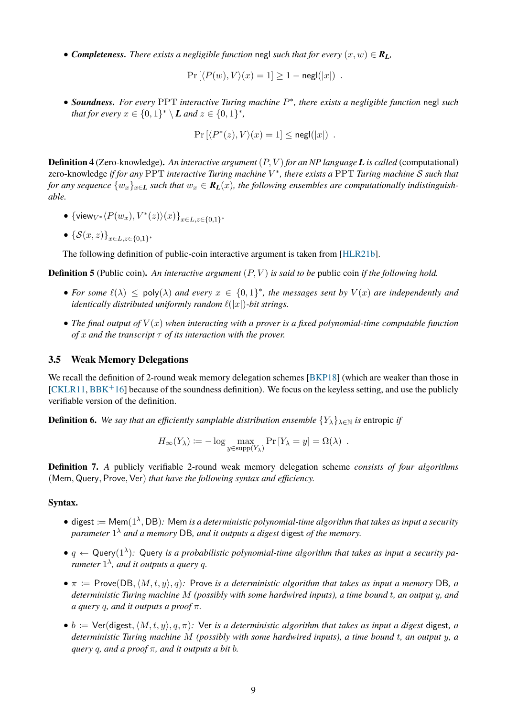• *Completeness. There exists a negligible function negl such that for every* $(x, w) \in R_L$ *,* 

$$
\Pr\left[\langle P(w), V\rangle(x) = 1\right] \ge 1 - \mathsf{negl}(|x|) .
$$

*• Soundness. For every* PPT *interactive Turing machine P ∗ , there exists a negligible function* negl *such that for every*  $x \in \{0,1\}^* \setminus L$  *and*  $z \in \{0,1\}^*$ ,

$$
\Pr\left[\langle P^*(z), V\rangle(x) = 1\right] \le \mathsf{negl}(|x|) .
$$

**Definition 4** (Zero-knowledge)**.** *An interactive argument* (*P, V* ) *for an NP language L is called* (computational) zero-knowledge *if for any* PPT *interactive Turing machine V ∗ , there exists a* PPT *Turing machine S such that for any sequence*  $\{w_x\}_{x\in L}$  *such that*  $w_x \in \mathbf{R}_L(x)$ *, the following ensembles are computationally indistinguishable.*

- *• {*view*<sup>V</sup> <sup>∗</sup> ⟨P*(*wx*)*, V <sup>∗</sup>* (*z*)*⟩*(*x*)*}x∈L,z∈{*0*,*1*} ∗*
- *• {S*(*x, z*)*}x∈L,z∈{*0*,*1*} ∗*

The following definition of public-coin interactive argument is taken from [HLR21b].

**Definition 5** (Public coin)**.** *An interactive argument* (*P, V* ) *is said to be* public coin *if the following hold.*

- For some  $\ell(\lambda) \leq \text{poly}(\lambda)$  and every  $x \in \{0,1\}^*$ , the messages sent by  $V(x)$  $V(x)$  are independently and *identically distributed uniformly random*  $\ell(|x|)$ *-bit strings.*
- *• The final output of V* (*x*) *when interacting with a prover is a fixed polynomial-time computable function of x and the transcript τ of its interaction with the prover.*

#### **3.5 Weak Memory Delegations**

<span id="page-8-0"></span>We recall the definition of 2-round weak memory delegation schemes [BKP18] (which are weaker than those in  $[CKLR11, BBK<sup>+</sup>16]$  because of the soundness definition). We focus on the keyless setting, and use the publicly verifiable version of the definition.

**Definition 6.** We say that an efficiently sampla[ble](#page-36-8) distribution ensemble  $\{Y_\lambda\}_{\lambda \in \mathbb{N}}$  is entropic *if* 

$$
H_{\infty}(Y_{\lambda}) \coloneqq -\log \max_{y \in \text{supp}(Y_{\lambda})} \Pr[Y_{\lambda} = y] = \Omega(\lambda) .
$$

**Definition 7.** *A* publicly verifiable 2-round weak memory delegation scheme *consists of four algorithms* (Mem*,* Query*,* Prove*,* Ver) *that have the following syntax and efficiency.*

#### <span id="page-8-1"></span>**Syntax.**

- *•* digest := Mem(1*<sup>λ</sup> ,* DB)*:* Mem *is a deterministic polynomial-time algorithm that takes as input a security parameter* 1 *<sup>λ</sup> and a memory* DB*, and it outputs a digest* digest *of the memory.*
- $\bullet$   $q \leftarrow$  Query(1<sup> $\lambda$ </sup>): Query *is a probabilistic polynomial-time algorithm that takes as input a security parameter*  $1^{\lambda}$ *, and it outputs a query q.*
- $\bullet \pi := \text{Prove}(DB, \langle M, t, y \rangle, q)$ : Prove *is a deterministic algorithm that takes as input a memory* DB, a *deterministic Turing machine M (possibly with some hardwired inputs), a time bound t, an output y, and a query q, and it outputs a proof π.*
- $b := \text{Ver}($ digest,  $\langle M, t, y \rangle, q, \pi$ )*:* Ver *is a deterministic algorithm that takes as input a digest* digest, a *deterministic Turing machine M (possibly with some hardwired inputs), a time bound t, an output y, a query q, and a proof π, and it outputs a bit b.*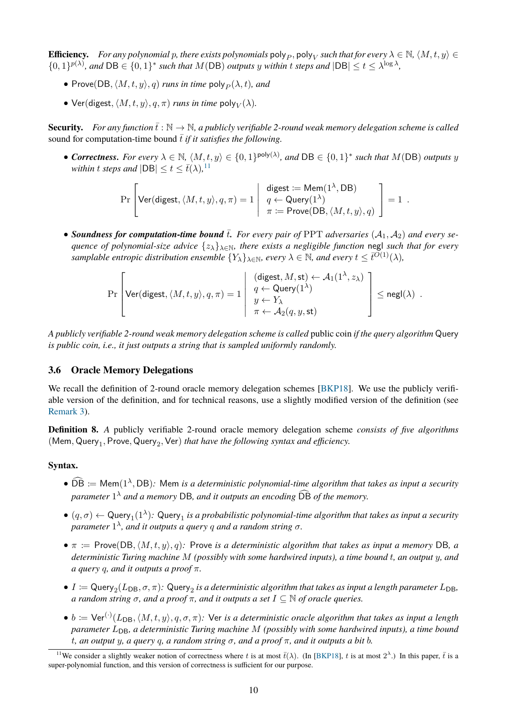**Efficiency.** For any polynomial  $p$ , there exists polynomials  $\mathsf{poly}_P$ ,  $\mathsf{poly}_V$  such that for every  $\lambda \in \mathbb{N}$ ,  $\langle M, t, y \rangle \in$  $\{0,1\}^{p(\lambda)}$ , and DB  $\in \{0,1\}^*$  such that  $M(DB)$  outputs y within t steps and  $|DB| \le t \le \lambda^{\log \lambda}$ ,

- Prove(DB,  $\langle M, t, y \rangle$ , *q*) *runs in time* poly<sub>*P*</sub>( $\lambda$ , *t*)*, and*
- $\mathsf{Ver}(\mathsf{digest}, \langle M, t, y \rangle, q, \pi)$  *runs in time*  $\mathsf{poly}_V(\lambda)$ *.*

**Security.** For any function  $\bar{t}$ :  $\mathbb{N} \to \mathbb{N}$ , a publicly verifiable 2-round weak memory delegation scheme is called sound for computation-time bound  $\bar{t}$  *if it satisfies the following.* 

• Correctness. For every  $\lambda \in \mathbb{N}, \langle M, t, y \rangle \in \{0, 1\}^{\text{poly}(\lambda)},$  and  $DB \in \{0, 1\}^*$  such that  $M(DB)$  outputs y *within t steps and*  $|DB| \le t \le \bar{t}(\lambda)$ , <sup>11</sup>

$$
\Pr\left[\mathsf{Ver}(\mathsf{digest},\langle M,t,y\rangle,q,\pi)=1\;\left|\begin{array}{c}\mathsf{digest}\coloneqq\mathsf{Mem}(1^\lambda,\mathsf{DB})\\\text{$q\leftarrow\mathsf{Query}(1^\lambda)\\\pi\coloneqq\mathsf{Prove}(\mathsf{DB},\langle M,t,y\rangle,q)\end{array}\right.\right]=1\enspace.
$$

• **Soundness for computation-time bound**  $\bar{t}$ . For every pair of PPT adversaries  $(A_1, A_2)$  and every se*guence of polynomial-size advice*  $\{z_\lambda\}_{\lambda \in \mathbb{N}}$ *, there exists a negligible function* negl *such that for every samplable entropic distribution ensemble*  ${Y_{\lambda}}_{\lambda \in \mathbb{N}}$ *, every*  $\lambda \in \mathbb{N}$ *, and every*  $t \leq t^{O(1)}(\lambda)$ *,*  $\frac{1}{t}$ 

$$
\Pr\left[\mathsf{Ver}(\mathsf{digest},\langle M,t,y\rangle,q,\pi)=1\left|\begin{array}{c}(\mathsf{digest},M,\mathsf{st})\leftarrow\mathcal{A}_1(1^\lambda,z_\lambda)\\q\leftarrow\mathsf{Query}(1^\lambda)\\y\leftarrow Y_\lambda\\\pi\leftarrow\mathcal{A}_2(q,y,\mathsf{st})\end{array}\right\}\right]\leq \mathsf{negl}(\lambda)\enspace.
$$

*A publicly verifiable 2-round weak memory delegation scheme is called* public coin *if the query algorithm* Query *is public coin, i.e., it just outputs a string that is sampled uniformly randomly.*

#### **3.6 Oracle Memory Delegations**

We recall the definition of 2-round oracle memory delegation schemes [BKP18]. We use the publicly verifiable version of the definition, and for technical reasons, use a slightly modified version of the definition (see Remark 3).

<span id="page-9-0"></span>**Definition 8.** *A* publicly verifiable 2-round oracle memory delegatio[n schem](#page-36-8)e *consists of five algorithms* (Mem, Query<sub>1</sub>, Prove, Query<sub>2</sub>, Ver) *that have the following syntax and efficiency*. *•* DB := Mem(1<sup> $\lambda$ </sup>, DB)*:* Mem *is a deterministic polynomial-time algorithm that takes as input a security*<br>
• DB := Mem(1<sup> $\lambda$ </sup>, DB)*:* Mem *is a deterministic polynomial-time algorithm that takes as input a security* 

#### <span id="page-9-2"></span>**Syntax.**

- *parameter*  $1^{\lambda}$  *and a memory* DB, *and it outputs an encoding*  $\widehat{DB}$  *of the memory. λ a a a a a deterministic polynomial-time algorithm that <i>i λ and a memory* DB*, and it outputs an encoding*  $\widehat{DB}$  *of the memory.*
- $\bullet$   $(q,\sigma) \leftarrow$  Query<sub>1</sub> $(1^{\lambda})$ : Query<sub>1</sub> is a probabilistic polynomial-time algorithm that takes as input a security *parameter* 1 *λ , and it outputs a query q and a random string σ.*
- $\bullet \pi := \text{Prove}(DB, \langle M, t, y \rangle, q)$ : Prove *is a deterministic algorithm that takes as input a memory* DB, a *deterministic Turing machine M (possibly with some hardwired inputs), a time bound t, an output y, and a query q, and it outputs a proof π.*
- $\bullet$  *I* := Query<sub>2</sub>( $L_{\text{DB}}, \sigma, \pi$ ): Query<sub>2</sub> is a deterministic algorithm that takes as input a length parameter  $L_{\text{DB}}$ , *a random string*  $\sigma$ *, and a proof*  $\pi$ *, and it outputs a set*  $I \subseteq \mathbb{N}$  *of oracle queries.*
- $\bullet$  *b* :=  $\text{Ver}^{(\cdot)}(L_{\text{DB}}, \langle M, t, y \rangle, q, \sigma, \pi)$ :  $\text{Ver }$  *is a deterministic oracle algorithm that takes as input a length parameter*  $L_{\text{DR}}$ *, a deterministic Turing machine M* (possibly with some hardwired inputs), a time bound *t, an output y, a query q, a random string σ, and a proof π, and it outputs a bit b.*

<span id="page-9-1"></span><sup>&</sup>lt;sup>11</sup>We consider a slightly weaker notion of correctness where *t* is at most  $\bar{t}(\lambda)$ . (In [BKP18], *t* is at most  $2^{\lambda}$ .) In this paper,  $\bar{t}$  is a super-polynomial function, and this version of correctness is sufficient for our purpose.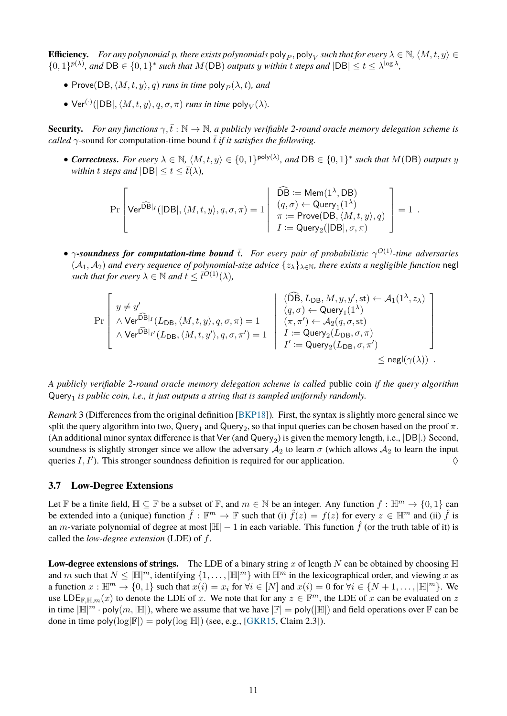**Efficiency.** For any polynomial  $p$ , there exists polynomials  $\mathsf{poly}_P$ ,  $\mathsf{poly}_V$  such that for every  $\lambda \in \mathbb{N}$ ,  $\langle M, t, y \rangle \in$  $\{0,1\}^{p(\lambda)}$ , and DB  $\in \{0,1\}^*$  such that  $M(DB)$  outputs y within t steps and  $|DB| \le t \le \lambda^{\log \lambda}$ ,

- Prove(DB,  $\langle M, t, y \rangle$ , *q*) *runs in time* poly<sub>*P*</sub>( $\lambda$ , *t*)*, and*
- $\mathsf{Ver}^{(\cdot)}(|\mathsf{DB}|, \langle M, t, y \rangle, q, \sigma, \pi)$  *runs in time*  $\mathsf{poly}_V(\lambda)$ *.*

**Security.** For any functions  $\gamma$ ,  $\bar{t}: \mathbb{N} \to \mathbb{N}$ , a publicly verifiable 2-round oracle memory delegation scheme is *called*  $\gamma$ -sound for computation-time bound  $\bar{t}$  *if it satisfies the following.* 

• Correctness. For every  $\lambda \in \mathbb{N}$ ,  $\langle M, t, y \rangle \in \{0, 1\}^{\text{poly}(\lambda)}$ , and  $DB \in \{0, 1\}^*$  such that  $M(DB)$  outputs  $y$ *within t steps and*  $|DB| \le t \le \bar{t}(\lambda)$ ,  $\mathsf{y}$  $\hat{DB}$ , and DB ∈ {0<br>  $\widehat{DB}$  := Mem(1<sup>λ</sup>  $\Lambda$ 

$$
\Pr\left[\mathsf{Ver}^{\widehat{\mathsf{DB}}|_I}(|\mathsf{DB}|,\langle M, t, y\rangle, q, \sigma, \pi) = 1 \left| \begin{array}{l}\widehat{\mathsf{DB}} \coloneqq \mathsf{Mem}(1^\lambda, \mathsf{DB})\\ (q,\sigma) \leftarrow \mathsf{Query}_1(1^\lambda)\\ \pi \coloneqq \mathsf{Prove}(\mathsf{DB},\langle M, t, y\rangle, q)\\ I \coloneqq \mathsf{Query}_2(|\mathsf{DB}|, \sigma, \pi)\end{array}\right\}\right] = 1 \enspace.
$$

**•** *γ*-soundness for computation-time bound  $\bar{t}$ . For every pair of probabilistic  $\gamma^{O(1)}$ -time adversaries  $(A_1, A_2)$  *and every sequence of polynomial-size advice*  $\{z_{\lambda}\}_{\lambda \in \mathbb{N}}$ *, there exists a negligible function* negl such that for every  $\lambda \in \mathbb{N}$  and  $t < \overline{t}^{O(1)}(1)$ *such that for every*  $\lambda \in \mathbb{N}$  *and*  $t \leq \overline{t}^{O(1)}(\lambda)$ , *y* pair of probability  $\{z_{\lambda}\}_{\lambda \in \mathbb{N}}$ , there existy  $(\widehat{\mathsf{DB}}, L_{\mathsf{DB}}, M, y, y')$  $\iota$ 

$$
\Pr\left[\begin{array}{c}y\neq y'\\ \wedge\mathsf{Ver}^{\widehat{\mathsf{DB}}|_{I}}(L_{\mathsf{DB}},\langle M, t, y\rangle,q,\sigma,\pi)=1\\\wedge\mathsf{Ver}^{\widehat{\mathsf{DB}}|_{I'}}(L_{\mathsf{DB}},\langle M, t, y\rangle,q,\sigma,\pi)=1\\\wedge\mathsf{Ver}^{\widehat{\mathsf{DB}}|_{I'}}(L_{\mathsf{DB}},\langle M, t, y'\rangle,q,\sigma,\pi')=1\\\end{array}\right]\left[\begin{array}{c}\textstyle(\widehat{\mathsf{DB}},L_{\mathsf{DB}},M,y,y',\mathsf{st})\leftarrow\mathcal{A}_{1}(1^{\lambda},z_{\lambda})\\\qquad (q,\sigma)\leftarrow\mathsf{Query}_{1}(1^{\lambda})\\\qquad (\pi,\pi')\leftarrow\mathcal{A}_{2}(q,\sigma,\mathsf{st})\\\qquad (r,\pi')\leftarrow\mathcal{A}_{2}(q,\sigma,\mathsf{st})\\\qquad I:=\mathsf{Query}_{2}(L_{\mathsf{DB}},\sigma,\pi)\\\qquad I':=\mathsf{Query}_{2}(L_{\mathsf{DB}},\sigma,\pi')\\\qquad \qquad \leq \mathsf{negl}(\gamma(\lambda))\end{array}\right].
$$

*A publicly verifiable 2-round oracle memory delegation scheme is called* public coin *if the query algorithm* Query<sub>1</sub> is public coin, i.e., it just outputs a string that is sampled uniformly randomly.

*Remark* 3 (Differences from the original definition [BKP18])*.* First, the syntax is slightly more general since we split the query algorithm into two, Query<sub>1</sub> and Query<sub>2</sub>, so that input queries can be chosen based on the proof  $\pi.$ (An additional minor syntax difference is that Ver (and Query<sub>2</sub>) is given the memory length, i.e.,  $|DB|$ .) Second, soundness is slightly stronger since we allow the adversary  $A_2$  to learn  $\sigma$  (which allows  $A_2$  to learn the input queries *I*, *I'*). This stronger soundness definition is [require](#page-36-8)d for our application.  $\diamond$ 

#### **3.7 Low-Degree Extensions**

<span id="page-10-0"></span>Let F be a finite field,  $\mathbb{H} \subseteq \mathbb{F}$  be a subset of F, and  $m \in \mathbb{N}$  be an integer. Any function  $f : \mathbb{H}^m \to \{0, 1\}$  can be extended into a (unique) function  $\hat{f}: \mathbb{F}^m \to \mathbb{F}$  such that (i)  $\hat{f}(z) = f(z)$  for every  $z \in \mathbb{H}^m$  and (ii)  $\hat{f}$  is an *m*-variate polynomial of degree at most  $|\mathbb{H}| - 1$  in each variable. This function  $\hat{f}$  (or the truth table of it) is called the *low-degree extension* (LDE) of *f*.

**Low-degree extensions of strings.** The LDE of a binary string x of length N can be obtained by choosing  $\mathbb{H}$ and *m* such that  $N \leq |\mathbb{H}|^m$ , identifying  $\{1, \ldots, |\mathbb{H}|^m\}$  with  $\mathbb{H}^m$  in the lexicographical order, and viewing *x* as a function  $x : \mathbb{H}^m \to \{0,1\}$  such that  $x(i) = x_i$  for  $\forall i \in [N]$  and  $x(i) = 0$  for  $\forall i \in \{N+1,\ldots,|\mathbb{H}|^m\}$ . We use  $\text{LDE}_{\mathbb{F},\mathbb{H},m}(x)$  to denote the LDE of *x*. We note that for any  $z \in \mathbb{F}^m$ , the LDE of *x* can be evaluated on *z* in time  $|\mathbb{H}|^m \cdot \text{poly}(m, |\mathbb{H}|)$ , where we assume that we have  $|\mathbb{F}| = \text{poly}(|\mathbb{H}|)$  and field operations over  $\mathbb{F}$  can be done in time  $poly(log|\mathbb{F}|) = poly(log|\mathbb{H}|)$  (see, e.g., [GKR15, Claim 2.3]).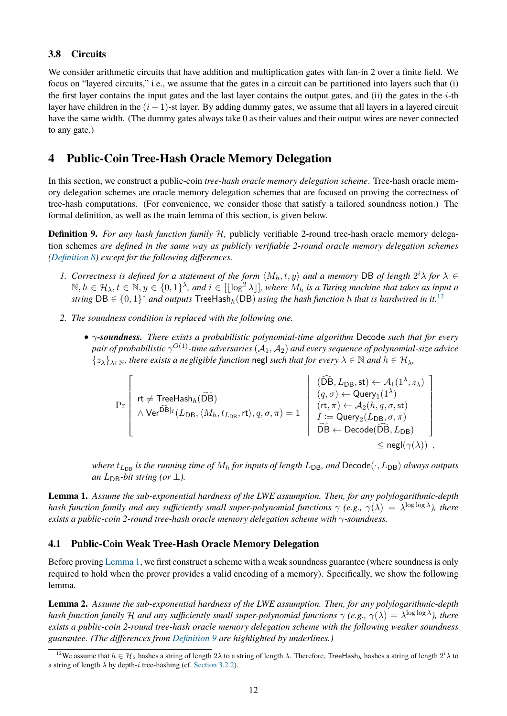#### **3.8 Circuits**

<span id="page-11-0"></span>We consider arithmetic circuits that have addition and multiplication gates with fan-in 2 over a finite field. We focus on "layered circuits," i.e., we assume that the gates in a circuit can be partitioned into layers such that (i) the first layer contains the input gates and the last layer contains the output gates, and (ii) the gates in the *i*-th layer have children in the  $(i - 1)$ -st layer. By adding dummy gates, we assume that all layers in a layered circuit have the same width. (The dummy gates always take 0 as their values and their output wires are never connected to any gate.)

# **4 Public-Coin Tree-Hash Oracle Memory Delegation**

<span id="page-11-1"></span>In this section, we construct a public-coin *tree-hash oracle memory delegation scheme*. Tree-hash oracle memory delegation schemes are oracle memory delegation schemes that are focused on proving the correctness of tree-hash computations. (For convenience, we consider those that satisfy a tailored soundness notion.) The formal definition, as well as the main lemma of this section, is given below.

**Definition 9.** *For any hash function family H,* publicly verifiable 2-round tree-hash oracle memory delegation schemes *are defined in the same way as publicly verifiable 2-round oracle memory delegation schemes (Definition 8) except for the following differences.*

- <span id="page-11-6"></span>*i*. *Correctness is defined for a statement of the form*  $\langle M_h, t, y \rangle$  *and a memory DB of length*  $2^i \lambda$  *for*  $\lambda \in$  $\mathbb{N}, h \in \mathcal{H}_\lambda, t \in \mathbb{N}, y \in \{0,1\}^\lambda$ , and  $i \in [\lfloor \log^2 \lambda \rfloor]$ , where  $M_h$  is a Turing machine that takes as input a *[string](#page-9-2)*  $DB \in \{0,1\}^*$  *and outputs* TreeHash<sub>h</sub>(DB) *using the hash function h that is hardwired in it.*<sup>12</sup>
- *2. The soundness condition is replaced with the following one.*

 $\overline{a}$ 

*• γ-soundness. There exists a probabilistic polynomial-time algorithm* Decode *such that for [ev](#page-11-3)ery pair of probabilistic γ <sup>O</sup>*(1)*-time adversaries* (*A*1*, A*2) *and every sequence of polynomial-size advice*  $\{z_\lambda\}_{\lambda \in \mathbb{N}}$ , there exists a negligible function negl such that for every  $\lambda \in \mathbb{N}$  and  $h \in \mathcal{H}_\lambda$ , v<br>e  $\begin{aligned} & \textit{algorithm Decode such} \ & \textit{every sequence of polynomial} \ & \textit{every } \lambda \in \mathbb{N} \textit{ and } h \in \mathcal{H} \ & \textit{(DB, } L_{\text{DB}}, \textit{st)} \leftarrow \mathcal{A}_1(1^{\lambda}) \end{aligned}$  $e<sub>1</sub>$ 

$$
\Pr\left[\begin{array}{l}\text{at the exists a negligible function of } (c_1, c_2) \text{ and } (c_1, c_2) \text{ and } (c_1, c_2) \text{ is the same value of } \mathcal{H}_\lambda, \\ \text{at the first value of } \mathcal{H}_\lambda, \end{array}\right]
$$
\n
$$
\Pr\left[\begin{array}{l}\text{at } \neq \text{TreeHash}_h(\widetilde{\mathsf{DB}}) \\ \text{at } \neq \text{TreeHash}_h(\widetilde{\mathsf{DB}}) \\ \text{for } \forall \text{ref}\widehat{\mathsf{DB}}|_{\mathcal{I}}(L_{\mathsf{DB}}, \langle M_h, t_{L_{\mathsf{DB}}}, \mathsf{rt}\rangle, q, \sigma, \pi) = 1 \\ \text{for } \forall \text{ref}\widehat{\mathsf{DB}}|_{\mathcal{I}}(L_{\mathsf{DB}}, \langle M_h, t_{L_{\mathsf{DB}}}, \mathsf{rt}\rangle, q, \sigma, \pi) = 1 \\ \text{for } \forall \text{ref}\widehat{\mathsf{DB}} \leftarrow \text{Decode}(\widehat{\mathsf{DB}}, L_{\mathsf{DB}}) \\ \text{for } \forall \text{ref}\widehat{\mathsf{DB}}|_{\mathcal{I}}(L_{\mathsf{DB}}, \langle M_h, t_{L_{\mathsf{DB}}}, \mathsf{rt}\rangle, q, \sigma, \pi) = \mathcal{H}\left[\begin{array}{l}\n(\widehat{\mathsf{DB}}, L_{\mathsf{DB}}, \mathsf{ct}) \\ \text{for } \forall \text{ref}\widehat{\mathsf{DB}} \land \mathsf{ct} \\ \text{for } \forall \text{ref}\widehat{\mathsf{DB}} \land \text{ref}(\widehat{\mathsf{DB}}) \text{ and } \mathsf{td} \end{array}\right]\n\right]
$$

 $\overline{a}$ 

*where*  $t_{L_{DB}}$  *is the running time of*  $M_h$  *for inputs of length*  $L_{DB}$ *, and*  $\text{Decode}(\cdot, L_{DB})$  *always outputs an*  $L_{DB}$ *-bit string (or ⊥).* 

**Lemma 1.** *Assume the sub-exponential hardness of the LWE assumption. Then, for any polylogarithmic-depth hash function family and any sufficiently small super-polynomial functions*  $\gamma$  (e.g.,  $\gamma(\lambda) = \lambda^{\log \log \lambda}$ ), there *exists a public-coin 2-round tree-hash oracle memory delegation scheme with γ-soundness.*

#### <span id="page-11-4"></span>**4.1 Public-Coin Weak Tree-Hash Oracle Memory Delegation**

Before proving Lemma 1, we first construct a scheme with a weak soundness guarantee (where soundness is only required to hold when the prover provides a valid encoding of a memory). Specifically, we show the following lemma.

<span id="page-11-2"></span>**Lemma 2.** *Ass[ume the s](#page-11-4)ub-exponential hardness of the LWE assumption. Then, for any polylogarithmic-depth hash function family*  $H$  *and any sufficiently small super-polynomial functions*  $\gamma$  (e.g.,  $\gamma(\lambda) = \lambda^{\log\log\lambda}$ ), there *exists a public-coin 2-round tree-hash oracle memory delegation scheme with the following weaker soundness guarantee. (The differences from Definition 9 are highlighted by underlines.)*

<span id="page-11-5"></span><span id="page-11-3"></span><sup>&</sup>lt;sup>12</sup>We assume that  $h \in \mathcal{H}_\lambda$  hashes a string of length  $2\lambda$  to a string of length  $\lambda$ . Therefore, TreeHash<sub>*h*</sub> hashes a string of length  $2^i\lambda$  to a string of length  $\lambda$  by depth-*i* tree-hashing (cf. Section 3.2.2).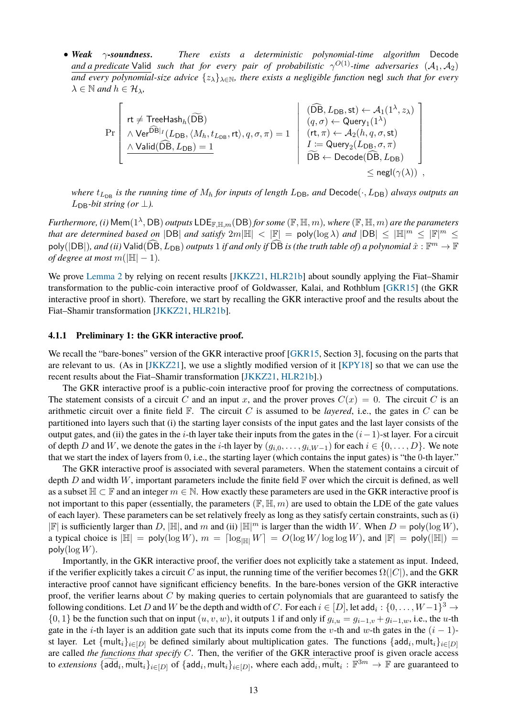*• Weak γ-soundness. There exists a deterministic polynomial-time algorithm* Decode *and a predicate* Valid *such that for every pair of probabilistic*  $\gamma^{O(1)}$ -time adversaries  $(A_1, A_2)$ *and every polynomial-size advice*  $\{z_{\lambda}\}_{\lambda \in \mathbb{N}}$ , there exists a negligible function negl such that for every  $\lambda \in \mathbb{N}$  and  $h \in \mathcal{H}_{\lambda}$ ,<br>  $\left[\begin{array}{c} (\widehat{DR}, L_{DB}, st) \leftarrow \mathcal{A}_1(1^{\lambda}, z_{\lambda}) \\ t \neq \text{TreeHash}_{h}(\widetilde{DB}) \end{array}\right]$  $\lambda \in \mathbb{N}$  and  $h \in \mathcal{H}_{\lambda}$ ,  $\overline{a}$  $d$ *istic*  $\gamma^{O(1)}$ -time adver.<br> *ligible function* negl *sud*<br>  $(\widehat{\rm DB}, L_{\rm DB}, \text{st}) \leftarrow \mathcal{A}_1(1^{\lambda})$  $\mathbf{r}$  $t_{\rm c}$  $\overline{a}$ 

$$
\Pr\left[\begin{array}{l} \mathsf{rt} \neq \mathsf{TreeHash}_h(\widetilde{\mathsf{DB}})\\ \wedge \mathsf{Ver}^{\widehat{\mathsf{DB}}|_I}(L_{\mathsf{DB}},\langle M_h, t_{L_{\mathsf{DB}}},\mathsf{rt}\rangle, q, \sigma, \pi) = 1\\ \wedge \mathsf{Valid}(\widehat{\mathsf{DB}}, L_{\mathsf{DB}}) = 1\\ \wedge \mathsf{Valid}(\widehat{\mathsf{DB}}, L_{\mathsf{DB}}) = 1\\ \end{array}\right] \left\{\begin{array}{l} (\widehat{\mathsf{DB}}, L_{\mathsf{DB}},\mathsf{st}) \leftarrow \mathcal{A}_1(1^\lambda,z_\lambda)\\ (q,\sigma) \leftarrow \mathsf{Query}_1(1^\lambda)\\ (\mathsf{rt},\pi) \leftarrow \mathcal{A}_2(h,q,\sigma,\mathsf{st})\\ I := \mathsf{Query}_2(L_{\mathsf{DB}},\sigma,\pi)\\ \widetilde{\mathsf{DB}} \leftarrow \mathsf{Decode}(\widehat{\mathsf{DB}}, L_{\mathsf{DB}})\\ \end{array}\right]\right] \leq \mathsf{negl}(\gamma(\lambda))\;,
$$

*where*  $t_{L_{DB}}$  *is the running time of*  $M_h$  *for inputs of length*  $L_{DB}$ *, and*  $\text{Decode}(\cdot, L_{DB})$  *always outputs an*  $L_{\text{DB}}$ *-bit string (or ⊥).* 

 $Furthermore, (i)$   $Mem(1^{\lambda}, DB)$   $outputs$   $LDE_{\mathbb{F},\mathbb{H},m}$   $(DB)$   $for$   $some$   $(\mathbb{F},\mathbb{H},m)$ ,  $where$   $(\mathbb{F},\mathbb{H},m)$  are the parameters that are determined based on  $|DB|$  and satisfy  $2m|\mathbb{H}| < |\mathbb{F}| = \text{poly}(\log \lambda)$  and  $|DB| \leq |\mathbb{H}|^m \leq |\mathbb{F}|^m \leq$ *L*<sub>DB</sub>-bit string (or  $\perp$ ).<br>*Furthermore, (i)* Mem(1<sup> $\lambda$ </sup>, DB) *outputs* LDE<sub>F,H,m</sub>(DB) *for some* (F, H, *m*), *where* (F, H, *m*) *are the parameters that are determined based on* |DB| *and satisfy*  $2m|\mathbb{H}| < |\mathbb{$ *of degree at most*  $m(|\mathbb{H}| - 1)$ *.* 

We prove Lemma 2 by relying on recent results [JKKZ21, HLR21b] about soundly applying the Fiat–Shamir transformation to the public-coin interactive proof of Goldwasser, Kalai, and Rothblum [GKR15] (the GKR interactive proof in short). Therefore, we start by recalling the GKR interactive proof and the results about the Fiat–Sha[mir transfor](#page-11-5)mation [JKKZ21, HLR21b].

#### **4.1.1 Preliminary 1: the GKR interactive proof.**

We recall the "bare-bones" v[ersion of](#page-38-5) t[he GKR i](#page-38-6)nteractive proof [GKR15, Section 3], focusing on the parts that are relevant to us. (As in [JKKZ21], we use a slightly modified version of it [KPY18] so that we can use the recent results about the Fiat–Shamir transformation [JKKZ21, HLR21b].)

The GKR interactive proof is a public-coin interactive proof for proving the correctness of computations. The statement consists of a circuit *C* and an input *x*, and the p[rover pro](#page-37-8)ves  $C(x) = 0$ . The circuit *C* is an arithmetic circuit over a fi[nite field](#page-38-5)  $\mathbb{F}$ . The circuit *C* is assumed to be *layered*[, i.e.,](#page-38-8) the gates in *C* can be partitioned into layers such that (i) the starting layer [consists o](#page-38-5)[f the inpu](#page-38-6)t gates and the last layer consists of the output gates, and (ii) the gates in the *i*-th layer take their inputs from the gates in the (*i−*1)-st layer. For a circuit of depth *D* and *W*, we denote the gates in the *i*-th layer by  $(g_{i,0}, \ldots, g_{i,W-1})$  for each  $i \in \{0, \ldots, D\}$ . We note that we start the index of layers from 0, i.e., the starting layer (which contains the input gates) is "the 0-th layer."

The GKR interactive proof is associated with several parameters. When the statement contains a circuit of depth *D* and width *W*, important parameters include the finite field  $\mathbb F$  over which the circuit is defined, as well as a subset  $\mathbb{H} \subset \mathbb{F}$  and an integer  $m \in \mathbb{N}$ . How exactly these parameters are used in the GKR interactive proof is not important to this paper (essentially, the parameters  $(F, \mathbb{H}, m)$  are used to obtain the LDE of the gate values of each layer). These parameters can be set relatively freely as long as they satisfy certain constraints, such as (i) *|* $\mathbb{F}$  is sufficiently larger than *D*,  $\mathbb{H}$ , and *m* and (ii)  $\mathbb{H}$  *m* is larger than the width *W*. When  $D = \text{poly}(\log W)$ , a typical choice is  $|\mathbb{H}| = \text{poly}(\log W), m = \lceil \log_{\mathbb{H}} W \rceil = O(\log W / \log \log W),$  and  $|\mathbb{F}| = \text{poly}(|\mathbb{H}|) =$ poly( $\log W$ ).

Importantly, in the GKR interactive proof, the verifier does not explicitly take a statement as input. Indeed, if the verifier explicitly takes a circuit *C* as input, the running time of the verifier becomes  $\Omega(|C|)$ , and the GKR interactive proof cannot have significant efficiency benefits. In the bare-bones version of the GKR interactive proof, the verifier learns about *C* by making queries to certain polynomials that are guaranteed to satisfy the following conditions. Let *D* and *W* be the depth and width of *C*. For each  $i \in [D]$ , let add $_i : \{0, \ldots, W-1\}^3 \to$ *{*0*,* 1*}* be the function such that on input  $(u, v, w)$ , it outputs 1 if and only if  $g_{i,u} = g_{i-1,v} + g_{i-1,w}$ , i.e., the *u*-th gate in the *i*-th layer is an addition gate such that its inputs come from the *v*-th and *w*-th gates in the  $(i - 1)$ st layer. Let  $\{\text{mult}_i\}_{i \in [D]}$  be defined similarly about multiplication gates. The functions  $\{\text{add}_i, \text{mult}_i\}_{i \in [D]}$ are called *the functions that specify C*. Then, the verifier of the GKR interactive proof is given oracle access {0, 1} be the function such that on input  $(u, v, w)$ , it outputs 1 if and only if  $g_{i,u} = g_{i-1,v} + g_{i-1,w}$ , i.e., the u-th gate in the *i*-th layer is an addition gate such that its inputs come from the *v*-th and *w*-th gat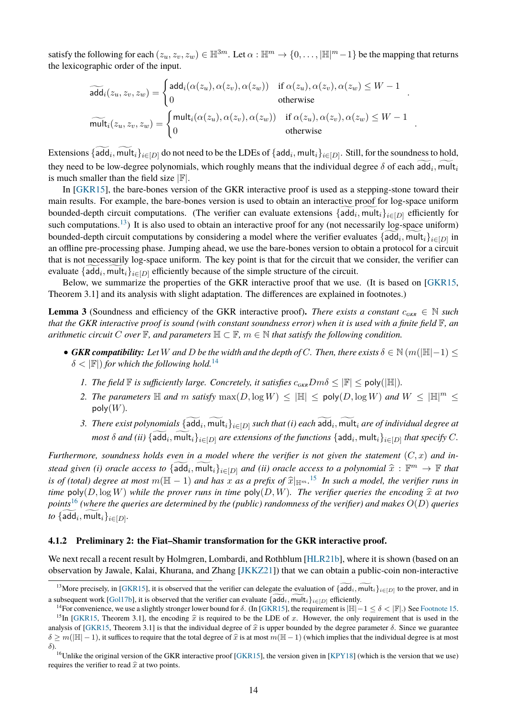satisfy the following for each  $(z_u,z_v,z_w)\in\mathbb{H}^{3m}.$  Let  $\alpha:\mathbb{H}^m\to\{0,\ldots,|\mathbb{H}|^m-1\}$  be the mapping that returns following for each  $(z_u$ <br>raphic order of the inp<br> $\widetilde{\text{add}}_i(z_u, z_v, z_w) = \begin{cases}$ 

the lexicographic order of the input.  
\n
$$
\widetilde{\text{add}}_i(z_u, z_v, z_w) = \begin{cases}\n\text{add}_i(\alpha(z_u), \alpha(z_v), \alpha(z_w)) & \text{if } \alpha(z_u), \alpha(z_v), \alpha(z_w) \le W - 1 \\
0 & \text{otherwise}\n\end{cases}
$$
\n
$$
\widetilde{\text{mult}}_i(z_u, z_v, z_w) = \begin{cases}\n\text{mult}_i(\alpha(z_u), \alpha(z_v), \alpha(z_w)) & \text{if } \alpha(z_u), \alpha(z_v), \alpha(z_w) \le W - 1 \\
0 & \text{otherwise}\n\end{cases}
$$
\n
$$
\text{Extensions } \{\widetilde{\text{add}}_i, \widetilde{\text{mult}}_i\}_{i \in [D]} \text{ do not need to be the LDEs of } \{\text{add}_i, \text{mult}_i\}_{i \in [D]}.
$$
\n
$$
\text{ Still, for the soundness to hold,}
$$

*.*

 $\text{mult}_i(z_u, z_v, z_w) = \begin{cases} \text{mult}_i(z_u, z_v, z_w) & \text{if } \alpha(z_u), \alpha(z_w) & \text{if } \alpha(z_u), \alpha(z_w) \leq W \\ 0 & \text{otherwise} \end{cases}$ <br>Extensions  $\{\text{add}_i, \text{mult}_i\}_{i \in [D]}$  do not need to be the LDEs of  $\{\text{add}_i, \text{mult}_i\}_{i \in [D]}$ . Still, for the soundness to hold, they n is much smaller than the field size *|*F*|*.

In [GKR15], the bare-bones version of the GKR interactive proof is used as a stepping-stone toward their main results. For example, the bare-bones version is used to obtain an interactive proof for log-space uniform bounded-depth circuit computations. (The verifier can evaluate extensions  ${add_i}$ , multigraph computations  ${[GKR15]}$ , the bare-bones version of the GKR interactive proof is used as a stepping-stone toward their main resul such computations.<sup>13</sup>) It is also used to obtain an interactive proof for any (not necessarily log-space uniform) bounde[d-depth](#page-37-8) circuit computations. (The verifier can evaluate extensions  $\{add_i, mult_i\}_{i \in [D]}$  efficiently such computations.<sup>13</sup>) It is also used to obtain an interactive proof for log-space unifor such computations.<sup>13</sup>) I bounded-depth circuit computations by considering a model where the verifier evaluates {add<sub>i</sub>, mult<sub>i</sub>} $_{i\in[D]}$  in an offline pre-processing phase. Jumping ahead, we use the bare-bones version to obtain a protocol for a circuit that is not necessar[ily](#page-13-0) log-space uniform. The key point is that for the circuit that we consider, the verifier can such computations.<sup>15</sup>) It is also used to obtain an interactive proof for any (not nece<br>bounded-depth circuit computations by considering a model where the verifier eval<br>an offline pre-processing phase. Jumping ahead, we

Below, we summarize the properties of the GKR interactive proof that we use. (It is based on [GKR15, Theorem 3.1] and its analysis with slight adaptation. The differences are explained in footnotes.)

**Lemma 3** (Soundness and efficiency of the GKR interactive proof). *There exists a constant*  $c_{GKR} \in \mathbb{N}$  such *that the GKR interactive proof is sound (with constant soundness error) when it is used with a finite field* F*[, an](#page-37-8) arithmetic circuit C over*  $\mathbb{F}$ *, and parameters*  $\mathbb{H} \subset \mathbb{F}$ *,*  $m \in \mathbb{N}$  *that satisfy the following condition.* 

- <span id="page-13-4"></span>• *GKR compatibility: Let W* and *D be the width and the depth of C. Then, there exists*  $\delta \in \mathbb{N}$  ( $m(|\mathbb{H}|-1) \leq$  $\delta$  <  $|\mathbb{F}|$ *) for which the following hold.*<sup>14</sup>
	- *1. The field*  $\mathbb{F}$  *is sufficiently large. Concretely, it satisfies*  $c_{\text{GKR}} Dm\delta \leq |\mathbb{F}| \leq \text{poly}(|\mathbb{H}|)$ *.*
	- *2. The parameters*  $\mathbb H$  *and*  $m$  *satisf[y](#page-13-1)*  $\max(D, \log W)$   $\leq$   $|\mathbb H|$   $\leq$  poly $(D, \log W)$  *and*  $W \leq |\mathbb H|^m$   $\leq$ poly $(W)$ . *3. The field*  $\mathbb{F}$  *is sufficiently large. Concretely, it satisfies*  $c_{\text{GKR}}Dm\delta \leq |\mathbb{F}| \leq \text{poly}(|\mathbb{H}|)$ .<br>
	2. *The parameters*  $\mathbb{H}$  *and m satisfy*  $\max(D, \log W) \leq |\mathbb{H}| \leq \text{poly}(D, \log W)$  *and*  $W \leq |\mathbb{H}|^m \le$
	- *The parameters*  $\mathbb{H}$  *and m satisfy*  $\max(D, \log W) \leq |\mathbb{H}| \leq \text{poly}(D, \text{poly}(W)).$ <br>*There exist polynomials*  $\{\widehat{\text{add}}_i, \widehat{\text{mult}}_i\}_{i \in [D]}$  *such that (i) each*  $\widehat{\text{add}}_i, \widehat{\text{mult}}_i$  *mult most*  $\delta$  *and (ii)*  $\{\widehat{\text{$ , mult $_i$  $\rbrace_{i \in [D]}$  *that specify*  $C$ *.*

*Furthermore, soundness holds even in a model where the verifier is not given the statement* (*C, x*) *and instead given that (i) each add<sub>i</sub>, mult<sub>i</sub> <i>are of individ*<br> *most*  $\delta$  *and (ii)*  $\{\overline{\text{add}}_i, \overline{\text{mult}}_i\}_{i \in [D]}$  *are extensions of the functions*  $\{\text{add}_i, \text{mult}_i\}_{i \in [D]}$  *th*<br> *Furthermore, soundness holds even in a m stead given (i) oracle access to*  $\{add_i, mult_i\}_{i\in[D]}$  *and (ii) oracle access to a polynomial*  $\hat{x}: \mathbb{F}^m \to \mathbb{F}$  *that most o and (u)* { $\text{add}_i$ ,  $\text{mult}_i\}_{i \in [D]}$  *are extensions of the fund*<br>*Furthermore, soundness holds even in a model where the verifier is*<br>*stead given (i) oracle access to* { $\text{add}_i$ ,  $\text{mult}_i\}_{i \in [D]}$  *and (ii) oracl* If  $\int$  *In such (1) order access to*  $\{$   $\text{and}_i, \text{mult}_i\}_{i \in [D]}$  *and (t) ordcle access to a potynomial*  $x : \mathbb{F} \to \mathbb{F}$  *that*<br>*is of (total) degree at most*  $m(\mathbb{H} - 1)$  *and has*  $x$  *as a prefix of*  $\hat{x}|_{\mathbb{H}$ *Furthermore, soundness holds even in a model where the verifier is not given the statement*  $(C, x)$  *and instead given (i) oracle access to*  $\{\text{add}_i, \text{mult}_i\}_{i \in [D]}$  *and (ii) oracle access to a polynomial \hat{x} : \mathbb{F}^m \to \mathbb points*<sup>16</sup> *(where the queries are determined by the (public) randomness of the verifier) and makes O*(*D*) *queries* to  $\{\overline{\mathsf{add}}_i, \overline{\mathsf{mult}}_i\}_{i \in [D]}.$ 

#### **4.1.2 [P](#page-13-2)reliminary 2: the Fiat–Shamir transformation for the GKR interactive proof.**

We next recall a recent result by Holmgren, Lombardi, and Rothblum [HLR21b], where it is shown (based on an observation by Jawale, Kalai, Khurana, and Zhang [JKKZ21]) that we can obtain a public-coin non-interactive 13 More precisely, in [GKR15], it is observed that the verifier can delegate the evaluation of  $\{add_i, \widetilde{mult}_i\}_{i \in [D]}$ <br>
13 More precisely, in [GKR15], it is observed that the verifier can delegate the evaluation of  $\{add_i,$ 

<sup>&</sup>lt;sup>13</sup>More precisely, in [GKR15], it is observed that the verifier can delegate the evaluation of  $\{\overline{\text{add}}_i, \overline{\text{mult}}_i\}_{i \in [D]}$  to the prover, and in ubsequent work [Gol17b], it is observed that the verifier can evaluate bbservation by Jawale, Kalai, Khurana, and Zhang [JKKZ21]) that we can obtain a p<br><sup>13</sup>More precisely, in [GKR15], it is observed that the verifier can delegate the evaluation of {add<sub>i</sub>, n<br>a subsequent work [Gol17b], it i

<sup>14</sup>For convenience, we use a slightly stronger lower bound for *δ*[. \(In \[GKR](#page-38-5)15], the requirement is*|*H*|−*1 *≤ δ < |*F*|*.) See Footnote 15. a subsequent work [Gol17b], it is observed that the verifier can evaluate  $\{ \widetilde{\text{add}}_i, \widetilde{\text{mult}}_i \}_{i \in [D]}$  efficiently.<br><sup>14</sup> For convenience, we use a slightly stronger lower bound for *δ*. (In [GKR15], the requirement *i*<sup>14</sup> For convenience, we use a slightly stronger lower bound for  $\delta$ . (In [GKR15], the requirement is  $|\mathbb{H}| - 1 \le \delta < |\mathbb{F}|$ .) See Footnote 15.<br><sup>15</sup>In [GKR15, Theorem 3.1], the encoding  $\hat{x}$  is required to be the LD *δ*).  $\delta \ge m(|\mathbb{H}| - 1)$ , it suffices to require that the [verifier](#page-37-8) to read  $\hat{x}$  at two points.

<span id="page-13-3"></span><span id="page-13-2"></span><span id="page-13-1"></span><span id="page-13-0"></span><sup>&</sup>lt;sup>16</sup>Un[like the o](#page-37-8)riginal version of the GKR interactive proof [GKR15[\], the ver](#page-37-8)sion given in [KPY18] (which is the version [that we use\)](#page-13-3)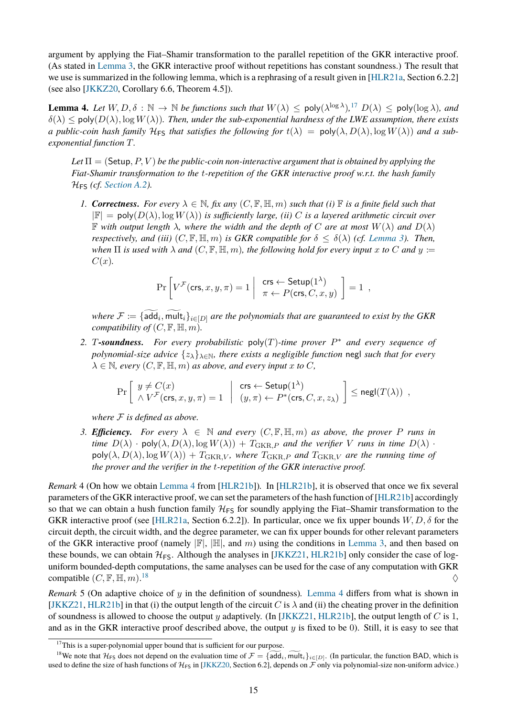argument by applying the Fiat–Shamir transformation to the parallel repetition of the GKR interactive proof. (As stated in Lemma 3, the GKR interactive proof without repetitions has constant soundness.) The result that we use is summarized in the following lemma, which is a rephrasing of a result given in [HLR21a, Section 6.2.2] (see also [JKKZ20, Corollary 6.6, Theorem 4.5]).

**Lemma 4.** Let  $W, D, \delta : \mathbb{N} \to \mathbb{N}$  be functions such that  $W(\lambda) \leq \text{poly}(\lambda^{\log \lambda}),^{17} D(\lambda) \leq \text{poly}(\log \lambda)$ , and  $\delta(\lambda) \leq$  poly $(D(\lambda), \log W(\lambda))$ *. Then, under the sub-exponential hardness of the LWE [assumpti](#page-38-9)on, there exists a public-[coin hash](#page-38-10) family*  $H_{FS}$  *that satisfies the following for*  $t(\lambda) = \text{poly}(\lambda, D(\lambda), \log W(\lambda))$  *and a subexponential function T.*

<span id="page-14-0"></span> $Let \Pi = (Setup, P, V)$  *be the public-coin non-interactive argument that is obtained by applying the Fiat-Shamir transformation to the t-repetition of the GKR interactive proof w.r.t. the hash family H*FS *(cf. Section A.2).*

*1.* **Correctness.** For every  $\lambda \in \mathbb{N}$ , fix any  $(C, \mathbb{F}, \mathbb{H}, m)$  such that (i)  $\mathbb{F}$  is a finite field such that  $|F| = \text{poly}(D(\lambda), \log W(\lambda))$  *is sufficiently large, (ii) C is a layered arithmetic circuit over*  $\mathbb F$  *[with output l](#page-39-2)ength*  $\lambda$ *, where the width and the depth of C are at most*  $W(\lambda)$  *and*  $D(\lambda)$ *respectively, and (iii)*  $(C, \mathbb{F}, \mathbb{H}, m)$  *is GKR compatible for*  $\delta \leq \delta(\lambda)$  *(cf. Lemma 3). Then,*<br>when  $\Pi$  *is used with*  $\lambda$  *and*  $(C, \mathbb{F}, \mathbb{H}, m)$ *, the following hold for every input*  $x$  *to*  $C$  *and*  $y :=$ *when*  $\Pi$  *is used with*  $\lambda$  *and*  $(C, \mathbb{F}, \mathbb{H}, m)$ *, the following hold for every input x to*  $C$  *and*  $y :=$ *C*(*x*)*.*

$$
\Pr\left[V^{\mathcal{F}}(\mathsf{crs}, x, y, \pi) = 1 \mid \begin{array}{l} \mathsf{crs} \leftarrow \mathsf{Setup}(1^{\lambda}) \\ \pi \leftarrow P(\mathsf{crs}, C, x, y) \end{array}\right] = 1,
$$
\nwhere  $\mathcal{F} \coloneqq \{\widetilde{\mathsf{add}}_i, \widetilde{\mathsf{mult}}_i\}_{i \in [D]}$  are the polynomials that are guaranteed to exist by the GKR

*compatibility of*  $(C, \mathbb{F}, \mathbb{H}, m)$ *.* 

*2. T***-soundness.** For every probabilistic poly(*T*)*-time prover*  $P^*$  *and every sequence of*<br>
polynomial-size advice  $\{z_{\lambda}\}_{\lambda \in \mathbb{N}}$ , there exists a negligible function negl such that for every<br>  $\lambda \in \mathbb{N}$ , *polynomial-size advice*  $\{z_\lambda\}_{\lambda \in \mathbb{N}}$ *, there exists a negligible function* negl *such that for every*  $\lambda \in \mathbb{N}$ , every  $(C, \mathbb{F}, \mathbb{H}, m)$  *as above, and every input x to*  $C$ *,* 

$$
\Pr\left[\begin{array}{l} y \neq C(x) \\ \wedge V^{\mathcal{F}}(\mathsf{crs},x,y,\pi) = 1 \end{array} \middle| \begin{array}{l} \mathsf{crs} \leftarrow \mathsf{Setup}(1^{\lambda}) \\ (y,\pi) \leftarrow P^*(\mathsf{crs},C,x,z_{\lambda}) \end{array} \right] \leq \mathsf{negl}(T(\lambda)) \enspace ,
$$

*where F is defined as above.*

*3. Efficiency. For every*  $\lambda \in \mathbb{N}$  *and every*  $(C, \mathbb{F}, \mathbb{H}, m)$  *as above, the prover P runs in time*  $D(\lambda)$  *·* poly $(\lambda, D(\lambda), \log W(\lambda))$  +  $T_{\text{GKR},P}$  *and the verifier V runs in time*  $D(\lambda)$  *·*  $poly(\lambda, D(\lambda), \log W(\lambda)) + T_{GKR,V}$ , where  $T_{GKR,P}$  and  $T_{GKR,V}$  are the running time of *the prover and the verifier in the t-repetition of the GKR interactive proof.*

*Remark* 4 (On how we obtain Lemma 4 from [HLR21b])*.* In [HLR21b], it is observed that once we fix several parameters of the GKR interactive proof, we can set the parameters of the hash function of [HLR21b] accordingly so that we can obtain a hush function family  $H_{FS}$  for soundly applying the Fiat–Shamir transformation to the GKR interactive proof (see [HLR21a, Section 6.2.2]). In particular, once we fix upper bounds *W, D, δ* for the circuit depth, the circuit width[, and the d](#page-14-0)egree [paramete](#page-38-6)r, we c[an fix upp](#page-38-6)er bounds for other relevant parameters of the GKR interactive proof (namely *|*F*|*, *|*H*|*, and *m*) using the conditions in Lemma [3, and th](#page-38-6)en based on these bounds, we can obtain  $H_{FS}$ . Although the analyses in [JKKZ21, HLR21b] only consider the case of loguniform bounded-depth com[putations](#page-38-9), the same analyses can be used for the case of any computation with GKR compatible  $(C, \mathbb{F}, \mathbb{H}, m)$ .<sup>18</sup> 18  $\Diamond$ 

*Remark* 5 (On adaptive choice of *y* in the definition of sou[ndness\)](#page-38-5)*.* [Lemma 4](#page-38-6) [differs from](#page-13-4) what is shown in [JKKZ21, HLR21b] in that (i) the output length of the circuit *C* is  $\lambda$  and (ii) the cheating prover in the definition of soundness is allowed t[o c](#page-14-1)hoose the output *y* adaptively. (In [JKKZ21, HLR21b], the output length of *C* is 1, and as in the GKR interactive proof described above, the output  $y$  is [fixed to be](#page-14-0) 0). Still, it is easy to see that 18We note that *H*<sub>FS</sub> does not depend on the evaluation time of  $\mathcal{F} = \{add_i, mult_i\}_{i \in [D]}$  $\mathcal{F} = \{add_i, mult_i\}_{i \in [D]}$  $\mathcal{F} = \{add_i, mult_i\}_{i \in [D]}$ [. \(In par](#page-38-6)ticular, the function BAD, which is

 $17$ [This is](#page-38-5) [a super-poly](#page-38-6)nomial upper bound that is sufficient for our purpose.

<span id="page-14-1"></span>used to define the size of hash functions of  $H_{FS}$  in [JKKZ20, Section 6.2], depends on  $\mathcal F$  only via polynomial-size non-uniform advice.)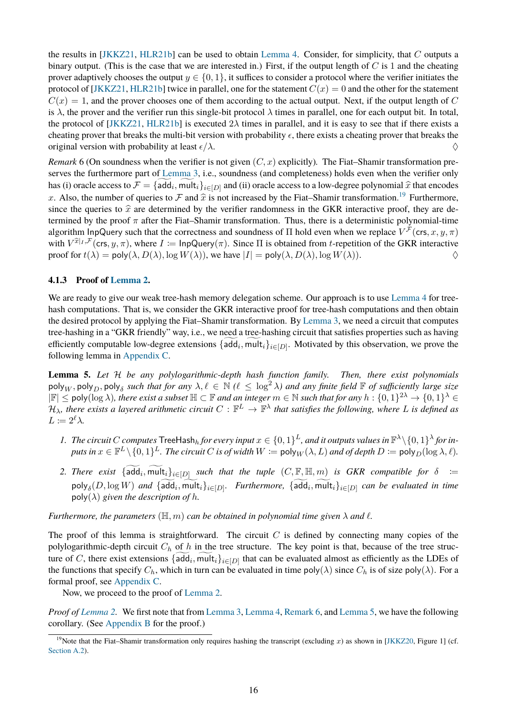the results in [JKKZ21, HLR21b] can be used to obtain Lemma 4. Consider, for simplicity, that *C* outputs a binary output. (This is the case that we are interested in.) First, if the output length of *C* is 1 and the cheating prover adaptively chooses the output  $y \in \{0, 1\}$ , it suffices to consider a protocol where the verifier initiates the protocol of [JKKZ21, HLR21b] twice in parallel, one for the statement  $C(x) = 0$  and the other for the statement  $C(x) = 1$ , an[d the prov](#page-38-5)[er choose](#page-38-6)s one of them accordin[g to the ac](#page-14-0)tual output. Next, if the output length of *C* is  $\lambda$ , the prover and the verifier run this single-bit protocol  $\lambda$  times in parallel, one for each output bit. In total, the protocol of  $[JKKZ21, HLR21b]$  is executed  $2\lambda$  times in parallel, and it is easy to see that if there exists a cheating pr[over that b](#page-38-5)[reaks the](#page-38-6) multi-bit version with probability *ϵ*, there exists a cheating prover that breaks the original version with probability at least  $\epsilon/\lambda$ .  $\diamondsuit$ 

*Remark* 6 (On s[oundness](#page-38-5) [when the](#page-38-6) verifier is not given (*C, x*) explicitly)*.* The Fiat–Shamir transformation preserves the furthermore part of Lemma 3, i.e., soundness (and completeness) holds even when the verifier only From the section of the means of *C* is the mean of  $\epsilon/\lambda$ . <br> *Remark* 6 (On soundness when the verifier is not given (*C*, *x*) explicitly). The Fiat–Shamir transformation preserves the furthermore part of Lemma 3, i.e *Remark* 6 (On soundness when the verifier is not given  $(C, x)$  explicitly). The Fiat–Shamir transformation preserves the furthermore part of Lemma 3, i.e., soundness (and completeness) holds even when the verifier only ha serves the furthermore part of Lemma 3, i.e., soundness (and completeness) holds even when the verifier only has (i) oracle access to  $\mathcal{F} = {\text{add}_i, \text{mult}_i}_{i \in [D]}$  and (ii) oracle access to a low-degree polynomial  $\hat{x}$  termined by the proof *π* after [the Fiat–S](#page-13-4)hamir transformation. Thus, there is a deterministic polynomial-time algorithm InpQuery such that the correctness and soundness of  $\Pi$  hold even when we replace  $V^{\mathcal{F}}(\textsf{crs}, x, y, \pi)$  $V^{\mathcal{F}}(\textsf{crs}, x, y, \pi)$ with  $V^{\hat{x}|I,\mathcal{F}}(\text{crs}, y, \pi)$ , where  $I := \text{InpQuery}(\pi)$ . Since  $\Pi$  is obtained from *t*-repetition of the GKR interactive proof for  $t(\lambda) = \text{poly}(\lambda, D(\lambda), \log W(\lambda))$ , we have  $|I| = \text{poly}(\lambda, D(\lambda), \log W(\lambda))$ .

#### **4.1.3 Proof of Lemma 2.**

We are ready to give our weak tree-hash memory delegation scheme. Our approach is to use Lemma 4 for treehash computations. That is, we consider the GKR interactive proof for tree-hash computations and then obtain the desired proto[col by appl](#page-11-5)ying the Fiat–Shamir transformation. By Lemma 3, we need a circuit that computes tree-hashing in a "GKR friendly" way, i.e., we need a tree-hashing circuit that satisfies properties such as having We are ready to give our weak tree-hash memory delegation schements hash computations. That is, we consider the GKR interactive profile desired protocol by applying the Fiat-Shamir transformation. tree-hashing in a "GKR f efficiently computable low-degree extensions  $\{add_i, mult_i\}_{i \in [D]}$ . Motivated by this observa[tion, we p](#page-14-0)rove the following lemma in Appendix C.

**Lemma 5.** *Let H be any polylogarithmic-depth hash function family. Then, there exist polynomials*  $\text{poly}_W$ ,  $\text{poly}_D$ ,  $\text{poly}_\delta$  such that for any  $\lambda, \ell \in \mathbb{N}$  ( $\ell \leq \log^2 \lambda$ ) and any finite field  $\mathbb F$  of sufficiently large size  $|\mathbb{F}| \leq \text{poly}(\log \lambda)$ , t[here exist a su](#page-43-0)bset  $\mathbb{H} \subset \mathbb{F}$  and an integer  $m \in \mathbb{N}$  such that for any  $h: \{0,1\}^{2\lambda} \to \{0,1\}^{\lambda} \in$  $H_{\lambda}$ , there exists a layered arithmetic circuit  $C:\mathbb{F}^L\to\mathbb{F}^{\lambda}$  that satisfies the following, where  $L$  is defined as  $L \coloneqq 2^{\ell} \lambda$ .

- <span id="page-15-1"></span>1. The circuit C computes TreeHash<sub>h</sub> for every input  $x\in\{0,1\}^L$ , and it outputs values in  $\mathbb{F}^\lambda\setminus\{0,1\}^\lambda$  for inputs in  $x \in \mathbb{F}^L \setminus \{0,1\}^L$ . The circuit C is of width  $W \coloneqq \mathsf{poly}_W(\lambda,L)$  and of depth  $D \coloneqq \mathsf{poly}_D(\log \lambda,\ell)$ . *2. The circuit C* computes TreeHas<br> *puts* in  $x \in \mathbb{F}^L \setminus \{0, 1\}^L$ . *The cir*<br> *2. There exist*  $\{\widetilde{\text{add}}_i, \widetilde{\text{mult}}_i\}_{i \in [D]}$
- 2. There exist  $\{\widetilde{\mathsf{add}}_i, \widetilde{\mathsf{mult}}_i\}_{i\in[D]}$  such that the tuple  $(C, \mathbb{F}, \mathbb{H}, m)$  is GKR compatible for  $\delta :=$  $poly_{\delta}(D, \log W)$  and  $\{add_i, \text{mult}_i\}_{i\in[D]}.$  Furthermore,  $\{add_i, \text{mult}_i\}_{i\in[D]}$  can be evaluated in time ircuit C computes  $\text{I} \text{reeHash}_h$  for every input  $x \in \{0,1\}^L$ , and it outputs values in  $\mathbb{F}^{\wedge} \setminus \{0,1\}^L$  for in-<br>  $n x \in \mathbb{F}^L \setminus \{0,1\}^L$ . The circuit C is of width  $W := \text{poly}_W(\lambda, L)$  and of depth  $D := \text{poly}_D(\log \lambda$ poly( $\lambda$ ) *given the description of h.*

*Furthermore, the parameters* ( $\mathbb{H}, m$ ) *can be obtained in polynomial time given*  $\lambda$  *and*  $\ell$ *.* 

The proof of this lemma is straightforward. The circuit *C* is defined by connecting many copies of the polylogarithmic-depth circuit *C<sup>h</sup>* of *h* in the tree structure. The key point is that, because of the tree struc-Furthermore, the parameters ( $\mathbb{H}, m$ ) can be obtaine<br>The proof of this lemma is straightforward. The<br>polylogarithmic-depth circuit  $C_h$  of  $h$  in the tree s<br>ture of  $C$ , there exist extensions  $\{ \overrightarrow{add}_i, \overrightarrow{mult}_i \}_{i \in [D]}$ ture of C, there exist extensions  $\{add_i, mult_i\}_{i\in[D]}$  that can be evaluated almost as efficiently as the LDEs of the functions that specify  $C_h$ , which in turn can be evaluated in time poly( $\lambda$ ) since  $C_h$  is of size poly( $\lambda$ ). For a formal proof, see Appendix C.

Now, we proceed to the proof of Lemma 2.

*Proof of Lemma 2.* We first note that from Lemma 3, Lemma 4, Remark 6, and Lemma 5, we have the following corollary. (See A[ppendix B](#page-43-0) for the proof.)

<span id="page-15-0"></span><sup>&</sup>lt;sup>19</sup>Note that the Fiat–Shamir transformati[on only requ](#page-11-5)ires hashing the transcript (excluding  $x$ ) as shown in [JKKZ20, Figure 1] (cf. Section A.[2\).](#page-11-5)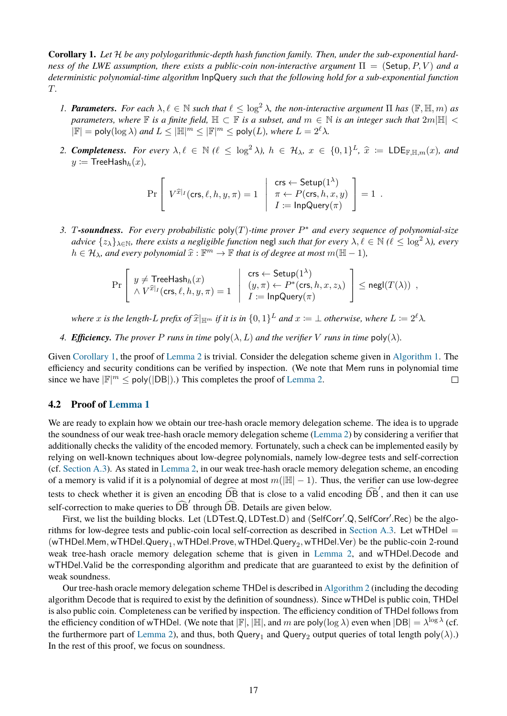**Corollary 1.** *Let H be any polylogarithmic-depth hash function family. Then, under the sub-exponential hardness of the LWE assumption, there exists a public-coin non-interactive argument*  $\Pi = (\mathsf{Setup}, P, V)$  *and a deterministic polynomial-time algorithm* InpQuery *such that the following hold for a sub-exponential function T.*

- <span id="page-16-1"></span>*I. Parameters. For each*  $\lambda, \ell \in \mathbb{N}$  *such that*  $\ell \leq \log^2 \lambda$ , *the non-interactive argument*  $\Pi$  *has* ( $\mathbb{F}, \mathbb{H}, m$ ) *as parameters, where*  $\mathbb F$  *is a finite field,*  $\mathbb H \subset \mathbb F$  *is a subset, and*  $m \in \mathbb N$  *is an integer such that*  $2m|\mathbb H|$  <  $|\mathbb{F}| = \text{poly}(\log \lambda)$  *and*  $L \leq |\mathbb{H}|^m \leq |\mathbb{F}|^m \leq \text{poly}(L)$ *, where*  $L = 2^{\ell} \lambda$ *. I. Parameters. For each*  $\lambda, \ell \in \mathbb{N}$  such that  $\ell \leq \log^2 \lambda$ , the non-interactive argument II has  $(\mathbb{F}, \mathbb{H}, m)$  as parameters, where  $\mathbb{F}$  is a finite field,  $\mathbb{H} \subset \mathbb{F}$  is a subset, and  $m \in \mathbb{N}$  is an
- $y \coloneqq$  TreeHash $h(x)$ ,  $h \in \mathcal{H}_{\lambda}, x \in \{0,1\}^{L}$

$$
\Pr\left[\begin{array}{c} V^{\widehat{x}|_{I}}(\mathsf{crs},\ell,h,y,\pi)=1 \\\end{array} \left| \begin{array}{c} \mathsf{crs} \leftarrow \mathsf{Setup}(1^{\lambda}) \\ \pi \leftarrow P(\mathsf{crs},h,x,y) \\ I \coloneqq \mathsf{InpQuery}(\pi) \end{array} \right. \right] = 1 \enspace .
$$

*3. T-soundness. For every probabilistic* poly(*T*)*-time prover P <sup>∗</sup> and every sequence of polynomial-size advice*  $\{z_{\lambda}\}_{\lambda \in \mathbb{N}}$ *, there exists a negligible function* negl *such that for every*  $\lambda, \ell \in \mathbb{N}$  ( $\ell \leq \log^2 \lambda$ ), every *h*  $\vdots$   $\vdots$   $\vdots$   $\vdots$   $\vdots$   $\vdots$   $\vdots$   $\vdots$   $\vdots$   $\vdots$   $\vdots$   $\vdots$   $\vdots$   $\vdots$   $\vdots$   $\vdots$   $\vdots$   $\vdots$   $\vdots$   $\vdots$   $\vdots$   $\vdots$   $\vdots$   $\vdots$   $\vdots$   $\vdots$   $\vdots$   $\vdots$   $\vdots$   $\vdots$   $\vdots$   $\vdots$   $\vdots$   $\vdots$   $\vdots$   $\vdots$ 

$$
\Pr\left[\begin{array}{l}\ny \neq \text{TreeHash}_h(x) \\
\wedge V^{\widehat{x}|_I}(\text{crs}, \ell, h, y, \pi) = 1 \\
\end{array}\right] \left[\begin{array}{l}\text{crs} \leftarrow \text{Setup}(1^{\lambda}) \\
(y, \pi) \leftarrow P^*(\text{crs}, h, x, z_{\lambda}) \\
I := \text{InpQuery}(\pi)\n\end{array}\right] \leq \text{negl}(T(\lambda)) ,
$$
\nwhere  $x$  is the length-L prefix of  $\widehat{x}|_{\mathbb{H}^m}$  if it is in  $\{0, 1\}^L$  and  $x := \bot$  otherwise, where  $L := 2^{\ell} \lambda$ .

*4. Efficiency. The prover P runs in time poly(* $\lambda$ *, L) and the verifier V runs in time poly(* $\lambda$ *).* 

Given Corollary 1, the proof of Lemma 2 is trivial. Consider the delegation scheme given in Algorithm 1. The efficiency and security conditions can be verified by inspection. (We note that Mem runs in polynomial time since we have  $|\mathbb{F}|^m \le \text{poly}(|DB|)$ .) This completes the proof of Lemma 2.  $\Box$ 

#### **4.2 [Proof of](#page-16-1) Lemma 1**

<span id="page-16-0"></span>We are ready to explain how we obtain our tree-hash oracle me[mory delega](#page-11-5)tion scheme. The idea is to upgrade the soundness of our weak tree-hash oracle memory delegation scheme (Lemma 2) by considering a verifier that additionally che[cks the valid](#page-11-4)ity of the encoded memory. Fortunately, such a check can be implemented easily by relying on well-known techniques about low-degree polynomials, namely low-degree tests and self-correction (cf. Section A.3). As stated in Lemma 2, in our weak tree-hash oracle memory delegation scheme, an encoding of a memory is valid if it is a polynomial of degree at most  $m(|\mathbb{H}| - 1)$ [. Thus, th](#page-11-5)e verifier can use low-degree tests of a memory is valid if it is a polynomial of degree polynomials, namely low-degree tests and self-correction (cf. Section A.3). As stated in Lemma 2, in our weak tree-hash oracle memory delegation scheme, an encodi (cf. Section A.3). As stated in Lemma 2, in our weak tree-hash oracle memors of a memory is valid if it is a polynomial of degree at most  $m(|\mathbb{H}| - 1)$ . The tests to check whether it is given an encoding  $\widehat{DB}$  $\widehat{DB}$  $\widehat{DB}$  that is

First, we list the building blocks. Let (LDTest.Q*,* LDTest.D) and (SelfCorr*′* .Q*,* SelfCorr*′* .Rec) be the algorithms for low-degree tests and public-coin local self-correction as described in Section A.3. Let wTHDel  $=$ (wTHDel*.*Mem*,*wTHDel*.*Query<sup>1</sup> *,*wTHDel*.*Prove*,*wTHDel*.*Query<sup>2</sup> *,*wTHDel*.*Ver) be the public-coin 2-round weak tree-hash oracle memory delegation scheme that is given in Lemma 2, and wTHDel*.*Decode and wTHDel*.*Valid be the corresponding algorithm and predicate that are guarantee[d to exist by](#page-39-3) the definition of weak soundness.

Our tree-hash oracle memory delegation scheme THDel is described in Algorithm 2 (including the decoding algorithm Decode that is required to exist by the definition of soundness[\). Since](#page-11-5) wTHDel is public coin, THDel is also public coin. Completeness can be verified by inspection. The efficiency condition of THDel follows from the efficiency condition of wTHDel. (We note that  $|\mathbb{F}|, |\mathbb{H}|,$  and  $m$  are poly(log  $\lambda$ ) even when  $|DB| = \lambda^{\log \lambda}$  (cf. the furthermore part of Lemma 2), and thus, both Query<sub>1</sub> and Query<sub>2</sub> ou[tput queries o](#page-18-0)f total length poly( $\lambda$ ).) In the rest of this proof, we focus on soundness.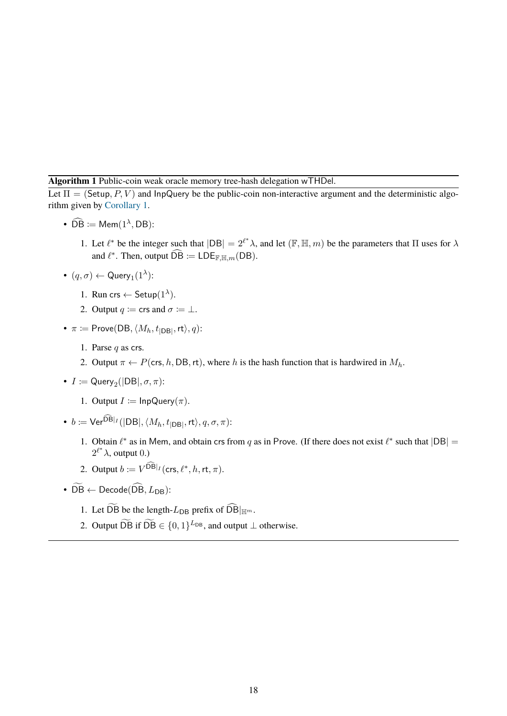#### **Algorithm 1** Public-coin weak oracle memory tree-hash delegation wTHDel.

Let  $\Pi = ($ Setup,  $P, V)$  and InpQuery be the public-coin non-interactive argument and the deterministic algorithm given by Corollary 1. **orithm 1** Public-co<br>  $\Pi = (\textsf{Setup}, P, V)$ <br>
m given by Corolla<br> **•**  $\widehat{\textsf{DB}} \coloneqq \textsf{Mem}(1^{\lambda})$ 

- $\widehat{DB} := \mathsf{Mem}(1^{\lambda}, DB)$ :
- 1. Let  $\ell^*$  [be the in](#page-16-1)teger such that  $|DB| = 2^{\ell^*} \lambda$ , and let  $(\mathbb{F}, \mathbb{H}, m)$  be the parameters that  $\Pi$  uses for  $\lambda$ and *ℓ ∗*  $n(1^{\lambda}, DB)$ :<br>be the integer such that  $|DB| = 2^{\ell^*} \lambda$ ,<br>Then, output  $\widehat{DB} := LDE_{\mathbb{F},\mathbb{H},m}(DB)$ .
- $\bullet$   $(q, \sigma) \leftarrow$  Query<sub>1</sub> $(1^{\lambda})$ :
	- 1. Run crs  $\leftarrow$  Setup $(1^{\lambda})$ .
	- 2. Output  $q := \text{crs}$  and  $\sigma := \bot$ .
- $\bullet$   $\pi \coloneqq \mathsf{Prove}(\mathsf{DB}, \langle M_h, t_{|\mathsf{DB}|}, \mathsf{rt}\rangle, q)$ :
	- 1. Parse *q* as crs.
	- 2. Output  $\pi \leftarrow P(\text{crs}, h, \text{DB}, \text{rt})$ , where *h* is the hash function that is hardwired in  $M_h$ .
- $I \coloneqq \mathsf{Query}_2(|\mathsf{DB}|, \sigma, \pi)$ :
	- 1. Output  $I := \mathsf{InpQuery}(\pi)$ .
- $\bullet$  *b* :=  $\mathsf{Ver}^{\mathsf{DB}|_{I}}(|\mathsf{DB}|, \langle M_{h}, t_{|\mathsf{DB}|}, \mathsf{rt}\rangle, q, \sigma, \pi)$ :
- 1. Obtain  $\ell^*$  as in Mem, and obtain crs from *q* as in Prove. (If there does not exist  $\ell^*$  such that  $|DB|$  =  $2^{\ell^*}\lambda$ , output 0.) 1. Obtain *ε* as in Went,<br>  $2^{l^*} \lambda$ , output 0.)<br>
2. Output *b* :=  $V^{\widehat{DB}|I}$  (cr<br>
• DB ← Decode(DB, *L*<sub>DB</sub>):
	- 2. Output  $b := V^{DB|I}(\text{crs}, \ell^*, h, \text{rt}, \pi)$ .
- 
- 2. Output  $b := V^{\widehat{DB}|I}(\text{crs}, \ell^*, h, \text{rt}, \pi)$ .<br>  $\widehat{B} \leftarrow \text{Decode}(\widehat{DB}, L_{DB})$ :<br>
1. Let  $\widehat{DB}$  be the length- $L_{DB}$  prefix of  $\widehat{DB}|_{\mathbb{H}^m}$ .
- $\widehat{B}$  ← Decode( $\widehat{DB}$ ,  $L_{DB}$ ):<br>1. Let  $\widehat{DB}$  be the length- $L_{DB}$ <br>2. Output  $\widehat{DB}$  if  $\widehat{DB} \in \{0, 1\}$ 2. Output  $\widetilde{DB}$  if  $\widetilde{DB}$  ∈ {0, 1}<sup>L<sub>DB</sub></sup>, and output ⊥ otherwise.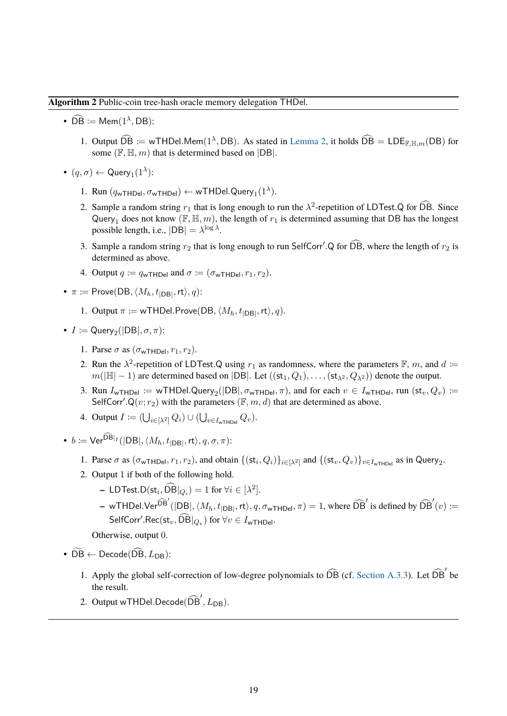#### **Algorithm 2** Public-coin tree-hash oracle memory delegation THDel.

- **DDE** := Mem(1<sup> $\lambda$ </sup>, DB):
	- **1. Output DB** := wTHDel.Mem(1<sup>λ</sup>, DB). As stated in Lemma 2, it holds  $\widehat{DB}$  = LDE<sub>F,H*,m*</sub>(DB) for <br>1. Output  $\widehat{DB}$  := wTHDel.Mem(1<sup>λ</sup>, DB). As stated in Lemma 2, it holds  $\widehat{DB}$  = LDE<sub>F,H*,m*</sub>(DB) for some (F*,* H*, m*) that is determined based on *|*DB*|*.
- <span id="page-18-0"></span> $\bullet$   $(q, \sigma) \leftarrow$  Query<sub>1</sub> $(1^{\lambda})$ :
	- 1. Run  $(q_{\text{wTHDel}}, \sigma_{\text{wTHDel}}) \leftarrow \text{wTHDel}.$  Query<sub>1</sub> $(1^{\lambda})$ .
- *n* →  $\sigma$  are  $\sigma_{\text{wTHDel}}(1^{\lambda})$ :<br>
1. Run ( $q_{\text{wTHDel}}$ ,  $\sigma_{\text{wTHDel}}$ ) ← wTHDel.Query<sub>1</sub>(1<sup> $\lambda$ </sup>).<br>
2. Sample a random string  $r_1$  that is long enough to run the  $\lambda^2$ -repetition of LDTest.Q for DB. Since Query<sub>1</sub> does not know ( $\mathbb{F}, \mathbb{H}, m$ ), the length of  $r_1$  is determined assuming that DB has the longest possible length, i.e.,  $|DB| = \lambda^{\log \lambda}$ . 3. Sample a random string  $r_1$  that is long enough to run the  $\lambda^2$ -repetition of LDTest.Q for  $\widehat{DB}$ . Since Query<sub>1</sub> does not know ( $\mathbb{F}, \mathbb{H}, m$ ), the length of  $r_1$  is determined assuming that DB has the longest
	- determined as above.
	- 4. Output  $q := q_{\text{wTHDel}}$  and  $\sigma := (\sigma_{\text{wTHDel}}, r_1, r_2)$ .
- $\bullet$   $\pi \coloneqq \mathsf{Prove}(\mathsf{DB}, \langle M_h, t_{|\mathsf{DB}|}, \mathsf{rt}\rangle, q)$ :
	- 1. Output  $\pi := \text{wTHDel}$ . Prove(DB,  $\langle M_h, t_{|\text{DB}|}, \text{rt} \rangle$ , *q*).
- $I \coloneqq \mathsf{Query}_2(|\mathsf{DB}|, \sigma, \pi)$ :
	- 1. Parse  $\sigma$  as  $(\sigma_{\text{wTHDel}}, r_1, r_2)$ .
	- 2. Run the  $\lambda^2$ -repetition of LDTest.Q using  $r_1$  as randomness, where the parameters F, *m*, and  $d :=$  $m(|\mathbb{H}| - 1)$  are determined based on *DB|*. Let  $((\mathsf{st}_1, Q_1), \ldots, (\mathsf{st}_\lambda, Q_\lambda, Q_2))$  denote the output.
	- 3. Run  $I_{wTHDel} := wTHDel$ . Query<sub>2</sub>( $|DB|$ ,  $\sigma_{wTHDel}$ ,  $\pi$ ), and for each  $v \in I_{wTHDel}$ , run  $(st_v, Q_v) :=$ SelfCorr<sup>'</sup>. $Q(v; r_2)$  with the parameters  $(\mathbb{F}, m, d)$  that are determined as above. 2. Run die  $\lambda$  -repetition of ED rest:  $Q$  using  $\ell_1$ <br>  $m(|\mathbb{H}|-1)$  are determined based on |DB|. I<br>
	3. Run  $I_{\text{wTHDel}} := \text{wTHDel}.\text{Query}_2(|DB|, \sigma_{\text{w1}})$ <br>
	SelfCorr'.  $Q(v; r_2)$  with the parameters ( $\mathbb{F}, m$ <br>
	4. Output  $I := (\$
	-
- $\bullet$   $b \coloneqq \mathsf{Ver}^{\mathsf{DB}|_I}(|\mathsf{DB}|, \langle M_h, t_{|\mathsf{DB}|}, \mathsf{rt}\rangle, q, \sigma, \pi)$ :
	- 1. Parse  $\sigma$  as  $(\sigma_w$ THDel,  $r_1, r_2)$ , and obtain  $\{(\textsf{st}_i, Q_i)\}_{i \in [\lambda^2]}$  and  $\{(\textsf{st}_v, Q_v)\}_{v \in I_w$ THDel as in Query<sub>2</sub>.
	- 2. Output 1 if both of the following hold.
- $-$  LDTest.D $(\mathsf{st}_i, \tilde{\mathsf{DB}}|_{Q_i}) = 1$  for  $\forall i \in [\lambda^2].$  $\frac{p_{\text{rel}}, r_1, r}{\text{f the fol}},$ <br> $\frac{p_{\text{rel}}, r_1, r}{\text{f the fol}}$
- The  $\sigma$  as  $(\sigma_{\text{wTHDel}}, r_1, r_2)$ , and obtain  $\{(\text{St}_i, Q_i)\}_{i \in [\lambda^2]}$  and  $\{(\text{St}_v, Q_v)\}_{v \in I_{\text{wTHDel}}}$  as in Query<sub>2</sub>.<br>  $\text{t.t. } \text{t.t. } \text{t.t. } \text{t.t. } \text{t.t. } \text{t.t. } \text{t.t. } \text{t.t. } \text{t.t. } \text{t.t. } \text{t.t. } \text{t.t. } \text{t.t. } \text{t.t. } \text{t$  $\mathsf{SelfCorr}'.\mathsf{Rec}(\mathsf{st}_v, \widehat{\mathsf{DB}}|_{Q_v}) \text{ for } \forall v\in I_{\mathsf{wTHDel}}.$ ith of the followith<br>  $D(st_i, \widehat{DB}|_{Q_i}) =$ <br>  $Ner^{\widehat{DB}'}(|DB|, \langle B_k \rangle)$ <br>  $Rec(st_v, \widehat{DB}|_{Q_v})$

Otherwise, output 0.

- $\widetilde{DB} \leftarrow \mathsf{Decode}(\widehat{DB}, L_{\mathsf{DB}})$ :
- Otherwise, output 0.<br>  $\tilde{B} \leftarrow \text{Decode}(\widehat{DB}, L_{DB})$ :<br>
1. Apply the global self-correction of low-degree polynomials to  $\widehat{DB}$  (cf. Section A.3.3). Let  $\widehat{DB}'$  be the result. 2. Output wTHDel.Decode( $\widehat{DB}$ <sup>*'*</sup>, *L*<sub>DB</sub><sup>'</sup>, *L*<sub>DB</sub><sup>'</sup>, *L*<sub>DB</sub><sup>'</sup>, *L*<sub>DB</sub><sup>'</sup>, *L*<sub>DB</sub><sup>'</sup>, *L*<sub>DB</sub><sup>'</sup>, *L*<sub>DB</sub><sup>'</sup>, *L*<sub>DB</sub><sup>'</sup>, *L*<sub>DB</sub><sup>'</sup>, *L*<sub>DB</sub><sup>'</sup>, *L*<sub>DB</sub><sup>'</sup>, *L*<sub>DB</sub><sup>'</sup>, *L*<sub>DB</sub><sup>'</sup>, *L*<sub>DB</sub><sup>'</sup>, *L*<sub>DB</sub><sup>'</sup>, *L* 
	-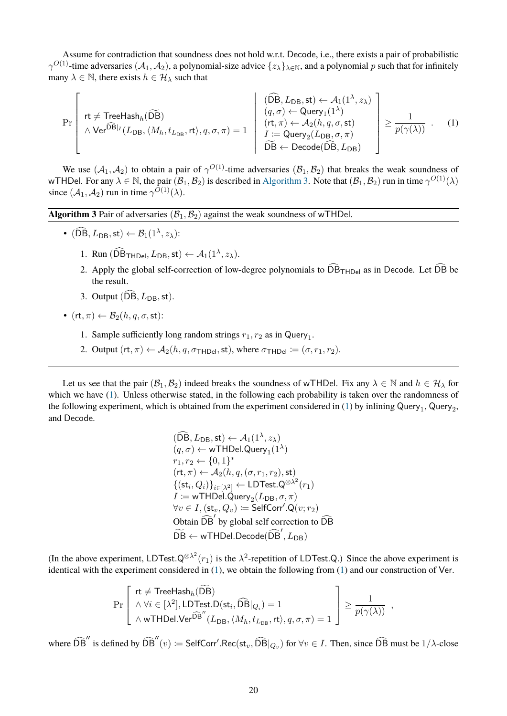Assume for contradiction that soundness does not hold w.r.t. Decode, i.e., there exists a pair of probabilistic *γ*<sup>*O*(1)</sup>-time adversaries (*A*<sub>1</sub>*, A*<sub>2</sub>*)*, a polynomial-size advice  $\{z_{\lambda}\}_{\lambda \in \mathbb{N}}$ , and a polynomial *p* such that for infinitely many  $\lambda \in \mathbb{N}$ , there exists  $h \in \mathcal{H}_{\lambda}$  such that w.r.t. Decode, i.e., there<br>  $\{z_{\lambda}\}_{{\lambda \in \mathbb{N}}},$  and a polynor<br>  $(\widehat{\sf DB}, L_{\sf DB}, \sf{st}) \leftarrow \mathcal{A}_1(1^{\lambda})$  $\mathbf{S}$ 

$$
\Pr\left[\begin{array}{c}\n\text{rt} \neq \text{TreeHash}_h(\widetilde{\mathsf{DB}}) \\
\text{rt} \neq \text{TreeHash}_h(\widetilde{\mathsf{DB}}) \\
\text{N Ver}^{\widehat{\mathsf{DB}}|_I}(L_{\mathsf{DB}}, \langle M_h, t_{L_{\mathsf{DB}}}, \mathsf{rt}\rangle, q, \sigma, \pi) = 1 \\
\begin{array}{c}\n\text{(OR, L_{\mathsf{DB}}, \mathsf{st})} \leftarrow \mathcal{A}_1(1^{\lambda}, z_{\lambda}) \\
\text{(R, L_{\mathsf{DB}}, \mathsf{st})} \leftarrow \mathcal{A}_1(1^{\lambda}, z_{\lambda}) \\
\text{(R, L_{\mathsf{DB}}, \mathsf{B}, \mathsf{st})} \leftarrow \mathcal{A}_1(1^{\lambda}, z_{\lambda}) \\
\text{(R, L_{\mathsf{DB}}, \mathsf{B}, \mathsf{st})} \\
\text{(R, L_{\mathsf{DB}}, \mathsf{B}, \mathsf{st})} \\
\text{(R, L_{\mathsf{DB}}, \mathsf{B}, \mathsf{st})} \\
\text{(R, L_{\mathsf{DB}}, \mathsf{B}, \mathsf{B})} \leftarrow \text{Query}_2(L_{\mathsf{DB}}, \sigma, \pi)\n\end{array}\right] \geq \frac{1}{p(\gamma(\lambda))}.\n\tag{1}
$$

We use  $(A_1, A_2)$  to obtain a pair of  $\gamma^{O(1)}$ -time adversaries  $(B_1, B_2)$  that breaks the weak soundness of wTHDel. For any  $\lambda \in \mathbb{N}$ , the pair  $(\mathcal{B}_1, \mathcal{B}_2)$  is described in Algorithm 3. Note that  $(\mathcal{B}_1, \mathcal{B}_2)$  run in time  $\gamma^{O(1)}(\lambda)$ since  $(A_1, A_2)$  run in time  $\gamma^{O(1)}(\lambda)$ .  $e(\mathcal{A}_1, \mathcal{A}_2)$  run in time  $\gamma^{\tilde{O}(1)}(\lambda)$ <br> **orithm 3** Pair of adversaries (B<br> **•** (DB,  $L_{\text{DB}}$ , st)  $\leftarrow \mathcal{B}_1(1^{\lambda}, z_{\lambda})$ :

**Algorithm 3** Pair of adversaries  $(B_1, B_2)$  against the wea[k soundness o](#page-19-0)f wTHDel.

- <span id="page-19-0"></span>
- <span id="page-19-1"></span>**1. Run** ( $\widehat{DB}$ , *L*<sub>DB</sub>, st) ← *B*<sub>1</sub>(1<sup> $λ$ </sup>, *z*<sub> $λ$ </sub>):<br>
1. Run ( $\widehat{DB}$ THDel, *L*<sub>DB</sub>, st) ← *A*<sub>1</sub>(1<sup> $λ$ </sup>, *z*<sub> $λ$ </sub>).
- $\widehat{AB}, L_{DB}, st) \leftarrow B_1(1^{\lambda}, z_{\lambda})$ :<br>1. Run ( $\widehat{DB}_{\text{THDel}}, L_{DB}, st) \leftarrow A_1(1^{\lambda}, z_{\lambda})$ .<br>2. Apply the global self-correction of low-degree polynomials to  $\widehat{DB}_{\text{THDel}}$  as in Decode. Let  $\widehat{DB}$  be the result. 1. Run ( $\overline{DB}$ <sub>THDel</sub>,  $L_{DB}$ , s<br>2. Apply the global self-<br>the result.<br>3. Output ( $\widehat{DB}$ ,  $L_{DB}$ , st).
	-
- $(\mathsf{rt}, \pi) \leftarrow \mathcal{B}_2(h, q, \sigma, \mathsf{st})$ :
	- 1. Sample sufficiently long random strings  $r_1, r_2$  as in Query<sub>1</sub>.
	- 2. Output  $(\mathsf{rt}, \pi) \leftarrow \mathcal{A}_2(h, q, \sigma_{\mathsf{THDel}}, \mathsf{st})$ , where  $\sigma_{\mathsf{THDel}} \coloneqq (\sigma, r_1, r_2)$ .

Let us see that the pair  $(\mathcal{B}_1, \mathcal{B}_2)$  indeed breaks the soundness of wTHDel. Fix any  $\lambda \in \mathbb{N}$  and  $h \in \mathcal{H}_\lambda$  for which we have (1). Unless otherwise stated, in the following each probability is taken over the randomness of the following experiment, which is obtained from the experiment considered in (1) by inlining  $\text{Query}_1, \text{Query}_2,$ and Decode. vise stated, in the follow<br>s obtained from the expe<br> $(\widehat{\rm DB}, L_{\rm DB}, \text{st}) \leftarrow \mathcal{A}_1(1^{\lambda})$ 

$$
(\widehat{DB}, L_{DB}, st) \leftarrow \mathcal{A}_1(1^{\lambda}, z_{\lambda})
$$
  
(q, \sigma) \leftarrow wTHDel.Query<sub>1</sub>(1<sup>\lambda</sup>)  
r<sub>1</sub>, r<sub>2</sub> \leftarrow {0, 1}<sup>\*</sup>  
(rt, \pi) \leftarrow \mathcal{A}\_2(h, q, (\sigma, r\_1, r\_2), st)  
{ (st<sub>i</sub>, Q<sub>i</sub>)}<sub>i\in</sub>\_{2} \leftarrow LDTest.Q<sup>\otimes\lambda^2</sup>(r<sub>1</sub>)  
I := wTHDel.Query<sub>2</sub>(L\_{DB}, \sigma, \pi)  
\forall v \in I, (st<sub>v</sub>, Q<sub>v</sub>) := SelfCorr'.Q(v; r<sub>2</sub>)  
Obtain  $\widehat{DB}$  by global self correction to  $\widehat{DB}$   
 $\widehat{DB}$  \leftarrow wTHDel.Decode( $\widehat{DB}'$ , L<sub>DB</sub>)

(In the above experiment, LDTest. $Q^{\otimes \lambda^2}(r_1)$  is the  $\lambda^2$ -repetition of LDTest.Q.) Since the above experiment is (In the above experiment, LD lest.Q<sup>ox</sup> (r<sub>1</sub>) is the  $\lambda^2$ -repetition of LD lest.Q.) Since the above experiment is<br>identical with the experiment considered in (1), we obtain the following from (1) and our construction o nt, LDTest. $Q^{\otimes \lambda^2}(r_1)$ <br>iment considered in (<br>rt  $\neq$  TreeHash<sub>*h*</sub>( $\widetilde{\text{DB}}$ )  $\left( . \right)$ 

$$
\Pr\left[\begin{array}{l}\mathsf{rt} \neq \mathsf{TreeHash}_h(\widetilde{\mathsf{DB}})\\ \wedge \forall i \in [\lambda^2], \mathsf{LDTest.D}(\mathsf{st}_i, \widehat{\mathsf{DB}}|_{Q_i}) = 1\\ \wedge \mathsf{wTHDel}.\mathsf{Ver}^{\widehat{\mathsf{DB}}''}(L_{\mathsf{DB}}, \langle M_h, t_{L_{\mathsf{DB}}}, \mathsf{rt}\rangle, q, \sigma, \pi) = 1\end{array}\right] \geq \frac{1}{p(\gamma(\lambda))},
$$
\n
$$
\text{where } \widehat{\mathsf{DB}}'' \text{ is defined by } \widehat{\mathsf{DB}}''(v) := \mathsf{SelfCorr}'.\text{Rec}(\mathsf{st}_v, \widehat{\mathsf{DB}}|_{Q_v}) \text{ for } \forall v \in I. \text{ Then, since } \widehat{\mathsf{DB}} \text{ must be } 1/\lambda \text{-close}
$$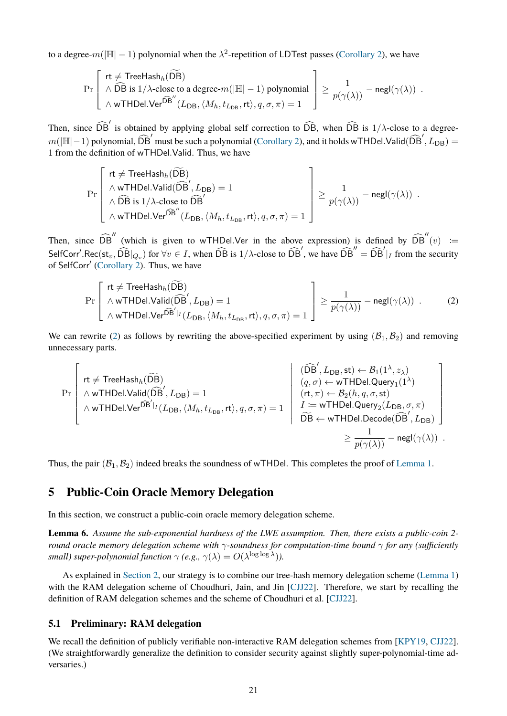to a degree- $m(|\mathbb{H}| - 1)$  polynomial when the  $\lambda^2$ -repetition of LDTest passes (Corollary 2), we have  $\overline{a}$ 

to a degree-
$$
m(|\mathbb{H}|-1)
$$
 polynomial when the  $\lambda^2$ -repetition of LDTest passes (Corollary 2), we have  
\n
$$
\Pr\left[\begin{array}{l}\text{rt} \neq \text{TreeHash}_h(\widetilde{\mathsf{DB}})\\ \text{ } \wedge \text{ } \widetilde{\mathsf{DB}} \text{ is } 1/\lambda \text{-close to a degree-}m(|\mathbb{H}|-1) \text{ polynomial}\\ \text{ } \wedge \text{ wTHDel.Ver}^{\widehat{\mathsf{DB}}''}(L_{\mathsf{DB}}, \langle M_h, t_{L_{\mathsf{DB}}}, \text{rt}\rangle, q, \sigma, \pi) = 1\end{array}\right] \ge \frac{1}{p(\gamma(\lambda))} - \text{negl}(\gamma(\lambda)) .
$$
\nThen, since  $\widehat{\mathsf{DB}}'$  is obtained by applying global self correction to  $\widehat{\mathsf{DB}}$ , when  $\widehat{\mathsf{DB}}$  is  $1/\lambda$ -close to a degree-

 $\left[ \begin{array}{c} \wedge \text{wTHDel}.\text{Ver}^{\widehat{\text{DB}}''}(L_{\text{DB}}, \langle M_h, t_{L_{\text{DB}}}, \text{rt} \rangle, q, \sigma, \pi) = 1 \end{array} \right]$  *p*( $\gamma(\lambda)$ )<br>Then, since  $\widehat{\text{DB}}'$  is obtained by applying global self correction to  $\widehat{\text{DB}}$ , when  $\widehat{\text{DB}}$  is  $1/\lambda$ -close to blynomial,  $\widehat{DB}'$  must be such a polynomial (Corollary 2), and it holds wTHDel.Valid $(\widehat{DB}', L_{DB}) =$ 1 from the definition of wTHDel*.*Valid. Thus, we have  $\widehat{OR}'$  is obtained by applying global self-correction to  $\widehat{OR}$ is obtained by apply<br>nomial,  $\widehat{DB}'$  must be s<br>ition of wTHDel.Valid<br>rt  $\neq$  TreeHash<sub>*h*</sub>( $\widehat{DB}$ )  $\mathsf{m}$ 

$$
m(|\mathbb{H}|-1)
$$
 polynomial, DB must be such a polynomial (Corollary 2), and it holds w 1 HDE. Value (DB, L<sub>DB</sub>) = 1  
\n1 from the definition of wTHDel. Valid (DB)  
\n
$$
\begin{bmatrix}\nr \neq \text{TreeHash}_{h}(\widetilde{DB}) \\
\wedge \text{ wTHDel.Valid}(\widetilde{DB}', L_{DB}) = 1 \\
\wedge \widehat{DB} \text{ is } 1/\lambda \text{-close to } \widehat{DB}' \\
\wedge \text{ wTHDel.Ver}^{\widehat{DB}''}(L_{DB}, \langle M_h, t_{L_{DB}}, \text{rt}\rangle, q, \sigma, \pi) = 1\n\end{bmatrix} \ge \frac{1}{p(\gamma(\lambda))} - \text{negl}(\gamma(\lambda)) .
$$
\nThen, since  $\widehat{DB}''$  (which is given to wTHDel. Ver in the above expression) is defined by  $\widehat{DB}''(v) :=$ 

 $\left[ \wedge \text{wTHDel} \cdot \text{Ver}^{\widehat{\text{DB}}''}(L_{\text{DB}}, \langle M_h, t_{L_{\text{DB}}}, \text{rt} \rangle, q, \sigma, \pi) = 1 \right]$ <br>Then, since  $\widehat{\text{DB}}''$  (which is given to wTHDel.Ver in the above expression) is defined by  $\widehat{\text{DB}}''(v) :=$ <br>SelfCorr'.Rec(st<sub>v</sub>,  $\widehat{\text{DB}}|_{Q_v$  $\begin{aligned} \mathbf{r}_{\text{tr}}, \widehat{\text{DB}}|_{Q_v} \text{ for } \forall v \in I, \\ \text{rollary 2). Thus, we have} \\ \mathbf{r} \neq \text{TreeHash}_{h}(\widehat{\text{DB}}) \end{aligned}$ ve

Serror .Rec<sub>(st<sub>v</sub>, DB<sub>|Q<sub>v</sub></sub>) for *νv* ∈ *I*, when DB is 1/*λ*-close to DB, we have DB = DB |*I* from the security  
of SelfCorr' (Corollary 2). Thus, we have  

$$
\Pr\left[\begin{array}{l}\nr \neq \text{TreeHash}_h(\widetilde{DB})\\
\land \text{ wTHDel.Valid}(\widetilde{DB}', L_{DB}) = 1\\
\land \text{ wTHDel.VerDB'|I(L_{DB}, \langle M_h, t_{L_{DB}}, rt \rangle, q, \sigma, π) = 1\end{array}\right] \geq \frac{1}{p(\gamma(\lambda))} - \text{negl}(\gamma(\lambda))
$$
(2)</sub>

We can rewrite (2) as follows by rewriting the above-specified experiment by using  $(B_1, B_2)$  and removing<br>unnecessary parts.<br> $\left[\begin{array}{c} (\widehat{DB}', L_{DB}, st) \leftarrow B_1(1^{\lambda}, z_{\lambda}) \\ (q, \sigma) \leftarrow wTHDel.Query_1(1^{\lambda}) \end{array}\right]\right]$ we can rewrite (2)  $perin$ <sup>*⁄*</sup> $\widehat{DB}$ *′*  $\overline{\mathcal{U}}$ 

<span id="page-20-2"></span>
$$
\Pr\left[\begin{array}{l}\mathsf{rt} \neq \mathsf{TreeHash}_h(\widetilde{\mathsf{DB}})\\ \wedge \mathsf{wTHDel}.\mathsf{Valid}(\widetilde{\mathsf{DB}}', L_{\mathsf{DB}}) = 1\\ \wedge \mathsf{wTHDel}.\mathsf{Ver}^{\widetilde{\mathsf{DB}}'}|_I(L_{\mathsf{DB}}, \langle M_h, t_{L_{\mathsf{DB}}} , \mathsf{rt}\rangle, q, \sigma, \pi) = 1\\ \end{array}\right] \left\{\begin{array}{l} (\widehat{\mathsf{DB}}', L_{\mathsf{DB}}, \mathsf{st}) \leftarrow \mathcal{B}_1(1^\lambda, z_\lambda)\\ (q, \sigma) \leftarrow \mathsf{wTHDel}.\mathsf{Query}_1(1^\lambda)\\ (\mathsf{rt}, \pi) \leftarrow \mathcal{B}_2(h, q, \sigma, \mathsf{st})\\ I := \mathsf{wTHDel}.\mathsf{Query}_2(L_{\mathsf{DB}}, \sigma, \pi)\\ \widetilde{\mathsf{DB}} \leftarrow \mathsf{wTHDel}.\mathsf{Decode}(\widetilde{\mathsf{DB}}', L_{\mathsf{DB}})\end{array}\right]\right.\\ \geq \frac{1}{p(\gamma(\lambda))} - \mathsf{negl}(\gamma(\lambda))\ .
$$

Thus, the pair  $(\mathcal{B}_1, \mathcal{B}_2)$  indeed breaks the soundness of wTHDel. This completes the proof of Lemma 1.

# **5 Public-Coin Oracle Memory Delegation**

In this section, we construct a public-coin oracle memory delegation scheme.

<span id="page-20-0"></span>**Lemma 6.** *Assume the sub-exponential hardness of the LWE assumption. Then, there exists a public-coin 2 round oracle memory delegation scheme with γ-soundness for computation-time bound γ for any (sufficiently small)* super-polynomial function  $\gamma$  (e.g.,  $\gamma(\lambda) = O(\lambda^{\log \log \lambda})$ ).

<span id="page-20-3"></span>As explained in Section 2, our strategy is to combine our tree-hash memory delegation scheme (Lemma 1) with the RAM delegation scheme of Choudhuri, Jain, and Jin [CJJ22]. Therefore, we start by recalling the definition of RAM delegation schemes and the scheme of Choudhuri et al. [CJJ22].

#### **5.1 Preliminar[y: RAM d](#page-2-1)elegation**

<span id="page-20-1"></span>We recall the definition of publicly verifiable non-interactive RAM delegati[on sch](#page-37-7)emes from [KPY19, CJJ22]. (We straightforwardly generalize the definition to consider security against slightly super-polynomial-time adversaries.)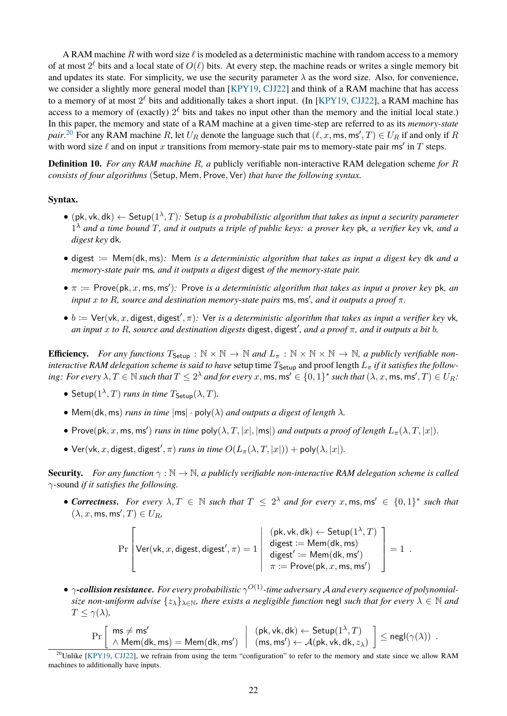A RAM machine *R* with word size *ℓ* is modeled as a deterministic machine with random access to a memory of at most  $2^{\ell}$  bits and a local state of  $O(\ell)$  bits. At every step, the machine reads or writes a single memory bit and updates its state. For simplicity, we use the security parameter  $\lambda$  as the word size. Also, for convenience, we consider a slightly more general model than [KPY19, CJJ22] and think of a RAM machine that has access to a memory of at most  $2^{\ell}$  bits and additionally takes a short input. (In [KPY19, CJJ22], a RAM machine has access to a memory of (exactly)  $2^{\ell}$  bits and takes no input other than the memory and the initial local state.) In this paper, the memory and state of a RAM machine at a given time-step are referred to as its *memory-state pair*.<sup>20</sup> For any RAM machine *R*, let  $U_R$  denote t[he langu](#page-38-11)[age suc](#page-37-7)h that  $(\ell, x, ms, ms', T) \in U_R$  if and only if *R* with word size *ℓ* and on input *x* transitions from memory-state pair ms t[o memor](#page-38-11)[y-state](#page-37-7) pair ms*′* in *T* steps.

**Definition 10.** *For any RAM machine R, a* publicly verifiable non-interactive RAM delegation scheme *for R cons[ist](#page-21-0)s of four algorithms* (Setup*,* Mem*,* Prove*,* Ver) *that have the following syntax.*

#### <span id="page-21-1"></span>**Syntax.**

- $\bullet$  (pk, vk, dk)  $\leftarrow$  Setup $(1^{\lambda}, T)$ : Setup is a probabilistic algorithm that takes as input a security parameter 1 *<sup>λ</sup> and a time bound T, and it outputs a triple of public keys: a prover key* pk*, a verifier key* vk*, and a digest key* dk*.*
- *•* digest := Mem(dk*,* ms)*:* Mem *is a deterministic algorithm that takes as input a digest key* dk *and a memory-state pair* ms*, and it outputs a digest* digest *of the memory-state pair.*
- $\bullet \pi := \mathsf{Prove}(\mathsf{pk}, x, \mathsf{ms}, \mathsf{ms}')$ : Prove *is a deterministic algorithm that takes as input a prover key pk, an input x to R, source and destination memory-state pairs* ms*,* ms*′ , and it outputs a proof π.*
- $b := \text{Ver}(vk, x, \text{digest}, \text{digest}', \pi)$ *:* Ver *is a deterministic algorithm that takes as input a verifier key vk, an input x to R, source and destination digests* digest*,* digest*′ , and a proof π, and it outputs a bit b.*

**Efficiency.** For any functions  $T_{\text{Setup}}$ :  $\mathbb{N} \times \mathbb{N} \to \mathbb{N}$  and  $L_{\pi}$ :  $\mathbb{N} \times \mathbb{N} \times \mathbb{N} \to \mathbb{N}$ , a publicly verifiable non*interactive RAM delegation scheme is said to have setup time*  $T_{\text{Setup}}$  *and proof length*  $L_{\pi}$  *<i>if it satisfies the follow*ing: For every  $\lambda, T \in \mathbb{N}$  such that  $T \leq 2^{\lambda}$  and for every  $x, \textsf{ms}, \textsf{ms}' \in \{0,1\}^*$  such that  $(\lambda, x, \textsf{ms}, \textsf{ms}', T) \in U_R$ :

- Setup $(1^{\lambda}, T)$  *runs in time*  $T_{\mathsf{Setup}}(\lambda, T)$ *.*
- Mem(dk, ms) *runs in time*  $|ms| \cdot poly(\lambda)$  *and outputs a digest of length*  $\lambda$ *.*
- Prove(pk, x, ms, ms') runs in time poly $(\lambda, T, |x|, |\text{ms}|)$  and outputs a proof of length  $L_{\pi}(\lambda, T, |x|)$ .
- Ver(vk, x, digest, digest',  $\pi$ ) *runs in time*  $O(L_{\pi}(\lambda, T, |x|)) + \text{poly}(\lambda, |x|)$ .

**Security.** For any function  $\gamma : \mathbb{N} \to \mathbb{N}$ , a publicly verifiable non-interactive RAM delegation scheme is called *γ*-sound *if it satisfies the following.*

**•** *Correctness. For every*  $\lambda, T \in \mathbb{N}$  *such that*  $T \leq 2^{\lambda}$  *and for every x*, ms, ms<sup>*'*</sup>  $\in \{0,1\}^*$  *such that*  $(\lambda, x, \text{ms}, \text{ms}', T) \in U_R$  $\leq 2^{\lambda}$  and for every  $x, \text{ms}, \text{ms'} \in$ 

$$
\Pr\left[\mathsf{Ver}(\mathsf{vk}, x, \mathsf{digest}, \mathsf{digest}', \pi) = 1 \left| \begin{array}{c} (\mathsf{pk}, \mathsf{vk}, \mathsf{dk}) \leftarrow \mathsf{Setup}(1^\lambda, T) \\ \mathsf{digest} \coloneqq \mathsf{Mem}(\mathsf{dk}, \mathsf{ms}) \\ \mathsf{digest}' \coloneqq \mathsf{Mem}(\mathsf{dk}, \mathsf{ms}') \\ \pi \coloneqq \mathsf{Prove}(\mathsf{pk}, x, \mathsf{ms}, \mathsf{ms}') \end{array} \right] = 1 \enspace .
$$

**•** *γ*-collision resistance. For every probabilistic  $γ^{O(1)}$ -time adversary *A* and every sequence of polynomial*size non-uniform advise*  $\{z_\lambda\}_{\lambda\in\mathbb{N}}$ *, there exists a negligible function* negl *such that for every*  $\lambda\in\mathbb{N}$  *and*  $T \leq \gamma(\lambda)$ ,  $\textit{lision}\ \mathcal{O} \cap \mathcal{O} \cap \mathcal{O} \cap \mathcal{O} \cap \mathcal{O} \cap \mathcal{O} \cap \mathcal{O} \cap \mathcal{O} \cap \mathcal{O} \cap \mathcal{O} \cap \mathcal{O} \cap \mathcal{O} \cap \mathcal{O} \cap \mathcal{O} \cap \mathcal{O} \cap \mathcal{O} \cap \mathcal{O} \cap \mathcal{O} \cap \mathcal{O} \cap \mathcal{O} \cap \mathcal{O} \cap \mathcal{O} \cap \mathcal{O} \cap \mathcal{O} \cap \mathcal{O} \cap \mathcal{O} \cap \mathcal{O$  $\epsilon$ 

$$
\Pr\left[\begin{array}{l} \mathsf{ms}\neq \mathsf{ms}'\\ \wedge \mathsf{Mem}(\mathsf{dk},\mathsf{ms})=\mathsf{Mem}(\mathsf{dk},\mathsf{ms}')\end{array} \middle| \begin{array}{l} (\mathsf{pk},\mathsf{vk},\mathsf{dk})\leftarrow \mathsf{Setup}(1^\lambda,T)\\ (\mathsf{ms},\mathsf{ms}')\leftarrow \mathcal{A}(\mathsf{pk},\mathsf{vk},\mathsf{dk},z_\lambda) \end{array} \right] \leq \mathsf{negl}(\gamma(\lambda))\enspace.
$$

<span id="page-21-0"></span><sup>&</sup>lt;sup>20</sup>Unlike [KPY19, CJJ22], we refrain from using the term "configuration" to refer to the memory and state since we allow RAM machines to additionally have inputs.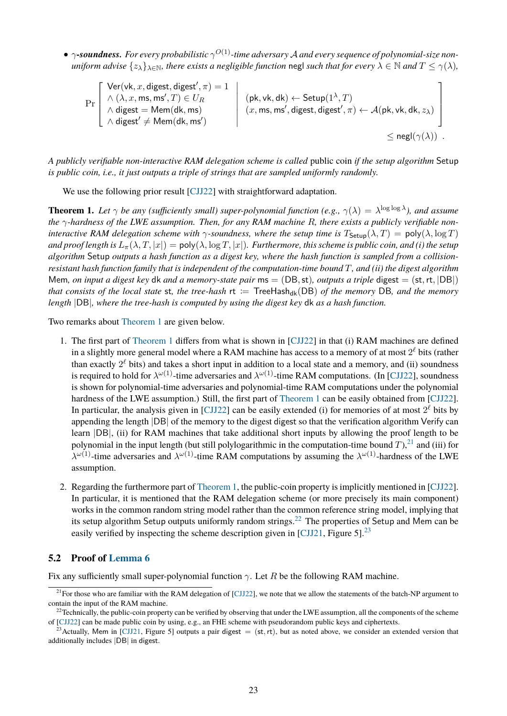*• γ-soundness. For every probabilistic γ <sup>O</sup>*(1)*-time adversary A and every sequence of polynomial-size nonuniform advise*  $\{z_{\lambda}\}_{\lambda \in \mathbb{N}}$ *, there exists a negligible function negl such that for every*  $\lambda \in \mathbb{N}$  *and*  $T \leq \gamma(\lambda)$ *,* ime adversary A and every sequence of polynomial-size n  $\frac{1}{\gamma}$ 

Pr  $\mathsf{Ver}(\mathsf{vk}, x, \mathsf{digest}, \mathsf{digest}', \pi) = 1$  $\wedge$   $(\lambda, x, \text{ms}, \text{ms}', T) \in U_R$ *∧* digest = Mem(dk*,* ms) *∧* digest*′ ̸*= Mem(dk*,* ms*′* )  $(\mathsf{pk}, \mathsf{vk}, \mathsf{dk}) \leftarrow \mathsf{Setup}(1^\lambda, T)$  $(x, \text{ms}, \text{ms}', \text{digest}, \text{digest}', \pi) \leftarrow \mathcal{A}(\text{pk}, \text{vk}, \text{dk}, z_\lambda)$  $\leq$  negl( $\gamma(\lambda)$ ) .

*A publicly verifiable non-interactive RAM delegation scheme is called* public coin *if the setup algorithm* Setup *is public coin, i.e., it just outputs a triple of strings that are sampled uniformly randomly.*

We use the following prior result [CJJ22] with straightforward adaptation.

<span id="page-22-1"></span>**Theorem 1.** Let  $\gamma$  be any (sufficiently small) super-polynomial function (e.g.,  $\gamma(\lambda) = \lambda^{\log \log \lambda}$ ), and assume *the γ-hardness of the LWE assumption. Then, for any RAM machine R, there exists a publicly verifiable noninteractive RAM delegation scheme [with](#page-37-7)*  $\gamma$ -soundness, where the setup time is  $T_{\text{Setup}}(\lambda,T) = \text{poly}(\lambda,\log T)$ *and proof length is*  $L_\pi(\lambda, T, |x|) = \text{poly}(\lambda, \log T, |x|)$ . Furthermore, this scheme is public coin, and (i) the setup *algorithm* Setup *outputs a hash function as a digest key, where the hash function is sampled from a collisionresistant hash function family that is independent of the computation-time bound T, and (ii) the digest algorithm* Mem*, on input a digest key* dk *and a memory-state pair* ms = (DB*,*st)*, outputs a triple* digest = (st*,*rt*, |*DB*|*) *that consists of the local state* st, the tree-hash  $rt :=$  TreeHash<sub>dk</sub>(DB) *of the memory* DB, and the memory *length |*DB*|, where the tree-hash is computed by using the digest key* dk *as a hash function.*

Two remarks about Theorem 1 are given below.

- 1. The first part of Theorem 1 differs from what is shown in [CJJ22] in that (i) RAM machines are defined in a slightly more general model where a RAM machine has access to a memory of at most  $2^{\ell}$  bits (rather than exactly  $2^{\ell}$  [bits\) and](#page-22-1) takes a short input in addition to a local state and a memory, and (ii) soundness is required to hold for  $\lambda^{\omega(1)}$ -time adversaries and  $\lambda^{\omega(1)}$ -time RAM computations. (In [CJJ22], soundness is shown for pol[ynomial-tim](#page-22-1)e adversaries and polynomial-t[ime RA](#page-37-7)M computations under the polynomial hardness of the LWE assumption.) Still, the first part of Theorem 1 can be easily obtained from [CJJ22]. In particular, the analysis given in [CJJ22] can be easily extended (i) for memories of at most  $2^{\ell}$  bits by appending the length *|*DB*|* of the memory to the digest digest so that the verification al[gorithm](#page-37-7) Verify can learn *|*DB*|*, (ii) for RAM machines that take additional short inputs by allowing the proof length to be polynomial in the input length (but still polylogarithmic [in the comp](#page-22-1)utation-time bound  $T$ ),<sup>21</sup> and [\(iii\) fo](#page-37-7)r *λ <sup>ω</sup>*(1)-time adversaries and *λ <sup>ω</sup>*(1)-ti[me RA](#page-37-7)M computations by assuming the *λ <sup>ω</sup>*(1)-hardness of the LWE assumption.
- 2. Regarding the furthermore part of Theorem 1, the public-coin property is implicitly mentio[ned](#page-22-2) in [CJJ22]. In particular, it is mentioned that the RAM delegation scheme (or more precisely its main component) works in the common random string model rather than the common reference string model, implying that its setup algorithm Setup outputs uniformly random strings.<sup>22</sup> The properties of Setup and Mem [can b](#page-37-7)e easily verified by inspecting the s[cheme desc](#page-22-1)ription given in [CJJ21, Figure 5].<sup>23</sup>

#### **5.2 Proof of Lemma 6**

Fix any sufficiently small super-polynomial function  $\gamma$ . Let *R* be th[e follow](#page-37-12)ing RAM [m](#page-22-3)achine.

<span id="page-22-0"></span> $^{21}$ For those who are familiar with the RAM delegation of [CJJ22], we note that we allow the statements of the batch-NP argument to contain the input of [the RAM mac](#page-20-3)hine.

 $^{22}$ Technically, the public-coin property can be verified by observing that under the LWE assumption, all the components of the scheme of [CJJ22] can be made public coin by using, e.g., an FHE scheme with pseudorandom public keys and ciphertexts.

<span id="page-22-3"></span><span id="page-22-2"></span><sup>&</sup>lt;sup>23</sup> Actually, Mem in [CJJ21, Figure 5] outputs a pair digest  $=$  (st, rt), but as noted above, we consider an extended version that additionally includes *|*DB*|* in digest.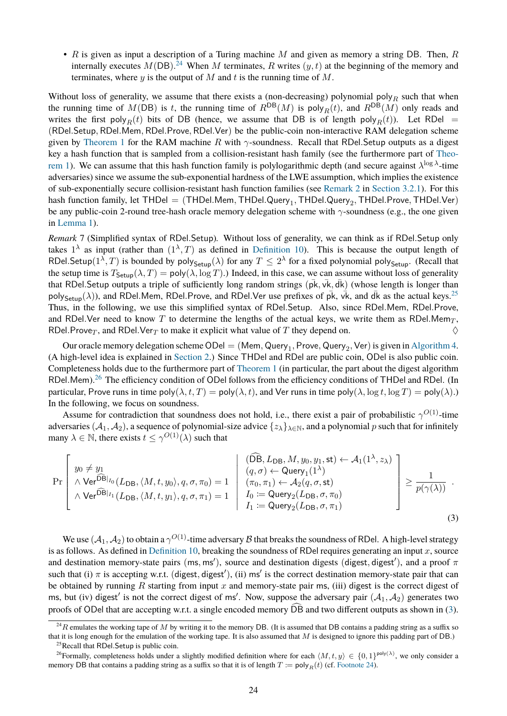• *R* is given as input a description of a Turing machine *M* and given as memory a string DB. Then, *R* internally executes  $M(DB)$ .<sup>24</sup> When M terminates, R writes  $(y, t)$  at the beginning of the memory and terminates, where *y* is the output of *M* and *t* is the running time of *M*.

Without loss of generality, we assume that there exists a (non-decreasing) polynomial poly<sub>*R*</sub> such that when the running time of  $M(DB)$  is *t*[, th](#page-23-0)e running time of  $R^{DB}(M)$  is poly $_R(t)$ , and  $R^{DB}(M)$  only reads and writes the first poly<sub>R</sub>(*t*) bits of DB (hence, we assume that DB is of length poly<sub>R</sub>(*t*)). Let RDel = (RDel*.*Setup*,* RDel*.*Mem*,* RDel*.*Prove*,* RDel*.*Ver) be the public-coin non-interactive RAM delegation scheme given by Theorem 1 for the RAM machine *R* with *γ*-soundness. Recall that RDel*.*Setup outputs as a digest key a hash function that is sampled from a collision-resistant hash family (see the furthermore part of Theorem 1). We can assume that this hash function family is polylogarithmic depth (and secure against  $\lambda^{\log \lambda}$ -time adversaries) since we assume the sub-exponential hardness of the LWE assumption, which implies the existence of sub-ex[ponentially](#page-22-1) secure collision-resistant hash function families (see Remark 2 in Section 3.2.1). F[or this](#page-22-1) hash function family, let THDel = (THDel.Mem, THDel.Query<sub>1</sub>, THDel.Query<sub>2</sub>, THDel.Prove, THDel.Ver) [be any](#page-22-1) public-coin 2-round tree-hash oracle memory delegation scheme with *γ*-soundness (e.g., the one given in Lemma 1).

<span id="page-23-4"></span>*Remark* 7 (Simplified syntax of RDel*.*Setup)*.* Without loss of generality, [we can th](#page-7-3)in[k as if](#page-6-4) RDel*.*Setup only takes  $1^{\lambda}$  as input (rather than  $(1^{\lambda}, T)$  as defined in Definition 10). This is because the output length of RDel.[Setup](#page-11-4)( $1^{\lambda}$ , *T*) is bounded by poly<sub>Setup</sub>( $\lambda$ ) for any  $T \leq 2^{\lambda}$  for a fixed polynomial poly<sub>Setup</sub>. (Recall that the setup time is  $T_{\text{Setup}}(\lambda, T) = \text{poly}(\lambda, \log T)$ .) Indeed, in this case, we can assume without loss of generality that RDel.Setup outputs a triple of sufficiently long random strings ( $p\bar{k}$ ,  $\bar{vk}$ ,  $\bar{dk}$ ) (whose length is longer than  $poly_{\text{Setup}}(\lambda)$ ), and RDel.Mem, RDel.Prove, and RDel.Ver [use prefix](#page-21-1)es of  $\bar{pk}$ ,  $\bar{vk}$ , and  $\bar{dk}$  as the actual keys.<sup>25</sup> Thus, in the following, we use this simplified syntax of RDel*.*Setup. Also, since RDel*.*Mem, RDel*.*Prove, and RDel.Ver need to know T to determine the lengths of the actual keys, we write them as RDel.Mem<sub>T</sub>, RDel.Prove<sub>*T*</sub>, and RDel.Ver<sub>*T*</sub> to make it explicit what value of *T* they depend on.  $\diamond$ 

Our oracle memory delegation scheme ODel = (Mem, Query<sub>1</sub>, Prove, Query<sub>2</sub>, Ver) is given in Algorithm 4. (A high-level idea is explained in Section 2.) Since THDel and RDel are public coin, ODel is also public coin. Completeness holds due to the furthermore part of Theorem 1 (in particular, the part about the digest algorithm RDel*.*Mem).<sup>26</sup> The efficiency condition of ODel follows from the efficiency conditions of THDel and RDel. (In particular, Prove runs in time  $poly(\lambda, t, T) = poly(\lambda, t)$  $poly(\lambda, t, T) = poly(\lambda, t)$ , and Ver runs in time  $poly(\lambda, \log t, \log T) = poly(\lambda)$ .) In the following, we focus on sou[ndness.](#page-2-1)

Assume [fo](#page-23-2)r contradiction that soundness does [not hold, i](#page-22-1).e., there exist a pair of probabilistic  $\gamma^{O(1)}$ -time adversaries  $(A_1, A_2)$ , a sequence of polynomial-size advice  $\{z_{\lambda}\}_{\lambda \in \mathbb{N}}$ , and a polynomial *p* such that for infinitely many  $\lambda \in \mathbb{N}$ , there exists  $t \leq \gamma^{O(1)}(\lambda)$  such that for both, i.e., there exist a pair of producte  $\{z_{\lambda}\}_{\lambda \in \mathbb{N}}$ , and a polynomial  $p$ <br>  $(\widehat{\mathsf{DB}}, L_{\mathsf{DB}}, M, y_0, y_1, \mathsf{st}) \leftarrow \mathcal{A}_1(1^{\lambda})$ th

$$
\Pr\left[\begin{array}{l}y_{0} \neq y_{1} \\ \wedge \text{Ver}^{\widehat{\text{DB}}|_{I_{0}}}(L_{\text{DB}}, \langle M, t, y_{0}\rangle, q, \sigma, \pi_{0}) = 1 \\ \wedge \text{Ver}^{\widehat{\text{DB}}|_{I_{1}}}(L_{\text{DB}}, \langle M, t, y_{0}\rangle, q, \sigma, \pi_{1}) = 1 \end{array}\right] \left[\begin{array}{l}(\widehat{\text{DB}}, L_{\text{DB}}, M, y_{0}, y_{1}, \text{st}) \leftarrow \mathcal{A}_{1}(1^{\lambda}, z_{\lambda}) \\ (q, \sigma) \leftarrow \text{Query}_{1}(1^{\lambda}) \\ (\pi_{0}, \pi_{1}) \leftarrow \mathcal{A}_{2}(q, \sigma, \text{st}) \\ I_{0} := \text{Query}_{2}(L_{\text{DB}}, \sigma, \pi_{0}) \end{array}\right] \right] \geq \frac{1}{p(\gamma(\lambda))}.
$$
\n(3)

<span id="page-23-3"></span>We use  $({\cal A}_1,{\cal A}_2)$  to obtain a  $\gamma^{O(1)}$ -time adversary  ${\cal B}$  that breaks the soundness of RDel. A high-level strategy is as follows. As defined in Definition 10, breaking the soundness of RDel requires generating an input  $x$ , source and destination memory-state pairs (ms*,* ms*′* ), source and destination digests (digest*,* digest*′* ), and a proof *π* such that (i) *π* is accepting w.r.t. (digest*,* digest*′* ), (ii) ms*′* is the correct destination memory-state pair that can be obtained by running *R* starting from input *x* and memory-state pair ms, (iii) digest is the correct digest of ms, but (iv) digest' is not [the correct dig](#page-21-1)est of ms'. Now, suppose the adversary pair  $(A_1, A_2)$  generates two and destination memory-state pairs (ms, ms), source and destination digests (digest, digest), and a proof  $\pi$  such that (i)  $\pi$  is accepting w.r.t. (digest, digest'), (ii) ms' is the correct destination memory-state pai

 $^{24}R$  emulates the working tape of M by writing it to the memory DB. (It is assumed that DB contains a padding string as a suffix so that it is long enough for the emulation of the working tape. It is also assumed that *M* is designed to ignore this padding part of DB.)

<sup>25</sup>Recall that RDel*.*Setup is public coin.

<span id="page-23-2"></span><span id="page-23-1"></span><span id="page-23-0"></span><sup>&</sup>lt;sup>26</sup> Formally, completeness holds und[er](#page-23-3) a slightly modified definition where for each  $\langle M, t, y \rangle \in \{0, 1\}^{\text{poly}(\lambda)}$ , we only consider a memory DB that contains a padding string as a suffix so that it is of length  $T := \text{poly}_R(t)$  (cf. Footnote 24).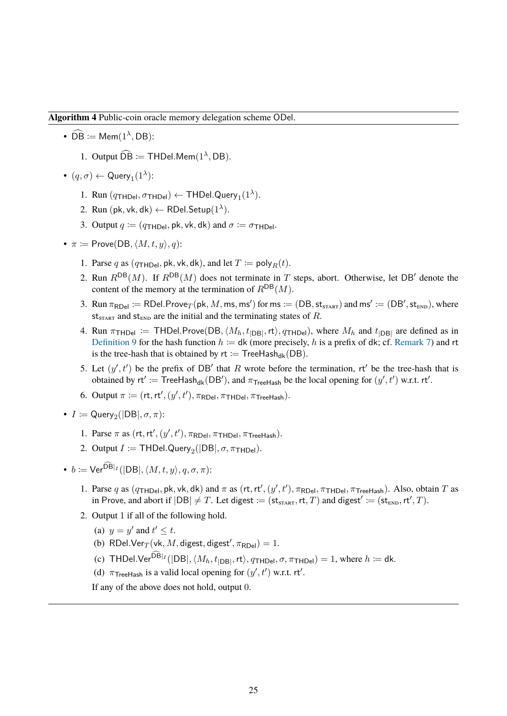**Algorithm 4** Public-coin oracle memory delegation scheme ODel.

- **orithm 4** Public-co<br>•  $\widehat{DB} \coloneqq \text{Mem}(1^{\lambda})$  $\cdot$   $\widehat{DB} := \text{Mem}(1^{\lambda}, DB)$ :
	- $\tilde{B}$  := Mem(1<sup> $\lambda$ </sup>, DB):<br>
	1. Output DB := THDel.Mem(1<sup> $\lambda$ </sup>, DB).
- <span id="page-24-0"></span> $\bullet$   $(q, \sigma) \leftarrow$  Query<sub>1</sub> $(1^{\lambda})$ :
	- 1. Run  $(q_{\text{THDel}}, \sigma_{\text{THDel}}) \leftarrow \text{THDel}.\text{Query}_1(1^{\lambda}).$
	- 2. Run  $(\mathsf{pk}, \mathsf{vk}, \mathsf{dk}) \leftarrow \mathsf{RDel}.\mathsf{Setup}(1^\lambda).$
	- 3. Output  $q := (q_{\text{THDel}}, \text{pk}, \text{vk}, \text{dk})$  and  $\sigma := \sigma_{\text{THDel}}$ .
- $\pi := \text{Prove}(\text{DB}, \langle M, t, y \rangle, q)$ :
	- 1. Parse *q* as ( $q_{\text{THDel}}$ , pk, vk, dk), and let  $T := \text{poly}_R(t)$ .
	- 2. Run  $R^{DB}(M)$ . If  $R^{DB}(M)$  does not terminate in *T* steps, abort. Otherwise, let DB<sup>'</sup> denote the content of the memory at the termination of  $R^{DB}(M)$ .
	- 3. Run  $\pi_{RDeI} := RDeI.Prove_T(pk, M, ms, ms')$  for  $ms := (DB, st_{starT})$  and  $ms' := (DB', st_{END})$ , where  $st_{\text{STAT}}$  and  $st_{\text{END}}$  are the initial and the terminating states of  $R$ .
	- 4. Run  $\pi$ <sub>THDel</sub> := THDel.Prove(DB,  $\langle M_h, t_{|\text{DB}|}, \text{rt} \rangle$ ,  $q$ <sub>THDel</sub>), where  $M_h$  and  $t_{|\text{DB}|}$  are defined as in Definition 9 for the hash function  $h := dk$  (more precisely, h is a prefix of dk; cf. Remark 7) and rt is the tree-hash that is obtained by  $rt := \mathsf{TreeHash}_{dk}(DB)$ .
	- 5. Let  $(y', t')$  be the prefix of DB' that *R* wrote before the termination, rt' be the tree-hash that is [obtained by](#page-11-6)  $rt' :=$  TreeHash<sub>dk</sub>(DB'), and  $\pi$ <sub>TreeHash</sub> be the local opening for  $(y', t')$  [w.r.t.](#page-23-4) rt'.
	- $6.$  Output  $\pi \coloneqq (\mathsf{rt},\mathsf{rt}',(y',t'),\pi_\mathsf{RDel},\pi_\mathsf{THDel},\pi_\mathsf{TreeHash}).$
- $I \coloneqq$  Query<sub>2</sub>( $|DB|, \sigma, \pi$ ):
	- 1. Parse  $\pi$  as  $(\text{rt}, \text{rt}', (y', t'), \pi_{\text{RDel}}, \pi_{\text{THDel}}, \pi_{\text{TreeHash}})$ .
	- 2. Output  $I \coloneqq \mathsf{THDel}.\mathsf{Query}_2(|\mathsf{DB}|, \sigma, \pi_{\mathsf{THDel}}).$
- $b := \text{Ver}^{\widehat{DB}|I}(\text{[DB]}, \langle M, t, u \rangle, a, \sigma, \pi)$ :
	- 1. Parse q as  $(q$ <sub>THDel</sub>, pk, vk, dk) and  $\pi$  as  $(rt, rt', (y', t'), \pi_{RDel}, \pi_{THDel}, \pi_{TreeHash})$ . Also, obtain T as in Prove, and abort if  $|DB| \neq T$ . Let digest  $:=$   $(st_{\text{star}}$ ,  $rt, T)$  and digest'  $:=$   $(st_{\text{END}}, rt', T)$ .
	- 2. Output 1 if all of the following hold.
		- (a)  $y = y'$  and  $t' \leq t$ .
		- (b)  $RDel.Ver_T(vk, M, digest, digest', \pi_{RDel}) = 1.$
		- $\langle$  C) THDel.Ver<sup>DB|</sup><sup>*I*</sup> (|DB| $, \langle M_h, t_{|\text{DB}|}, \text{rt}\rangle, q_{\text{THDel}}, \sigma, \pi_{\text{THDel}}) = 1$ , where  $h \coloneqq \text{dk}$ .
		- (d)  $\pi_{\text{TreeHash}}$  is a valid local opening for  $(y', t')$  w.r.t. rt'.

If any of the above does not hold, output 0.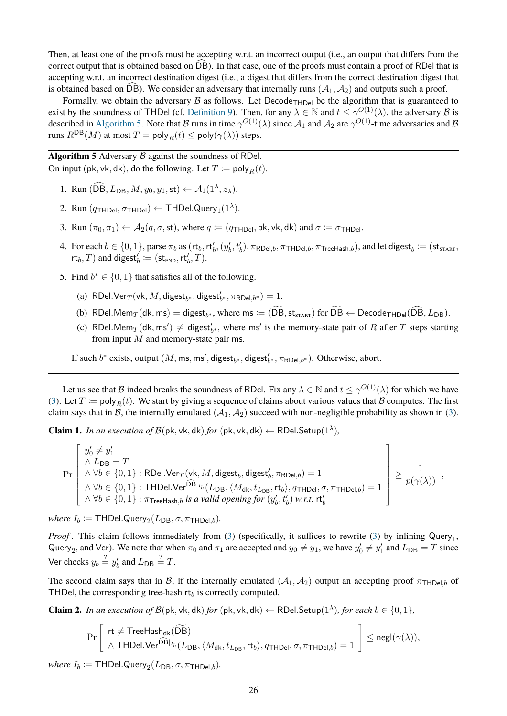Then, at least one of the proofs must be accepting w.r.t. an incorrect output (i.e., an output that differs from the correct output that is obtained based on DB). In that case, one of the proofs must contain a proof of RDel that is accepting w.r.t. an incorrect destination digest (i.e., a digest that differs from the correct destination digest that Then, at least one of the proofs must be accepting w.r.t. an incorrect output (i.e., an output that differs from correct output that is obtained based on  $\widehat{DB}$ ). In that case, one of the proofs must contain a proof of

Formally, we obtain the adversary  $\beta$  as follows. Let Decode<sub>THDel</sub> be the algorithm that is guaranteed to exist by the soundness of THDel (cf. Definition 9). Then, for any  $\lambda \in \mathbb{N}$  and  $t \leq \gamma^{O(1)}(\lambda)$ , the adversary  $\beta$  is described in Algorithm 5. Note that *B* runs in time  $\gamma^{O(1)}(\lambda)$  since  $\mathcal{A}_1$  and  $\mathcal{A}_2$  are  $\gamma^{O(1)}$ -time adversaries and *B* runs  $R^{DB}(M)$  at most  $T = \text{poly}_R(t) \le \text{poly}(\gamma(\lambda))$  steps.

#### **Algorithm 5** Adversary *B* against th[e soundness o](#page-11-6)f RDel.

On input (pk, vk, dk)[, do](#page-25-0) the following. Let  $T := \text{poly}_R(t)$ . **1.** Run ( $\widehat{DR}$ ,  $L_{DB}$ ,  $M$ ,  $y_0$ ,  $y_1$ , st)  $\leftarrow A_1(1^{\lambda}, z_{\lambda})$ .<br> **1.** Run ( $\widehat{DB}$ ,  $L_{DB}$ ,  $M$ ,  $y_0$ ,  $y_1$ , st)  $\leftarrow A_1(1^{\lambda}, z_{\lambda})$ .

- <span id="page-25-0"></span>
- $2.$  Run  $(q$ THDel, $\sigma$ THDel)  $\leftarrow$  THDel.Query $_1(1^{\lambda}).$
- 3. Run  $(\pi_0, \pi_1) \leftarrow A_2(q, \sigma, st)$ , where  $q := (q_{\text{THDel}}, \text{pk}, \text{vk}, \text{dk})$  and  $\sigma := \sigma_{\text{THDel}}$ .
- 4. For each  $b \in \{0,1\}$ , parse  $\pi_b$  as  $(\mathsf{rt}_b, \mathsf{rt}_b', (y_b', t_b'), \pi_{\mathsf{RDel},b}, \pi_{\mathsf{THDel},b}, \pi_{\mathsf{TreeHash},b})$ , and let digest $_b \coloneqq (\mathsf{st}_{\mathsf{START}},$  $\mathsf{r}(\mathsf{t}_b, T)$  and digest $'_b := (\mathsf{st}_{\text{\tiny END}}, \mathsf{r}(\mathsf{t}'_b, T)).$
- 5. Find  $b^* \in \{0, 1\}$  that satisfies all of the following.
	- $\tan (a) \text{ RDel}.\text{Ver}_T(\text{vk}, M, \text{digest}_{b^*}, \text{digest}'_{b^*}, \pi_{\text{RDel},b^*}) = 1.$
- ind  $b^* \in \{0, 1\}$  that satisfies all of the following.<br>
(a) RDel.Ver<sub>*T*</sub>(vk, *M*, digest<sub>*b*<sup>\*</sup></sub>, digest<sup>'</sup><sub>*b*<sup>\*</sup></sub>,  $\pi$ <sub>RDel,</sub> $b^*$ ) = 1.<br>
(b) RDel.Mem<sub>*T*</sub>(dk, ms) = digest<sub>*b*<sup>\*</sup></sub>, where ms := (DB, st<sub>start</sub>) for
	- (c) RDel.Mem<sub>*T*</sub>(dk, ms<sup>*'*</sup>)  $\neq$  digest<sub>*'b*<sup>\*</sup></sub>, where ms' is the memory-state pair of *R* after *T* steps starting from input *M* and memory-state pair ms.

If such  $b^*$  exists, output  $(M, ms, ms', \text{digest}_{b^*}, \text{digest}'_{b^*}, \pi_{RDel, b^*})$ . Otherwise, abort.

Let us see that *B* indeed breaks the soundness of RDel. Fix any  $\lambda \in \mathbb{N}$  and  $t \le \gamma^{O(1)}(\lambda)$  for which we have (3). Let  $T := \text{poly}_R(t)$ . We start by giving a sequence of claims about various values that *B* computes. The first claim says that in *B*, the internally emulated  $(A_1, A_2)$  succeed with non-negligible probability as shown in (3).

**Claim 1.** *In an execution of*  $\mathcal{B}(\mathsf{pk}, \mathsf{vk}, \mathsf{dk})$  *for*  $(\mathsf{pk}, \mathsf{vk}, \mathsf{dk}) \leftarrow \mathsf{RDel}.\mathsf{Setup}(1^{\lambda}),$  $\mathbf{1}$ 

$$
\Pr\left[\begin{array}{l} y_0'\neq y_1'\\[.2em] \wedge L_{\sf DB}=T\\[.2em] \wedge \forall b\in\{0,1\}: \text{RDel.Ver}_{T}(\mathsf{vk},M,\mathsf{digest}_b,\mathsf{digest}_b',\pi_{\sf RDel,b})=1\\[.2em] \wedge \forall b\in\{0,1\}: \text{THDel.Ver}^{\widehat{\sf DB}|_{I_b}}(L_{\sf DB},\langle M_{\sf dk},t_{L_{\sf DB}},\mathsf{rt}_b\rangle,q_{\sf THDel},\sigma,\pi_{\sf THDel,b})=1\\[.2em] \wedge \forall b\in\{0,1\}: \pi_{\sf TreeHash},b\text{ is a valid opening for }(y'_b,t'_b)\text{ w.r.t. }\mathsf{rt}'_b\end{array}\right]\geq \frac{1}{p(\gamma(\lambda))}\ ,
$$

 $where I_b \coloneqq \mathsf{THDel}.\mathsf{Query}_2(L_{\mathsf{DB}}, \sigma, \pi_{\mathsf{THDel},b}).$ 

*Proof*. This claim follows immediately from  $(3)$  (specifically, it suffices to rewrite  $(3)$  by inlining Query<sub>1</sub>, Query<sub>2</sub>, and Ver). We note that when  $\pi_0$  and  $\pi_1$  are accepted and  $y_0 \neq y_1$ , we have  $y'_0 \neq y'_1$  and  $L_{\text{DB}} = T$  since Ver checks  $y_b \stackrel{?}{=} y'_b$  and  $L_{DB} \stackrel{?}{=} T$ .  $\Box$ 

The second claim says that in *B*, if the intern[ally](#page-23-3) emulated  $(A_1, A_2)$  output an acce[pt](#page-23-3)ing proof  $\pi_{\text{THDel},b}$  of THDel, the corresponding tree-hash  $rt<sub>b</sub>$  is correctly computed. Pr [ rt *̸*<sup>=</sup> TreeHashdk(DB<sup>f</sup> )

**Claim 2.** *In an execution of*  $\mathcal{B}(\mathsf{pk}, \mathsf{vk}, \mathsf{dk})$  *for*  $(\mathsf{pk}, \mathsf{vk}, \mathsf{dk}) \leftarrow \mathsf{RDel}.\mathsf{Setup}(1^{\lambda})$ *, for each*  $b \in \{0, 1\}$ *,* 

and claim says that in *B*, if the internally emulated (*A*<sub>1</sub>, *A*<sub>2</sub>) output an accepting proof π

\nwe corresponding tree-hash rt<sub>b</sub> is correctly computed.

\n*In an execution of B*(pk, vk, dk) *for* (pk, vk, dk) ← RDel.setup(1<sup>λ</sup>), *for each b* ∈ {0, 1},

\nPr\n
$$
\left[ \begin{array}{l} rt \neq \text{TreeHash}_{dk}(\widetilde{DB}) \\ \land \text{THDel}.\text{Ver}^{\widehat{DB}|_{I_b}}(L_{DB}, \langle M_{dk}, t_{L_{DB}}, rt_b \rangle, q_{\text{THDel}}, σ, π_{\text{THDel},b}) = 1 \end{array} \right] \leq \text{negl}(\gamma(\lambda)),
$$

 $where I_b \coloneqq \mathsf{THDel}.\mathsf{Query}_2(L_{\mathsf{DB}}, \sigma, \pi_{\mathsf{THDel},b}).$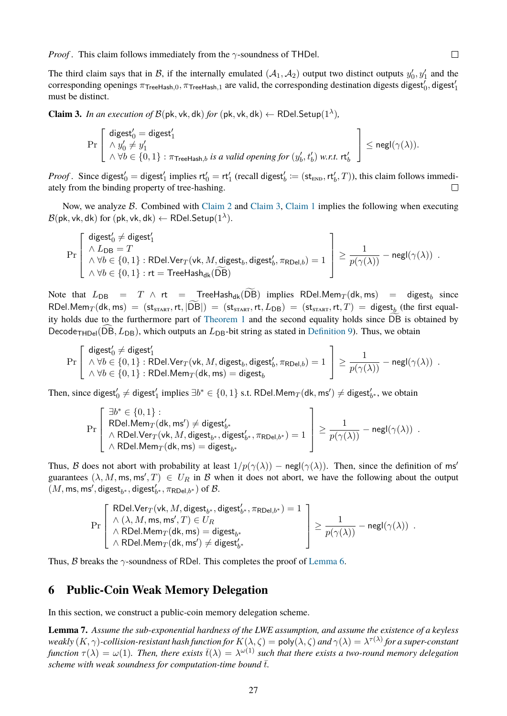*Proof .* This claim follows immediately from the *γ*-soundness of THDel.

The third claim says that in *B*, if the internally emulated  $(A_1, A_2)$  output two distinct outputs  $y'_0, y'_1$  and the  $\alpha$  corresponding openings  $\pi$ <sub>TreeHash,0</sub>,  $\pi$ <sub>TreeHash,1</sub> are valid, the corresponding destination digests digest $'_0$ , digest $'_1$ must be distinct.

**Claim 3.** *In an execution of*  $\mathcal{B}(\mathsf{pk}, \mathsf{vk}, \mathsf{dk})$  *for*  $(\mathsf{pk}, \mathsf{vk}, \mathsf{dk}) \leftarrow \mathsf{RDel}.\mathsf{Setup}(1^\lambda)$ *,* 

$$
\Pr\left[\begin{array}{l} \mathsf{digest}_0' = \mathsf{digest}_1' \\ \wedge \; \forall \mathbb{j} \neq \mathbb{y}_1' \\ \wedge \; \forall \mathbb{b} \in \{0,1\} : \pi_{\mathsf{TreeHash}, \mathbb{b}} \text{ is a valid opening for } (\mathbb{y}'_\mathbb{b}, t'_\mathbb{b}) \text{ w.r.t. } \mathsf{rt}'_\mathbb{b} \end{array}\right] \leq \mathsf{negl}(\gamma(\lambda)).
$$

<span id="page-26-1"></span>*Proof*. Since digest<sup>*′*</sup><sub>0</sub> = digest<sup>*′*</sup><sub>1</sub> implies rt<sup>*′*</sup><sub>0</sub> = rt<sup>*′*</sup><sub>1</sub> (recall digest<sup>*′*</sup><sub>*b*</sub>  $\coloneqq$  (st<sub>END</sub>, rt<sup>*′*</sup><sub>*b*</sub>, *T*)), this claim follows immediately from the binding property of tree-hashing.  $\Box$ 

Now, we analyze *B*. Combined with Claim 2 and Claim 3, Claim 1 implies the following when executing  $B$ (pk, vk, dk) for (pk, vk, dk)  $\leftarrow$  RDel.Setup(1<sup>λ</sup>).

$$
\Pr\left[\begin{array}{l} \mathsf{digest}'_0\neq \mathsf{digest}'_1\\ \wedge\,L_{\mathsf{DB}}=T\\ \wedge\,\forall b\in\{0,1\}: \mathsf{RDel}.\mathsf{Ver}_T(\mathsf{vk},M,\mathsf{digest}_b,\mathsf{digest}'_b,\pi_{\mathsf{RDel},b})=1\\ \wedge\,\forall b\in\{0,1\}: \mathsf{rt}=\mathsf{TreeHash}_{\mathsf{dk}}(\widetilde{\mathsf{DB}})\\ \end{array}\right]\geq \frac{1}{p(\gamma(\lambda))}-\mathsf{negl}(\gamma(\lambda))\enspace.
$$
\n
$$
\text{Note that } L_{\mathsf{DB}}\ =\ T\ \wedge\ \mathsf{rt}\ =\ \mathsf{TreeHash}_{\mathsf{dk}}(\widetilde{\mathsf{DB}})\ \ \text{implies}\ \ \mathsf{RDel}.\mathsf{Mem}_T(\mathsf{dk},\mathsf{ms})\ =\ \mathsf{digest}_b\ \ \text{since}
$$

Note  $\{0, 1\}$ :  $\mathsf{r} \in \text{TreeHash}_{\mathsf{dk}}(\widetilde{\mathsf{DB}})$ <br>
Note that  $L_{\mathsf{DB}} = T \wedge \mathsf{r} \mathsf{t} = \text{TreeHash}_{\mathsf{dk}}(\widetilde{\mathsf{DB}})$  implies  $\mathsf{RDel}.\mathsf{Mem}_T(\mathsf{dk}, \mathsf{ms}) = \mathsf{RDel}.\mathsf{Mem}_T(\mathsf{dk}, \mathsf{ms}) = (\mathsf{st}_{\mathsf{START}}, \mathsf{r} \mathsf{t}, |\widetilde{\mathsf{DB}}|) = (\mathsf{st}_{\$  $\epsilon_{\text{em}_T}(\text{dk}, \text{ms}) = (\text{st}_{\text{star}, \text{rt}}, \text{rt}, |\widetilde{DB}|) = (\text{st}_{\text{star}, \text{rt}}, \text{rt}, L_{DB}) = (\text{st}_{\text{star}, \text{rt}}, \text{rt}, T) = \text{digest}_b$  (the first equal-Note that  $L_{DB} = T \wedge rt = T$ reeHash<sub>dk</sub>( $\overline{DB}$ ) implies RDel.Mem<sub>T</sub>(dk, ms) = digest<sub>b</sub> since<br>RDel.Mem<sub>T</sub>(dk, ms) = (st<sub>start</sub>, rt,  $|\widetilde{DB}|$ ) = (st<sub>start</sub>, rt,  $L_{DB}$ ) = (st<sub>start</sub>, rt, T) = digest<sub>b</sub> (the first equal-<br>ity Note that  $L_{DB} = T \wedge rt = T$ reeHash<sub>dk</sub>( $\widetilde{DB}$ ) implies RDel.Mem<sub>*T*</sub>(dk, ms) = dige<br>RDel.Mem<sub>*T*</sub>(dk, ms) = (st<sub>sTART</sub>, rt,  $|\widetilde{DB}|$ ) = (st<sub>sTART</sub>, rt,  $L_{DB}$ ) = (st<sub>sTART</sub>, rt, *T*) = digest<sub>*b*</sub> (the f<br>ity holds due to s due to the furthermore part of Theorem 1 and the second equality

$$
\Pr\left[\begin{array}{l}\mathsf{digest}'_0\neq \mathsf{digest}'_1\\\wedge\,\forall b\in\{0,1\}: \mathsf{RDel}.\mathsf{Ver}_T(\mathsf{vk},M,\mathsf{digest}_b,\mathsf{digest}'_b,\pi_{\mathsf{RDel},b})=1\\ \wedge\,\forall b\in\{0,1\}: \mathsf{RDel}.\mathsf{Mem}_T(\mathsf{dk},\mathsf{ms})=\mathsf{digest}_b\end{array}\right]\geq \frac{1}{p(\gamma(\lambda))}-\mathsf{negl}(\gamma(\lambda))\enspace.
$$

Then, since digest $'_0\neq$  digest $'_1$  implies  $\exists b^*\in\{0,1\}$  s.t. RDel.Mem $_T(\mathsf{dk},\mathsf{ms}')\neq \mathsf{digest}'_{b^*}$ , we obtain

$$
\Pr\left[\begin{array}{l}\exists b^*\in\{0,1\}:\\\mathsf{RDel}.\mathsf{Mem}_T(\mathsf{dk},\mathsf{ms}')\neq \mathsf{digest}'_{b^*}\\\wedge\mathsf{RDel}.\mathsf{Ver}_T(\mathsf{vk},M,\mathsf{digest}_{b^*},\mathsf{digest}'_{b^*},\pi_{\mathsf{RDel},b^*})=1\\\wedge\mathsf{RDel}.\mathsf{Mem}_T(\mathsf{dk},\mathsf{ms})=\mathsf{digest}_{b^*}\end{array}\right]\geq \frac{1}{p(\gamma(\lambda))}-\mathsf{negl}(\gamma(\lambda))\enspace.
$$

Thus, *B* does not abort with probability at least  $1/p(\gamma(\lambda))$  – negl( $\gamma(\lambda)$ ). Then, since the definition of ms<sup>*′*</sup> guarantees  $(\lambda, M, ms, ms', T) \in U_R$  in B when it does not abort, we have the following about the output  $(M, \text{ms}, \text{ms}', \text{digest}_{b^*}, \text{digest}'_{b^*}, \pi_{\text{RDel},b^*})$  of *B*.

$$
\Pr\left[\begin{array}{l}\mathsf{RDel}.\mathsf{Ver}_T(\mathsf{vk},M,\mathsf{digest}_{b^*},\mathsf{digest}_{b^*}',\pi_{\mathsf{RDel},b^*})=1\\\wedge~(\lambda,M,\mathsf{ms},\mathsf{ms}',T)\in U_R\\\wedge~\mathsf{RDel}.\mathsf{Mem}_T(\mathsf{dk},\mathsf{ms})=\mathsf{digest}_{b^*}\\\wedge~\mathsf{RDel}.\mathsf{Mem}_T(\mathsf{dk},\mathsf{ms}')\neq \mathsf{digest}_{b^*}'\end{array}\right]\geq \frac{1}{p(\gamma(\lambda))}-\mathsf{negl}(\gamma(\lambda))\enspace.
$$

Thus, *B* breaks the *γ*-soundness of RDel. This completes the proof of Lemma 6.

## **6 Public-Coin Weak Memory Delegation**

In this section, we construct a public-coin memory delegation scheme[.](#page-20-3)

<span id="page-26-2"></span><span id="page-26-0"></span>**Lemma 7.** *Assume the sub-exponential hardness of the LWE assumption, and assume the existence of a keyless weakly*  $(K, \gamma)$ -collision-resistant hash function for  $K(\lambda, \zeta) = \text{poly}(\lambda, \zeta)$  and  $\gamma(\lambda) = \lambda^{\tau(\lambda)}$  for a super-constant *function*  $\tau(\lambda) = \omega(1)$ *. Then, there exists*  $\bar{t}(\lambda) = \lambda^{\omega(1)}$  such that there exists a two-round memory delegation *scheme with weak soundness for computation-time bound*  $\overline{t}$ *.*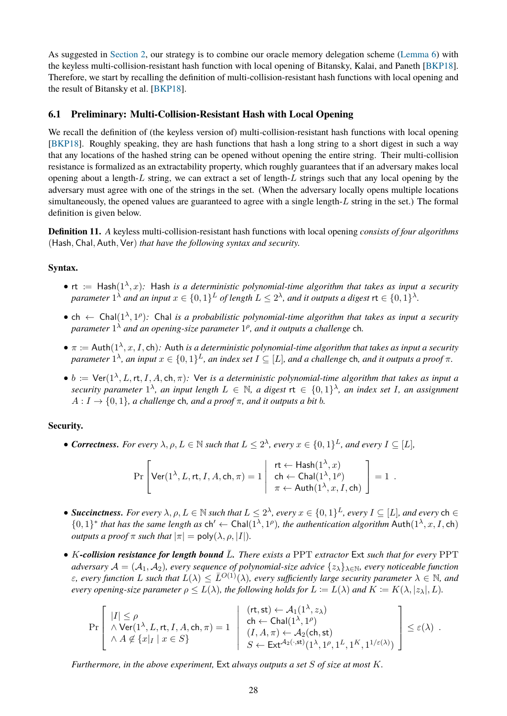As suggested in Section 2, our strategy is to combine our oracle memory delegation scheme (Lemma 6) with the keyless multi-collision-resistant hash function with local opening of Bitansky, Kalai, and Paneth [BKP18]. Therefore, we start by recalling the definition of multi-collision-resistant hash functions with local opening and the result of Bit[ansky et al](#page-2-1). [BKP18].

#### **6.1 Preliminary: Multi-Collision-Resistant Hash with Local Opening**

<span id="page-27-0"></span>We recall the definition of ([the keyl](#page-36-8)ess version of) multi-collision-resistant hash functions with local opening [BKP18]. Roughly speaking, they are hash functions that hash a long string to a short digest in such a way that any locations of the hashed string can be opened without opening the entire string. Their multi-collision resistance is formalized as an extractability property, which roughly guarantees that if an adversary makes local opening about a length-*L* string, we can extract a set of length-*L* strings such that any local opening by the [adversar](#page-36-8)y must agree with one of the strings in the set. (When the adversary locally opens multiple locations simultaneously, the opened values are guaranteed to agree with a single length-*L* string in the set.) The formal definition is given below.

**Definition 11.** *A* keyless multi-collision-resistant hash functions with local opening *consists of four algorithms* (Hash*,* Chal*,* Auth*,* Ver) *that have the following syntax and security.*

#### <span id="page-27-1"></span>**Syntax.**

- $\mathsf{rt} := \mathsf{Hash}(1^\lambda, x)$ : Hash *is a deterministic polynomial-time algorithm that takes as input a security* parameter  $1^{\lambda}$  and an input  $x \in \{0,1\}^L$  of length  $L \leq 2^{\lambda}$ , and it outputs a digest  $\mathsf{rt} \in \{0,1\}^{\lambda}$ .
- ch  $\leftarrow$  Chal $(1^{\lambda}, 1^{\rho})$ : Chal *is a probabilistic polynomial-time algorithm that takes as input a security parameter* 1 *<sup>λ</sup> and an opening-size parameter* 1 *ρ , and it outputs a challenge* ch*.*
- $\bullet \pi := \text{Auth}(1^{\lambda}, x, I, \text{ch})$ : Auth *is a deterministic polynomial-time algorithm that takes as input a security parameter*  $1^{\lambda}$ *, an input*  $x \in \{0,1\}^L$ *, an index set*  $I \subseteq [L]$ *, and a challenge* ch*, and it outputs a proof*  $\pi$ *.*
- $\bullet$  *b* := Ver( $1^{\lambda}$ , *L*, rt, *I*, *A*, ch,  $\pi$ ): Ver *is a deterministic polynomial-time algorithm that takes as input a*  $s$ *ecurity parameter*  $1^{\lambda}$ *, an input length*  $L \in \mathbb{N}$ *, a digest*  $rt \in \{0,1\}^{\lambda}$ *, an index set I, an assignment*  $A: I \rightarrow \{0, 1\}$ , a challenge ch, and a proof  $\pi$ , and it outputs a bit b.

#### **Security.**

• Correctness. For every  $\lambda, \rho, L \in \mathbb{N}$  such that  $L \leq 2^{\lambda}$ , every  $x \in \{0,1\}^L$ , and every  $I \subseteq [L]$ ,

$$
\Pr\left[\mathsf{Ver}(1^{\lambda}, L, \mathsf{rt}, I, A, \mathsf{ch}, \pi) = 1 \left| \begin{array}{c} \mathsf{rt} \leftarrow \mathsf{Hash}(1^{\lambda}, x) \\ \mathsf{ch} \leftarrow \mathsf{Chal}(1^{\lambda}, 1^{\rho}) \\ \pi \leftarrow \mathsf{Auth}(1^{\lambda}, x, I, \mathsf{ch}) \end{array} \right. \right] = 1 \enspace .
$$

- Succinctness. For every  $\lambda, \rho, L \in \mathbb{N}$  such that  $L \leq 2^{\lambda}$ , every  $x \in \{0,1\}^L$ , every  $I \subseteq [L]$ , and every  $\mathsf{ch} \in$  $\{0,1\}^*$  that has the same length as  $\mathsf{ch}' \leftarrow \mathsf{Chal}(1^{\lambda}, 1^{\rho})$ , the authentication algorithm Auth $(1^{\lambda}, x, I, \mathsf{ch})$ *outputs a proof*  $\pi$  *such that*  $|\pi| = \text{poly}(\lambda, \rho, |I|)$ .
- *K*-collision resistance for length bound  $\overline{L}$ . There exists a PPT extractor Ext such that for every PPT *adversary*  $A = (A_1, A_2)$ , every sequence of polynomial-size advice  $\{z_\lambda\}_{\lambda \in \mathbb{N}}$ , every noticeable function *ε, every function L such that*  $L(\lambda) \leq \overline{L}^{O(1)}(\lambda)$ *, every sufficiently large security parameter*  $\lambda \in \mathbb{N}$ *, and* every opening-size parameter  $\rho \leq L(\lambda)$ , the following holds for  $L := L(\lambda)$  and  $K := K(\lambda, |z_{\lambda}|, L)$ .  $\frac{c}{c}$

$$
\Pr\left[\begin{array}{l} |I| \leq \rho\\ \wedge \mathsf{Ver}(1^{\lambda}, L, \mathsf{rt}, I, A, \mathsf{ch}, \pi) = 1\\ \wedge A \not\in \{x|_I \mid x \in S\} \end{array}\middle|\begin{array}{l} (\mathsf{rt}, \mathsf{st}) \leftarrow \mathcal{A}_1(1^{\lambda}, z_{\lambda})\\ \mathsf{ch} \leftarrow \mathsf{Chal}(1^{\lambda}, 1^{\rho})\\ (I, A, \pi) \leftarrow \mathcal{A}_2(\mathsf{ch}, \mathsf{st})\\ S \leftarrow \mathsf{Ext}^{\mathcal{A}_2(\cdot, \mathsf{st})}(1^{\lambda}, 1^{\rho}, 1^L, 1^K, 1^{1/\varepsilon(\lambda)}) \end{array}\right] \leq \varepsilon(\lambda) \enspace.
$$

*Furthermore, in the above experiment,* Ext *always outputs a set S of size at most K.*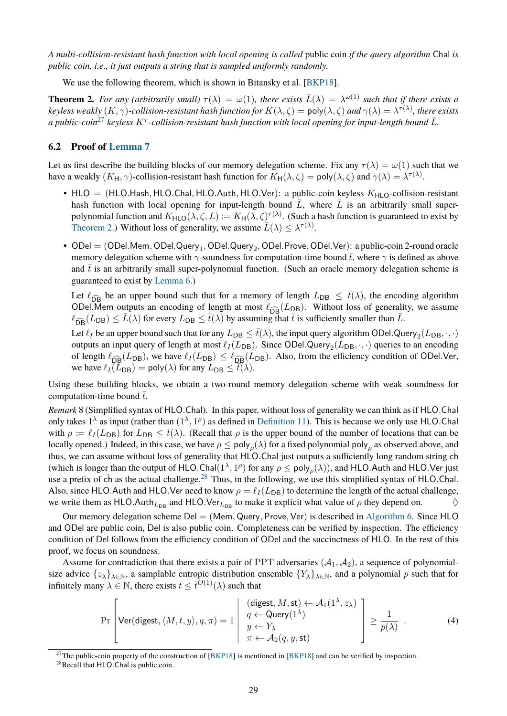*A multi-collision-resistant hash function with local opening is called* public coin *if the query algorithm* Chal *is public coin, i.e., it just outputs a string that is sampled uniformly randomly.*

We use the following theorem, which is shown in Bitansky et al. [BKP18].

**Theorem 2.** For any (arbitrarily small)  $\tau(\lambda) = \omega(1)$ , there exists  $\bar{L}(\lambda) = \lambda^{\omega(1)}$  such that if there exists a *keyless weakly*  $(K,\gamma)$ -collision-resistant hash function for  $K(\lambda,\zeta) = \textsf{poly}(\lambda,\zeta)$  and  $\gamma(\lambda) = \lambda^{\tau(\lambda)}$ , there exists *a public-coin*<sup>27</sup> *keyless K<sup>τ</sup> -collision-resistant hash function with loc[al openin](#page-36-8)g for input-length bound L*¯*.*

#### <span id="page-28-2"></span>**6.2 Proof of Lemma 7**

Let us first d[esc](#page-28-1)ribe the building blocks of our memory delegation scheme. Fix any  $\tau(\lambda) = \omega(1)$  such that we have a weakly  $(K_H, \gamma)$ -collision-resistant hash function for  $K_H(\lambda, \zeta) = \text{poly}(\lambda, \zeta)$  and  $\gamma(\lambda) = \lambda^{\tau(\lambda)}$ .

- <span id="page-28-0"></span>• HLO = (HLO.[Hash](#page-26-2), HLO.Chal, HLO.Auth, HLO.Ver): a public-coin keyless  $K_{HLO}$ -collision-resistant hash function with local opening for input-length bound  $\bar{L}$ , where  $\bar{L}$  is an arbitrarily small superpolynomial function and  $K_{\sf HLO}(\lambda,\zeta,L)\coloneqq K_{\sf H}(\lambda,\zeta)^{\tau(\lambda)}.$  (Such a hash function is guaranteed to exist by Theorem 2.) Without loss of generality, we assume  $\overline{L}(\lambda) \leq \lambda^{\tau(\lambda)}$ .
- ODel = (ODel.Mem, ODel.Query<sub>1</sub>, ODel.Query<sub>2</sub>, ODel.Prove, ODel.Ver): a public-coin 2-round oracle memory delegation scheme with  $\gamma$ -soundness for computation-time bound  $\bar{t}$ , where  $\gamma$  is defined as above and  $\bar{t}$  [is an](#page-28-2) arbitrarily small super-polynomial function. (Such an oracle memory delegation scheme is guaranteed to exist by Lemma 6.)

Let  $\ell_{\widehat{DB}}$  be an upper bound such that for a memory of length  $L_{DB} \leq \bar{t}(\lambda)$ , the encoding algorithm ODel.Mem outputs an encoding of length at most  $\ell_{\widehat{DB}}(L_{DB})$ . Without loss of generality, we assume  $\ell_{\widehat{D}}(L_{\text{DB}}) \leq \bar{L}(\lambda)$  for [every](#page-20-3)  $L_{\text{DB}} \leq \bar{t}(\lambda)$  by assuming that  $\bar{t}$  is sufficiently smaller than  $\bar{L}$ .

Let  $\ell_I$  be an upper bound such that for any  $L_{\text{DB}} \leq \bar{t}(\lambda)$ , the input query algorithm ODel.Query<sub>2</sub>( $L_{\text{DB}}$ ,  $\cdot$ ,  $\cdot$ ) outputs an input query of length at most  $\ell_I(L_{\text{DB}})$ . Since ODel.Query<sub>2</sub>( $L_{\text{DB}}$ , ·, ·) queries to an encoding of length  $\ell_{\widehat{DB}}(L_{DB})$ , we have  $\ell_I(L_{DB}) \leq \ell_{\widehat{DB}}(L_{DB})$ . Also, from the efficiency condition of ODel.Ver, we have  $\ell_I(L_{\text{DB}}) = \text{poly}(\lambda)$  for any  $L_{\text{DB}} \leq \bar{t}(\lambda)$ .

Using these building blocks, we obtain a two-round memory delegation scheme with weak soundness for computation-time bound  $\bar{t}$ .

*Remark* 8 (Simplified syntax of HLO*.*Chal)*.* In this paper, without loss of generality we can think as if HLO*.*Chal only takes  $1^{\lambda}$  as input (rather than  $(1^{\lambda}, 1^{\rho})$  as defined in Definition 11). This is because we only use HLO. Chal with  $\rho := \ell_I(L_{\text{DB}})$  for  $L_{\text{DB}} \leq \bar{t}(\lambda)$ . (Recall that  $\rho$  is the upper bound of the number of locations that can be locally opened.) Indeed, in this case, we have  $\rho \leq \text{poly}_\rho(\lambda)$  for a fixed polynomial poly<sub> $\rho$ </sub> as observed above, and thus, we can assume without loss of generality that HLO.Chal just outputs a sufficiently long random string  $\bar{c}$ h (which is longer than the output of HLO.Chal $(1^{\lambda}, 1^{\rho})$  fo[r any](#page-27-1)  $\rho \leq \text{poly}_{\rho}(\lambda)$ ), and HLO.Auth and HLO.Ver just use a prefix of  $\bar{c}$ h as the actual challenge.<sup>28</sup> Thus, in the following, we use this simplified syntax of HLO.Chal. Also, since HLO.Auth and HLO.Ver need to know  $\rho = \ell_I(L_{DB})$  to determine the length of the actual challenge, we write them as HLO.Auth<sub>*L*DB</sub> and HLO.Ver<sub>*L*DB</sub> to make it explicit what value of  $\rho$  they depend on.

Our memory delegation scheme Del [=](#page-28-3) (Mem*,* Query*,* Prove*,* Ver) is described in Algorithm 6. Since HLO and ODel are public coin, Del is also public coin. Completeness can be verified by inspection. The efficiency condition of Del follows from the efficiency condition of ODel and the succinctness of HLO. In the rest of this proof, we focus on soundness.

Assume for contradiction that there exists a pair of PPT adversaries  $(A_1, A_2)$ , a [sequence of](#page-29-0) polynomialsize advice  $\{z_{\lambda}\}_{\lambda \in \mathbb{N}}$ , a samplable entropic distribution ensemble  $\{Y_{\lambda}\}_{\lambda \in \mathbb{N}}$ , and a polynomial *p* such that for infinitely many  $\lambda \in \mathbb{N}$ , there exists  $t \leq t^{O(1)}(\lambda)$  such that .<br>11

$$
\Pr\left[\text{Ver(digest, } \langle M, t, y \rangle, q, \pi) = 1 \left| \begin{array}{c} (\text{digest}, M, \text{st}) \leftarrow \mathcal{A}_1(1^{\lambda}, z_{\lambda}) \\ q \leftarrow \text{Query}(1^{\lambda}) \\ y \leftarrow Y_{\lambda} \\ \pi \leftarrow \mathcal{A}_2(q, y, \text{st}) \end{array} \right| \right] \ge \frac{1}{p(\lambda)} \quad . \tag{4}
$$

<sup>27</sup>The public-coin property of the construction of [BKP18] is mentioned in [BKP18] and can be verified by inspection.

<span id="page-28-3"></span><span id="page-28-1"></span><sup>28</sup>Recall that HLO*.*Chal is public coin.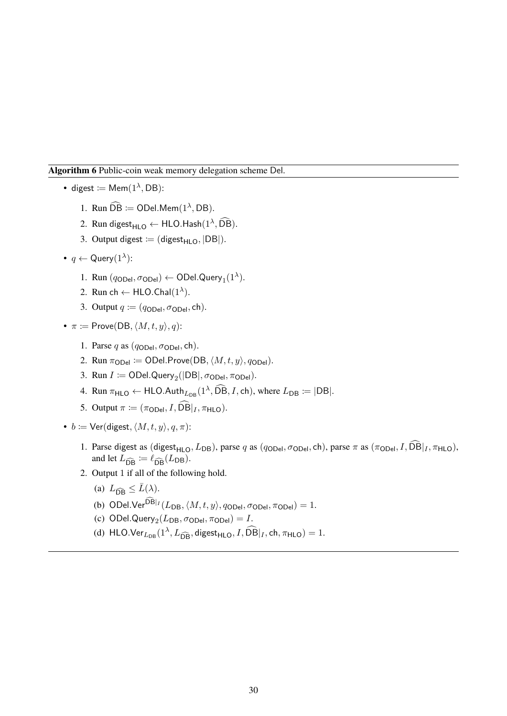#### <span id="page-29-0"></span>**Algorithm 6** Public-coin weak memory delegation scheme Del.

- digest  $:=$  Mem $(1^{\lambda}, \textsf{DB})$ :
- **1.** Run  $\widehat{DB} := \text{ODel.Mem}(1^{\lambda}, DB)$ :<br>1. Run  $\widehat{DB} := \text{ODel.Mem}(1^{\lambda}, DB)$ .
- dest := Mem(1<sup>λ</sup>, DB):<br>
1. Run DB := ODel.Mem(1<sup>λ</sup>, DB).<br>
2. Run digest<sub>HLO</sub> ← HLO.Hash(1<sup>λ</sup>, DB).
	- 3. Output digest  $:=$  (digest<sub>HLO</sub>,  $|DB|$ ).
- *q ←* Query(1*<sup>λ</sup>* ):
	- 1. Run  $(q_{\text{ODE}}, \sigma_{\text{ODE}}) \leftarrow \text{ODE}$ *.* Query<sub>1</sub>(1<sup> $\lambda$ </sup>).
	- 2. Run ch  $\leftarrow$  HLO.Chal $(1^{\lambda})$ .
	- 3. Output  $q := (q_{\text{ODel}}, \sigma_{\text{ODel}}, \text{ch}).$
- $\pi \coloneqq \text{Prove}(\text{DB}, \langle M, t, y \rangle, q)$ :
	- 1. Parse *q* as  $(q_{\text{ODel}}, \sigma_{\text{ODel}}, ch)$ .
	- 2. Run  $\pi_{\text{ODel}} := \text{ODel.Prove}(\text{DB}, \langle M, t, y \rangle, q_{\text{ODel}}).$
	- 3. Run  $I \coloneqq \mathsf{ODel}.\mathsf{Query}_2(|\mathsf{DB}|, \sigma_{\mathsf{ODel}}, \pi_{\mathsf{ODel}}).$ 5. Run  $T := \text{ODel.Prove}(\text{DB}, \text{MP})$ <br>
	4. Run  $T := \text{ODel.Query}_2(\text{DB}|, \sigma_{\text{ODel}})$ <br>
	5. Output  $\pi := (\pi_{\text{ODel}}, I, \widehat{\text{DB}}|_I, \pi_{\text{HLO}})$ .
	- 1. Parse *q* as ( $q_{\text{ODE}}$ ,  $\sigma_{\text{ODE}}$ , ch).<br>
	2. Run  $\pi_{\text{ODE}} := \text{ODEl}.\text{Prove}(\text{DB}, \langle M, t, y \rangle, q_{\text{ODE}})$ .<br>
	3. Run *I* :=  $\text{ODEl}.\text{Query}_2(|\text{DB}|, \sigma_{\text{ODE}}$ ,  $\pi_{\text{ODE}})$ .<br>
	4. Run  $\pi_{\text{HLO}} \leftarrow \text{HLO}. \text{Author}_{\text{DB}}(1^{\lambda}, \widehat{\text{DB}}, I, \text{ch})$ ,
	-
- $b := \text{Ver}(\text{digest}, \langle M, t, y \rangle, q, \pi)$ :
- 1. Parse digest,  $\langle M, t, y \rangle, q, \pi$ ):<br>
1. Parse digest as (digest<sub>HLO</sub>, *L*<sub>DB</sub>), parse *q* as (*q*<sub>ODel</sub>, *σ*<sub>ODel</sub>, ch), parse *π* as (*π*<sub>ODel</sub>, *I*,  $\widehat{DB}|_I$ , *π*<sub>HLO</sub>), and let  $L_{\widehat{\text{DR}}} := \ell_{\widehat{\text{DR}}}(L_{\text{DB}})$ .
	- 2. Output 1 if all of the following hold.
		- (a)  $L_{\widehat{\text{DR}}} \leq \overline{L}(\lambda)$ .
		- $\langle$  (b) ODel.Ver<sup>DB|</sup><sup>*I*</sup> ( $L_{\text{DB}}, \langle M, t, y \rangle$ ,  $q_{\text{ODel}}, \sigma_{\text{ODel}}, \pi_{\text{ODel}}) = 1$ .
		- $\langle$  C) ODel.Query $_2(L_{\text{DB}}, \sigma_{\text{ODel}}, \pi_{\text{ODel}}) = I$ .
		- (d) HLO.Ver<sub>LDB</sub> $(1^{\lambda}, L_{\widehat{DR}}$ , digest<sub>HLO</sub>,  $I, \widehat{DB}|_I$ , ch,  $\pi_{HLO}$ ) = 1.  $\begin{aligned} &\mu_{\text{DB}}, \langle M, t, y \rangle, q_{\text{ODel}}, \sigma_{\text{ODel}}, \pi_{\text{ODel}}) = 1. \ &\text{DB}, \sigma_{\text{ODel}}, \pi_{\text{ODel}}) = I. \ &\mu_{\text{DB}}, \text{digest}_{\text{HLO}}, I, \widehat{\text{DB}}|_I, \text{ch}, \pi_{\text{HLO}}) = 1. \end{aligned}$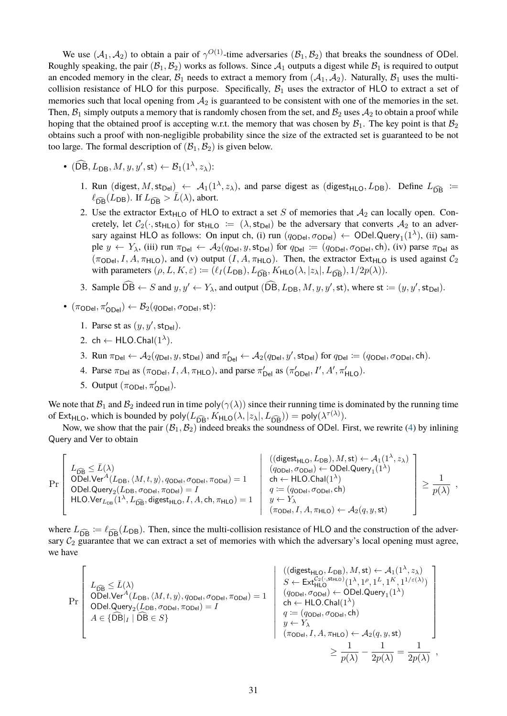We use  $(A_1, A_2)$  to obtain a pair of  $\gamma^{O(1)}$ -time adversaries  $(\mathcal{B}_1, \mathcal{B}_2)$  that breaks the soundness of ODel. Roughly speaking, the pair  $(\mathcal{B}_1, \mathcal{B}_2)$  works as follows. Since  $\mathcal{A}_1$  outputs a digest while  $\mathcal{B}_1$  is required to output an encoded memory in the clear,  $\mathcal{B}_1$  needs to extract a memory from  $(\mathcal{A}_1, \mathcal{A}_2)$ . Naturally,  $\mathcal{B}_1$  uses the multicollision resistance of HLO for this purpose. Specifically, *B*<sup>1</sup> uses the extractor of HLO to extract a set of memories such that local opening from *A*<sup>2</sup> is guaranteed to be consistent with one of the memories in the set. Then,  $B_1$  simply outputs a memory that is randomly chosen from the set, and  $B_2$  uses  $A_2$  to obtain a proof while hoping that the obtained proof is accepting w.r.t. the memory that was chosen by  $B_1$ . The key point is that  $B_2$ obtains such a proof with non-negligible probability since the size of the extracted set is guaranteed to be not too large. The formal description of  $(\mathcal{B}_1, \mathcal{B}_2)$  is given below. ins such a proof with non-negligible pro<br>
darge. The formal description of  $(\mathcal{B}_1, \mathcal{B}_2)$ <br> **•**  $(\widehat{DB}, L_{DB}, M, y, y', st) \leftarrow \mathcal{B}_1(1^{\lambda}, z_{\lambda})$ :

- - 1. Run (digest,  $M$ , st<sub>Del</sub>)  $\leftarrow A_1(1^{\lambda}, z_{\lambda})$ , and parse digest as (digest<sub>HLO</sub>,  $L_{DB}$ ). Define  $L_{\widehat{DB}} :=$  $\ell_{\widehat{\rm DR}}(L_{\rm DB})$ . If  $L_{\widehat{\rm DR}} > \overline{L}(\lambda)$ , abort.
	- 2. Use the extractor  $Ext_{HLO}$  of HLO to extract a set *S* of memories that  $A_2$  can locally open. Concretely, let  $C_2(\cdot, st_{HLO})$  for  $st_{HLO} := (\lambda, st_{Del})$  be the adversary that converts  $\mathcal{A}_2$  to an adversary against HLO as follows: On input ch, (i) run  $(q_{\text{ODE}}, \sigma_{\text{ODE}}) \leftarrow \text{ODE}$ . Query<sub>1</sub>(1<sup> $\lambda$ </sup>), (ii) sam $ple y \leftarrow Y_\lambda$ , (iii) run  $\pi_{Del} \leftarrow A_2(q_{Del}, y, st_{Del})$  for  $q_{Del} := (q_{ODel}, \sigma_{ODel}, ch)$ , (iv) parse  $\pi_{Del}$  as  $(\pi_{\text{ODE}}, I, A, \pi_{\text{HLO}})$ , and (v) output  $(I, A, \pi_{\text{HLO}})$ . Then, the extractor Ext<sub>HLO</sub> is used against  $C_2$ with parameters  $(\rho, L, K, \varepsilon) := (\ell_I(L_{DB}), L_{\widehat{DB}}, K_{HLO}(\lambda, |z_{\lambda}|, L_{\widehat{DB}}), 1/2p(\lambda)).$ ple  $y \leftarrow Y_{\lambda}$ , (iii) run  $\pi_{\text{Del}} \leftarrow A_2(q_{\text{Del}}, y, \text{st}_{\text{Del}})$  for  $q_{\text{Del}} := (q_{\text{ODel}}, \sigma_{\text{ODel}}, \text{ch})$ , (iv) parse  $\pi_{\text{De}}$ <br>( $\pi_{\text{ODel}}, I, A, \pi_{\text{HLO}}$ ), and (v) output ( $I, A, \pi_{\text{HLO}}$ ). Then, the extractor Ext<sub>HLO</sub> is us
	-
- $\bullet$   $(\pi_{\mathsf{ODel}}, \pi'_{\mathsf{ODel}}) \leftarrow \mathcal{B}_2(q_{\mathsf{ODel}}, \sigma_{\mathsf{ODel}}, \mathsf{st})$ :
	- 1. Parse st as  $(y, y', st_{Del})$ .
	- 2. ch *←* HLO*.*Chal(1*<sup>λ</sup>* ).
	- 3. Run  $\pi_{\text{Del}} \leftarrow A_2(q_{\text{Del}}, y, \text{st}_{\text{Del}})$  and  $\pi'_{\text{Del}} \leftarrow A_2(q_{\text{Del}}, y', \text{st}_{\text{Del}})$  for  $q_{\text{Del}} \coloneqq (q_{\text{ODel}}, \sigma_{\text{ODel}}, \text{ch})$ .
	- 4. Parse  $\pi_{\text{Del}}$  as  $(\pi_{\text{ODel}}, I, A, \pi_{\text{HLO}})$ , and parse  $\pi'_{\text{Del}}$  as  $(\pi'_{\text{ODel}}, I', A', \pi'_{\text{HLO}})$ .
	- 5. Output  $(\pi_{\text{ODel}}, \pi'_{\text{ODel}})$ .

We note that  $B_1$  and  $B_2$  indeed run in time poly $(\gamma(\lambda))$  since their running time is dominated by the running time of Ext<sub>HLO</sub>, which is bounded by  $poly(L_{\widehat{DB}}, K_{HLO}(\lambda, |z_{\lambda}|, L_{\widehat{DB}})) = poly(\lambda^{\tau(\lambda)})$ .

Now, we show that the pair  $(\mathcal{B}_1, \mathcal{B}_2)$  indeed breaks the soundness of ODel. First, we rewrite (4) by inlining Query and Ver to obtain

$$
\Pr\left[\begin{array}{c} L_{\widehat{\mathsf{DB}}}\leq \bar L(\lambda)\\ \text{ODE}.\mathsf{Ver}^A(L_{\mathsf{DB}},\langle M, t, y\rangle, q_{\mathsf{ODel}}, \sigma_{\mathsf{ODel}}, \pi_{\mathsf{ODel}})=1\\ \text{ODE}.\mathsf{Query}_2(L_{\mathsf{DB}},\sigma_{\mathsf{ODel}},\pi_{\mathsf{ODel}})=I\\ \text{HLO}.\mathsf{Ver}_{L_{\mathsf{DB}}}(1^\lambda,L_{\widehat{\mathsf{DB}}},\mathsf{digest}_{\mathsf{HLO}},I,A,\mathsf{ch},\pi_{\mathsf{HLO}})=1\\q\coloneqq (q_{\mathsf{ODel}},\sigma_{\mathsf{ODel}},\mathsf{ch})\\q\coloneqq (q_{\mathsf{ODel}},\sigma_{\mathsf{ODel}},\mathsf{ch})\\q\coloneqq (q_{\mathsf{ODel}},\sigma_{\mathsf{ODel}},\mathsf{ch})\\q\coloneqq (q_{\mathsf{ODel}},\sigma_{\mathsf{ODel}},\mathsf{ch})\\q\coloneqq (q_{\mathsf{ODel}},\pi_{\mathsf{ODel}},\mathsf{ch})\\q\coloneqq (q_{\mathsf{ODel}},\pi_{\mathsf{ODel}},\mathsf{ch})\\q\coloneqq (q_{\mathsf{ODel}},\pi_{\mathsf{ODel}},\mathsf{ch})\end{array}\right]\geq \frac{1}{p(\lambda)}~,
$$

where  $L_{\widehat{DB}} := \ell_{\widehat{DB}}(L_{DB})$ . Then, since the multi-collision resistance of HLO and the construction of the adversary  $C_2$  guarantee that we can extract a set of memories with which the adversary's local opening must agree, we have

$$
\Pr\left[\begin{array}{c}L_{\widehat{\textrm{DB}}}\leq \bar{L}(\lambda)\\ \text{ODE}.\mathsf{Ver}^A(L_{\textrm{DB}},\langle M,t,y\rangle,q_{\textrm{ODE}},\sigma_{\textrm{ODE}},\pi_{\textrm{ODE}})=1\\ \text{ODE}.\mathsf{Query}_{2}(L_{\textrm{DB}},\sigma_{\textrm{ODE}},\pi_{\textrm{ODE}})=I\\ A\in\{\widehat{\textrm{DB}}|_{I}\mid\widehat{\textrm{DB}}\in S\}\\ \end{array}\right]=I\left[\begin{array}{c}((\textrm{digest}_{\textrm{HLO}},L_{\textrm{DB}}),M,\textrm{st})\leftarrow\mathcal{A}_{1}(1^{\lambda},z_{\lambda})\\ S\leftarrow\textrm{Ext}_{\textrm{HLO}}^{C_{2}(\cdot,\textrm{st}_{\textrm{HLO}})}(1^{\lambda},1^{\rho},1^{\textit{L}},1^{\textit{K}},1^{1/\varepsilon(\lambda)})\\ (\textrm{q_{\textrm{ODE}},\sigma_{\textrm{ODE}})\leftarrow\textrm{ODE}.\mathsf{Query}_{1}(1^{\lambda})\\ \textrm{ch}\leftarrow\textrm{HLO}. \mathsf{Chal}(1^{\lambda})\\ q\coloneqq(q_{\textrm{ODE}},\sigma_{\textrm{ODE}},\textrm{ch})\\ y\leftarrow Y_{\lambda}\\ (\pi_{\textrm{ODE}},I,A,\pi_{\textrm{HLO}})\leftarrow\mathcal{A}_{2}(q,y,\textrm{st})\\ \end{array}\right]\right]
$$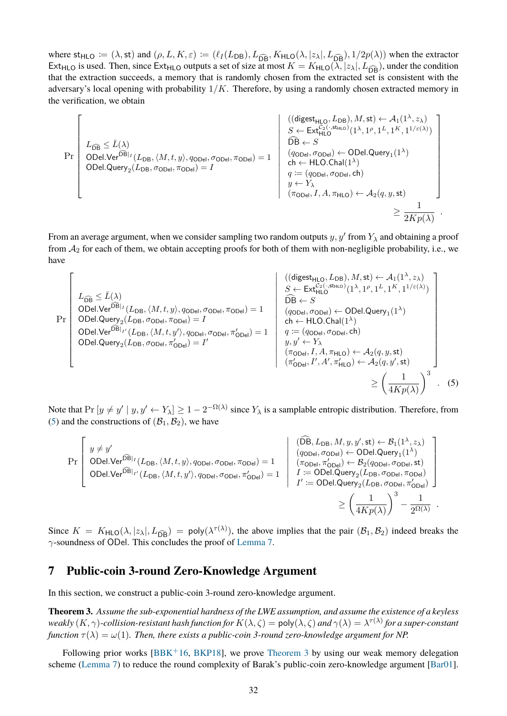where  $st_{HLO} := (\lambda, st)$  and  $(\rho, L, K, \varepsilon) := (\ell_I(L_{DB}), L_{\widehat{DB}}, K_{HLO}(\lambda, |z_{\lambda}|, L_{\widehat{DB}}), 1/2p(\lambda))$  when the extractor  $\text{Ext}_{\text{HLO}}$  is used. Then, since  $\text{Ext}_{\text{HLO}}$  outputs a set of size at most  $K = K_{\text{HLO}}(\lambda, |z_{\lambda}|, L_{\widehat{\text{DB}}})$ , under the condition that the extraction succeeds, a memory that is randomly chosen from the extracted set is consistent with the adversary's local opening with probability  $1/K$ . Therefore, by using a randomly chosen extracted memory in the verification, we obtain

$$
\Pr\left[\begin{array}{c} \text{U}_{\widehat{\mathsf{DB}}} \leq \bar{L}(\lambda) \\ L_{\widehat{\mathsf{DB}}} \leq \bar{L}(\lambda) \\ \text{ODel.Ver}^{\widehat{\mathsf{DB}}|_{I}}(L_{\mathsf{DB}}, \langle M, t, y \rangle, q_{\mathsf{ODel}}, \sigma_{\mathsf{ODel}}, \pi_{\mathsf{ODel}}) = 1 \\ 0 \text{Del.Ver}^{\widehat{\mathsf{DB}}|_{I}}(L_{\mathsf{DB}}, \langle M, t, y \rangle, q_{\mathsf{ODel}}, \sigma_{\mathsf{ODel}}, \pi_{\mathsf{ODel}}) = I \\ 0 \text{Del.Query}_{2}(L_{\mathsf{DB}}, \sigma_{\mathsf{ODel}}, \pi_{\mathsf{ODel}}) = I \\ 0 \text{Del.Query}_{2}(L_{\mathsf{DB}}, \sigma_{\mathsf{ODel}}, \pi_{\mathsf{ODel}}) = I \end{array}\right] \begin{array}{c} ((\text{digest}_{\mathsf{HLQ}}, L_{\mathsf{DB}}), M, \text{st}) \leftarrow \mathcal{A}_{1}(1^{\lambda}, z_{\lambda}) \\ S \leftarrow \text{Ext}_{\mathsf{HLQ}}^{\mathcal{C}_{1}(\text{stht})}(1^{\lambda}, 1^{\rho}, 1^{\lambda}, 1^{\lambda}, 1^{\lambda}(\epsilon(\lambda))\\ \widehat{\mathsf{DB}} \leftarrow S \\ (q_{\mathsf{ODel}}, \sigma_{\mathsf{ODel}}) \leftarrow \text{ODel.Query}_{1}(1^{\lambda}) \\ \text{ch} \leftarrow \text{HLO.Chal}(1^{\lambda}) \\ y \leftarrow Y_{\lambda} \\ (\pi_{\mathsf{ODel}}, I, A, \pi_{\mathsf{HLQ}}) \leftarrow \mathcal{A}_{2}(q, y, \text{st}) \\ 2 \frac{1}{2Kp(\lambda)} \end{array}\right].
$$

From an average argument, when we consider sampling two random outputs  $y, y'$  from  $Y_\lambda$  and obtaining a proof from  $A_2$  for each of them, we obtain accepting proofs for both of them with non-negligible probability, i.e., we have an average argument, when we consider sampling two ra

We

\n
$$
\begin{bmatrix}\nL_{\widehat{DB}} \leq \bar{L}(\lambda) & ( ( \text{digest}_{\mathsf{HLO}}, L_{\mathsf{DB}}), M, \mathsf{st} ) \leftarrow \mathcal{A}_1(1^{\lambda}, z_{\lambda}) \\
\text{ODel.} \text{Ver}^{\widehat{DB}|_{I}}(L_{\mathsf{DB}}, \langle M, t, y \rangle, q_{\mathsf{ODel}}, \sigma_{\mathsf{ODel}}, \pi_{\mathsf{ODel}} ) = 1 \\
\text{ODel.} \text{Query}_2(L_{\mathsf{DB}}, \sigma_{\mathsf{ODel}}, \pi_{\mathsf{ODel}} ) = I & ( q_{\mathsf{ODel}}, \sigma_{\mathsf{ODel}} ) \leftarrow \text{ODel.} \text{Query}_1(1^{\lambda}) \\
\text{ODel.} \text{Query}_2(L_{\mathsf{DB}}, \sigma_{\mathsf{ODel}}, \pi_{\mathsf{ODel}} ) = I & ( q_{\mathsf{ODel}}, \sigma_{\mathsf{ODel}} ) \leftarrow \text{ODel.} \text{Query}_1(1^{\lambda}) \\
\text{ODel.} \text{Query}_2(L_{\mathsf{DB}}, \sigma_{\mathsf{ODel}}, \pi_{\mathsf{ODel}} ') ) = I' & ( q_{\mathsf{ODel}}, \sigma_{\mathsf{ODel}}, \tau_{\mathsf{ODel}} ) = 1 \\
\text{ODel.} \text{Query}_2(L_{\mathsf{DB}}, \sigma_{\mathsf{ODel}}, \pi_{\mathsf{ODel}} ') ) = I' & ( q_{\mathsf{ODel}}, \sigma_{\mathsf{ODel}}, \tau_{\mathsf{ODel}} ) \leftarrow \mathcal{A}_2(q, y, \text{st}) \\
\pi_{\mathsf{ODel}}, I, A, \pi_{\mathsf{HLO}} ) \leftarrow \mathcal{A}_2(q, y, \text{st}) \\
\pi_{\mathsf{ODel}}, I', A', \pi_{\mathsf{HLO}} ' \leftarrow \mathcal{A}_2(q, y', \text{st}) \\
\pi_{\mathsf{CDel}} I, I', A', \pi_{\mathsf{HLO}} ' \leftarrow \mathcal{A}_2(q, y', \text{st}) \right) \\
\end{bmatrix}
$$

Note that  $\Pr\left[y\neq y'\mid y,y'\leftarrow Y_\lambda\right]\geq 1-2^{-\Omega(\lambda)}$  since  $Y_\lambda$  is a samplable entropic distribution. Therefore, from (5) and the constructions of  $(\mathcal{B}_1, \mathcal{B}_2)$ , we have  $\mathbf{r}$ blable entropic dis<br> $(\widehat{\text{DB}}, L_{\text{DB}}, M, y, y^{\prime})$ e,

$$
\Pr\left[\begin{array}{c}y\neq y'\\ \mathsf{ODel}.\mathsf{Ver}^{\widehat{\mathsf{DB}}|_{I}}(L_{\mathsf{DB}},\langle M, t, y\rangle, q_{\mathsf{ODel}}, \sigma_{\mathsf{ODel}}, \pi_{\mathsf{ODel}})=1\\ \mathsf{ODel}.\mathsf{Ver}^{\widehat{\mathsf{DB}}|_{I'}}(L_{\mathsf{DB}},\langle M, t, y\rangle, q_{\mathsf{ODel}}, \sigma_{\mathsf{ODel}}, \pi_{\mathsf{ODel}})=1\\ \mathsf{ODel}.\mathsf{Ver}^{\widehat{\mathsf{DB}}|_{I'}}(L_{\mathsf{DB}},\langle M, t, y\rangle, q_{\mathsf{ODel}}, \sigma_{\mathsf{ODel}}, \pi_{\mathsf{ODel}})=1\\qquad \qquad \begin{array}{c}(\widehat{\mathsf{DB}}, L_{\mathsf{DB}}, M, y, y', \mathsf{st}) \leftarrow \mathcal{B}_1(1^\lambda, z_\lambda)\\ (\eta_{\mathsf{ODel}}, \pi_{\mathsf{ODel}}) \leftarrow \mathsf{ODel}.\mathsf{Query}_1(1^\lambda)\\ (\pi_{\mathsf{ODel}}, \pi_{\mathsf{ODel}}') \leftarrow \mathcal{B}_2(q_{\mathsf{ODel}}, \sigma_{\mathsf{ODel}}, \mathsf{st})\\ I := \mathsf{ODel}.\mathsf{Query}_2(L_{\mathsf{DB}}, \sigma_{\mathsf{ODel}}, \pi_{\mathsf{ODel}}')\\ I' := \mathsf{ODel}.\mathsf{Query}_2(L_{\mathsf{DB}}, \sigma_{\mathsf{ODel}}, \pi_{\mathsf{ODel}}')\\ \geq \left(\frac{1}{4Kp(\lambda)}\right)^3 - \frac{1}{2^{\Omega(\lambda)}} \end{array}\right].
$$

Since  $K = K_{\text{HLO}}(\lambda, |z_{\lambda}|, L_{\widehat{\text{DB}}}) = \text{poly}(\lambda^{\tau(\lambda)})$ , the above implies that the pair  $(\mathcal{B}_1, \mathcal{B}_2)$  indeed breaks the *γ*-soundness of ODel. This concludes the proof of Lemma 7.

# **7 Public-coin 3-round Zero-Knowledge Argument**

In this section, we construct a public-coin 3-round [zero-know](#page-26-2)ledge argument.

<span id="page-31-0"></span>**Theorem 3.** *Assume the sub-exponential hardness of the LWE assumption, and assume the existence of a keyless weakly*  $(K, \gamma)$ -collision-resistant hash function for  $K(\lambda, \zeta) = \text{poly}(\lambda, \zeta)$  and  $\gamma(\lambda) = \lambda^{\tau(\lambda)}$  for a super-constant *function*  $\tau(\lambda) = \omega(1)$ *. Then, there exists a public-coin 3-round zero-knowledge argument for NP.* 

<span id="page-31-1"></span>Following prior works  $[B B K^+ 16, B K P 18]$ , we prove Theorem 3 by using our weak memory delegation scheme (Lemma 7) to reduce the round complexity of Barak's public-coin zero-knowledge argument [Bar01].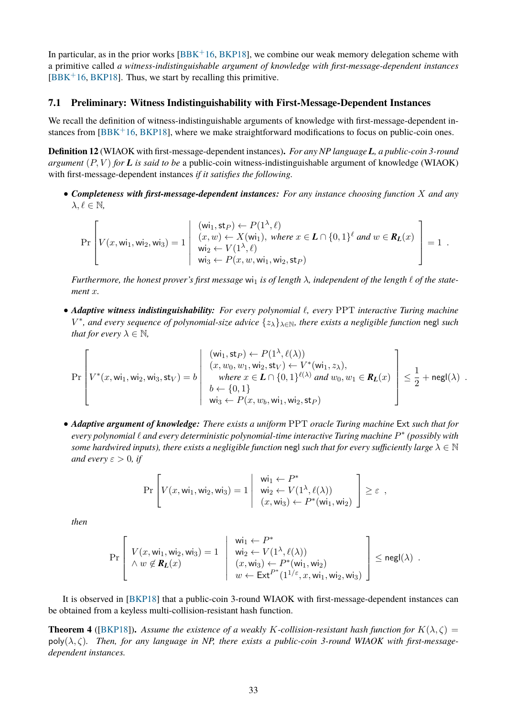In particular, as in the prior works  $[BBK<sup>+</sup>16, BKP18]$ , we combine our weak memory delegation scheme with a primitive called *a witness-indistinguishable argument of knowledge with first-message-dependent instances*  $[BBK<sup>+</sup>16, BKP18]$ . Thus, we start by recalling this primitive.

#### **7.1 Preliminary: Witness In[distingui](#page-36-4)s[habilit](#page-36-8)y with First-Message-Dependent Instances**

[We recall t](#page-36-4)[he defin](#page-36-8)ition of witness-indistinguishable arguments of knowledge with first-message-dependent instances from  $[BBK<sup>+</sup>16, BKP18]$ , where we make straightforward modifications to focus on public-coin ones.

<span id="page-32-0"></span>**Definition 12** (WIAOK with first-message-dependent instances)**.** *For any NP language L, a public-coin 3-round argument* (*P, V* ) *for L is said to be* a public-coin witness-indistinguishable argument of knowledge (WIAOK) with first-mes[sage-depe](#page-36-4)[ndent ins](#page-36-8)tances *if it satisfies the following.* 

*• Completeness with first-message-dependent instances: For any instance choosing function X and any λ, ℓ ∈* N*,*

$$
\Pr\left[V(x,\text{wi}_1,\text{wi}_2,\text{wi}_3)=1\left|\begin{array}{c}(\text{wi}_1,\text{st}_P)\leftarrow P(1^{\lambda},\ell)\\(x,w)\leftarrow X(\text{wi}_1),\text{ where }x\in L\cap\{0,1\}^\ell\text{ and }w\in R_L(x)\\ \text{wi}_2\leftarrow V(1^{\lambda},\ell)\\ \text{wi}_3\leftarrow P(x,w,\text{wi}_1,\text{wi}_2,\text{st}_P)\end{array}\right]\right|=1.
$$

*Furthermore, the honest prover's first message*  $\text{wi}_1$  *is of length*  $\lambda$ *, independent of the length*  $\ell$  *of the statement x.*

*• Adaptive witness indistinguishability: For every polynomial ℓ, every* PPT *interactive Turing machine V*<sup>\*</sup>, and every sequence of polynomial-size advice  $\{z_{\lambda}\}_{\lambda \in \mathbb{N}}$ , there exists a negligible function negl such that for every  $\lambda \in \mathbb{N}$ *that for every*  $\lambda \in \mathbb{N}$ ,

$$
\Pr\left[V^*(x, \text{wi}_1, \text{wi}_2, \text{wi}_3, \text{st}_V) = b \left| \begin{array}{c} (\text{wi}_1, \text{st}_P) \leftarrow P(1^{\lambda}, \ell(\lambda)) \\ (x, w_0, w_1, \text{wi}_2, \text{st}_V) \leftarrow V^*(\text{wi}_1, z_{\lambda}), \\ \text{where } x \in L \cap \{0, 1\}^{\ell(\lambda)} \text{ and } w_0, w_1 \in R_L(x) \\ b \leftarrow \{0, 1\} \\ \text{wi}_3 \leftarrow P(x, w_b, \text{wi}_1, \text{wi}_2, \text{st}_P) \end{array} \right| \leq \frac{1}{2} + \text{negl}(\lambda) .
$$

*• Adaptive argument of knowledge: There exists a uniform* PPT *oracle Turing machine* Ext *such that for every polynomial ℓ and every deterministic polynomial-time interactive Turing machine P ∗ (possibly with some hardwired inputs), there exists a negligible function* negl *such that for every sufficiently large λ ∈* N *and every*  $\varepsilon > 0$ *, if* 

$$
\Pr\left[V(x,\mathrm{wi}_1,\mathrm{wi}_2,\mathrm{wi}_3)=1\left|\begin{array}{c}\mathrm{wi}_1\leftarrow P^*\\\mathrm{wi}_2\leftarrow V(1^\lambda,\ell(\lambda))\\\ (x,\mathrm{wi}_3)\leftarrow P^*(\mathrm{wi}_1,\mathrm{wi}_2)\end{array}\right|\geq\varepsilon\enspace,
$$

*then*

$$
\Pr\left[\begin{array}{c} V(x,\mathrm{wi}_1,\mathrm{wi}_2,\mathrm{wi}_3)=1\\ \wedge w\not\in R_L(x) \end{array}\middle|\begin{array}{c} \mathrm{wi}_1\leftarrow P^*\\ \mathrm{wi}_2\leftarrow V(1^\lambda,\ell(\lambda))\\ (x,\mathrm{wi}_3)\leftarrow P^*(\mathrm{wi}_1,\mathrm{wi}_2)\\ w\leftarrow \mathrm{Ext}^{P^*}(1^{1/\varepsilon},x,\mathrm{wi}_1,\mathrm{wi}_2,\mathrm{wi}_3) \end{array}\right]\right\}\leq \mathrm{negl}(\lambda)\enspace.
$$

It is observed in [BKP18] that a public-coin 3-round WIAOK with first-message-dependent instances can be obtained from a keyless multi-collision-resistant hash function.

<span id="page-32-1"></span>**Theorem 4** ([BKP18]). Assume the existence of a weakly *K*-collision-resistant hash function for  $K(\lambda, \zeta) =$ poly(*λ, ζ*)*. Then, fo[r any la](#page-36-8)nguage in NP, there exists a public-coin 3-round WIAOK with first-messagedependent instances.*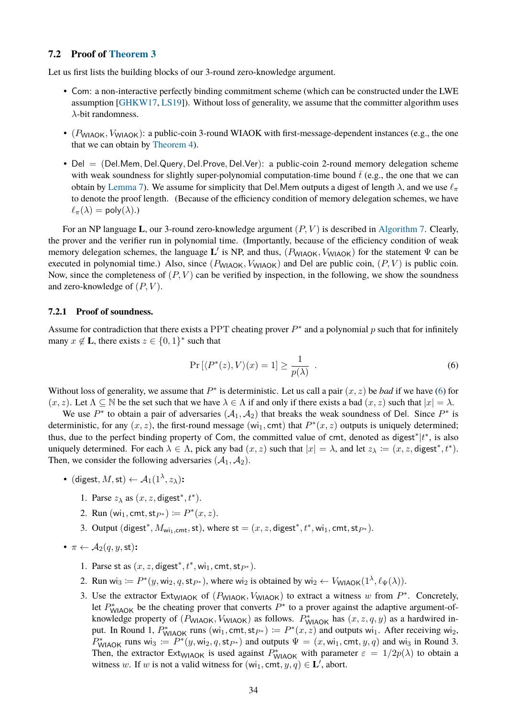#### **7.2 Proof of Theorem 3**

Let us first lists the building blocks of our 3-round zero-knowledge argument.

- <span id="page-33-0"></span>• Com: a n[on-interactive](#page-31-1) perfectly binding commitment scheme (which can be constructed under the LWE assumption [GHKW17, LS19]). Without loss of generality, we assume that the committer algorithm uses *λ*-bit randomness.
- ( $P_{WIAOK}$ ,  $V_{WIAOK}$ ): a public-coin 3-round WIAOK with first-message-dependent instances (e.g., the one that we can [obtain by](#page-37-13) T[heorem](#page-38-12) 4).
- Del = (Del*.*Mem*,* Del*.*Query*,* Del*.*Prove*,* Del*.*Ver): a public-coin 2-round memory delegation scheme with weak soundness for slightly super-polynomial computation-time bound  $\bar{t}$  (e.g., the one that we can obtain by Lemma 7). [We assume](#page-32-1) for simplicity that Del*.*Mem outputs a digest of length *λ*, and we use *ℓ<sup>π</sup>* to denote the proof length. (Because of the efficiency condition of memory delegation schemes, we have  $\ell_{\pi}(\lambda) = \text{poly}(\lambda)$ .)

For an NP l[anguage](#page-26-2) **L**, our 3-round zero-knowledge argument (*P, V* ) is described in Algorithm 7. Clearly, the prover and the verifier run in polynomial time. (Importantly, because of the efficiency condition of weak memory delegation schemes, the language **L'** is NP, and thus, (P<sub>WIAOK</sub>, V<sub>WIAOK</sub>) for the statement  $\Psi$  can be executed in polynomial time.) Also, since  $(P_{\text{WIAOK}}, V_{\text{WIAOK}})$  and Del are public coin,  $(P, V)$  is public coin. Now, since the completeness of  $(P, V)$  can be verified by inspection, in the following, w[e show the so](#page-34-0)undness and zero-knowledge of (*P, V* ).

#### **7.2.1 Proof of soundness.**

Assume for contradiction that there exists a PPT cheating prover *P ∗* and a polynomial *p* such that for infinitely many  $x \notin L$ , there exists  $z \in \{0, 1\}^*$  such that

<span id="page-33-1"></span>
$$
\Pr\left[\langle P^*(z), V \rangle(x) = 1\right] \ge \frac{1}{p(\lambda)} \quad . \tag{6}
$$

Without loss of generality, we assume that  $P^*$  is deterministic. Let us call a pair  $(x, z)$  be *bad* if we have (6) for  $(x, z)$ . Let  $\Lambda \subseteq \mathbb{N}$  be the set such that we have  $\lambda \in \Lambda$  if and only if there exists a bad  $(x, z)$  such that  $|x| = \lambda$ .

We use  $P^*$  to obtain a pair of adversaries  $(A_1, A_2)$  that breaks the weak soundness of Del. Since  $P^*$  is deterministic, for any  $(x, z)$ , the first-round message  $(wi_1, \text{cmt})$  that  $P^*(x, z)$  outputs is uniquely determined; thus, due to the perfect binding property of Com, the committed value of cmt, denoted as digest*<sup>∗</sup> |t ∗* , i[s](#page-33-1) also uniquely determined. For each  $\lambda \in \Lambda$ , pick any bad  $(x, z)$  such that  $|x| = \lambda$ , and let  $z_{\lambda} := (x, z, \text{digest}^*, t^*)$ . Then, we consider the following adversaries  $(A_1, A_2)$ .

- $\bullet$  (digest,  $M$ , st)  $\leftarrow$   $\mathcal{A}_1(1^\lambda, z_\lambda)$ :
	- 1. Parse  $z_{\lambda}$  as  $(x, z, \text{digest}^*, t^*)$ .
	- 2. Run (wi<sub>1</sub>, cmt, st<sub>*P*<sup>\*</sup></sub>) :=  $P^*(x, z)$ .
	- 3. Output (digest<sup>\*</sup>,  $M_{wi_1, cmt}$ , st), where st =  $(x, z, \text{digest}^*, t^*, wi_1, cmt, st_{P^*})$ .

• 
$$
\pi \leftarrow \mathcal{A}_2(q, y, \text{st})
$$
:

- 1. Parse st as  $(x, z, \text{digest}^*, t^*, \text{wi}_1, \text{cmt}, \text{st}_{P^*}).$
- 2. Run wi<sub>3</sub> :=  $P^*(y, \text{wi}_2, q, \text{st}_{P^*})$ , where wi<sub>2</sub> is obtained by wi<sub>2</sub>  $\leftarrow$   $V_{\text{WIAOK}}(1^{\lambda}, \ell_{\Psi}(\lambda))$ .
- 3. Use the extractor  $Ext_{WIAOK}$  of  $(P_{WIAOK}, V_{WIAOK})$  to extract a witness w from  $P^*$ . Concretely, let  $P^*_{\text{WIAOK}}$  be the cheating prover that converts  $P^*$  to a prover against the adaptive argument-ofknowledge property of  $(P_{WIAOK}, V_{WIAOK})$  as follows.  $P_{WIAOK}^*$  has  $(x, z, q, y)$  as a hardwired input. In Round 1,  $P_{\text{WIAOK}}^*$  runs (wi<sub>1</sub>, cmt, st<sub>*P*<sup>\*</sup></sub>) :=  $P^*(x, z)$  and outputs wi<sub>1</sub>. After receiving wi<sub>2</sub>,  $P^*_{\text{WIAOK}}$  runs wi<sub>3</sub> :=  $P^*(y, \text{wi}_2, q, \text{st}_{P^*})$  and outputs  $\Psi = (x, \text{wi}_1, \text{cmt}, y, q)$  and wi<sub>3</sub> in Round 3. Then, the extractor Ext<sub>WIAOK</sub> is used against  $P_{\text{WIAOK}}^*$  with parameter  $\varepsilon = 1/2p(\lambda)$  to obtain a witness *w*. If *w* is not a valid witness for  $(\text{wi}_1, \text{cmt}, y, q) \in \mathbf{L}'$ , abort.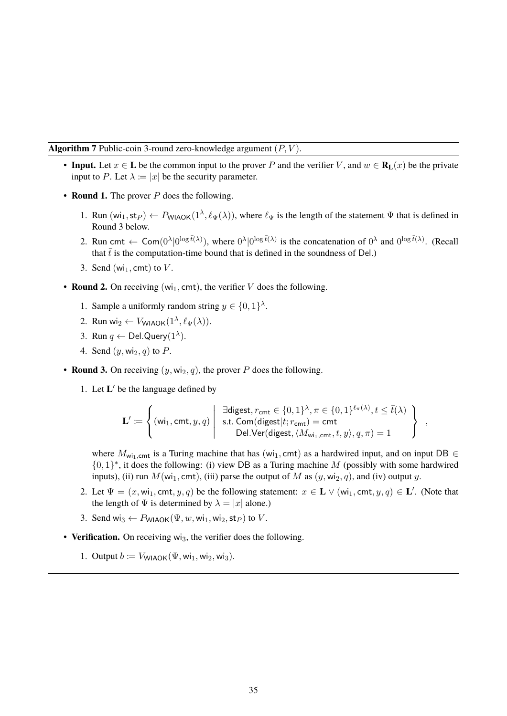<span id="page-34-0"></span>**Algorithm 7** Public-coin 3-round zero-knowledge argument (*P, V* ).

- **Input.** Let  $x \in L$  be the common input to the prover *P* and the verifier *V*, and  $w \in \mathbf{R}_L(x)$  be the private input to *P*. Let  $\lambda := |x|$  be the security parameter.
- **Round 1.** The prover *P* does the following.
	- 1. Run  $(w_i, st_P) \leftarrow P_{WIAOK}(1^{\lambda}, \ell_{\Psi}(\lambda))$ , where  $\ell_{\Psi}$  is the length of the statement  $\Psi$  that is defined in Round 3 below.
	- 2. Run cmt  $\leftarrow$  Com $(0^{\lambda}|0^{\log \bar{t}(\lambda)})$ , where  $0^{\lambda}|0^{\log \bar{t}(\lambda)}$  is the concatenation of  $0^{\lambda}$  and  $0^{\log \bar{t}(\lambda)}$ . (Recall that  $\bar{t}$  is the computation-time bound that is defined in the soundness of Del.)
	- 3. Send (wi<sub>1</sub>, cmt) to  $V$ .
- **Round 2.** On receiving  $(w_i, \text{cmt})$ , the verifier *V* does the following.
	- 1. Sample a uniformly random string  $y \in \{0,1\}^{\lambda}$ .
	- 2. Run wi<sub>2</sub>  $\leftarrow$   $V_{\text{WIAOK}}(1^{\lambda}, \ell_{\Psi}(\lambda)).$
	- 3. Run  $q \leftarrow$  Del.Query $(1^{\lambda})$ .
	- 4. Send  $(y, \text{wi}_2, q)$  to  $P$ .
- **Round 3.** On receiving  $(y, wi_2, q)$ , the prover  $P$  does the following.  $\sin$  $\ddot{\phantom{0}}$ 
	- 1. Let **L** *′* be the language defined by

$$
\mathbf{L}' \coloneqq \left\{ \begin{aligned} (\textsf{wi}_1, \textsf{cmt}, y, q) & \begin{array}{l} \exists \textsf{digest}, r_{\mathsf{cmt}} \in \{0, 1\}^\lambda, \pi \in \{0, 1\}^{\ell_\pi(\lambda)}, t \leq \bar{t}(\lambda) \\ \textsf{s.t. } \textsf{Com}(\textsf{digest}|t; r_{\mathsf{cmt}}) = \textsf{cmt} \\ \textsf{Del.Ver}(\textsf{digest}, \langle M_{\mathsf{wi}_1, \mathsf{cmt}}, t, y \rangle, q, \pi) = 1 \end{array} \right\} \end{aligned} \right. \, ,
$$

where  $M_{\text{wi}_1,\text{cmt}}$  is a Turing machine that has (wi<sub>1</sub>, cmt) as a hardwired input, and on input DB  $\in$ *{*0*,* 1*} ∗* , it does the following: (i) view DB as a Turing machine *M* (possibly with some hardwired inputs), (ii) run  $M(w_i, \text{cmt})$ , (iii) parse the output of  $M$  as  $(y, w_i, q)$ , and (iv) output  $y$ .

- 2. Let  $\Psi = (x, \text{wi}_1, \text{cmt}, y, q)$  be the following statement:  $x \in L \vee (\text{wi}_1, \text{cmt}, y, q) \in L'$ . (Note that the length of  $\Psi$  is determined by  $\lambda = |x|$  alone.)
- 3. Send wi<sub>3</sub>  $\leftarrow$   $P_{\text{WIAOK}}(\Psi, w, \text{wi}_1, \text{wi}_2, \text{st}_P)$  to *V*.
- Verification. On receiving wi<sub>3</sub>, the verifier does the following.
	- 1. Output  $b \coloneqq V_{\text{WIAOK}}(\Psi, \text{wi}_1, \text{wi}_2, \text{wi}_3)$ .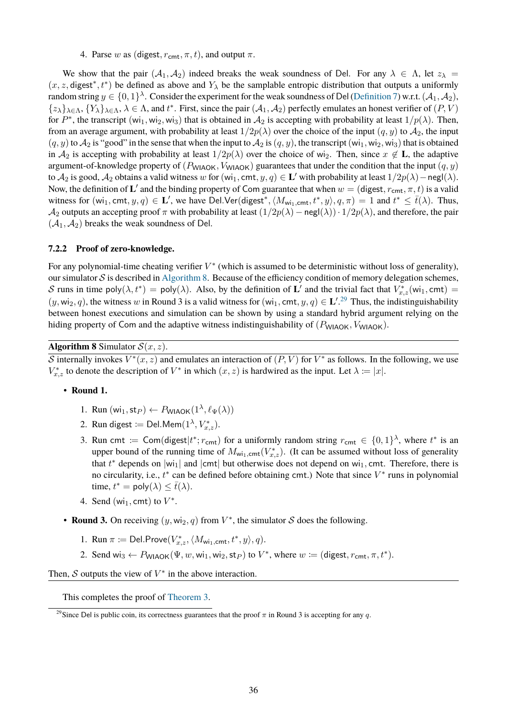#### 4. Parse *w* as (digest,  $r_{\text{cmt}}, \pi, t$ ), and output  $\pi$ .

We show that the pair  $(A_1, A_2)$  indeed breaks the weak soundness of Del. For any  $\lambda \in \Lambda$ , let  $z_{\lambda} =$  $(x, z, \text{digest}^*, t^*)$  be defined as above and  $Y_\lambda$  be the samplable entropic distribution that outputs a uniformly random string  $y \in \{0,1\}^{\lambda}$ . Consider the experiment for the weak soundness of Del (Definition 7) w.r.t.  $(\mathcal{A}_1,\mathcal{A}_2),$  $\{z_{\lambda}\}_{\lambda \in \Lambda}$ ,  $\{Y_{\lambda}\}_{\lambda \in \Lambda}$ ,  $\lambda \in \Lambda$ , and  $t^*$ . First, since the pair  $(\mathcal{A}_1, \mathcal{A}_2)$  perfectly emulates an honest verifier of  $(P, V)$ for  $P^*$ , the transcript (wi<sub>1</sub>, wi<sub>2</sub>, wi<sub>3</sub>) that is obtained in  $A_2$  is accepting with probability at least  $1/p(\lambda)$ . Then, from an average argument, with probability at least  $1/2p(\lambda)$  over the choice of th[e input](#page-8-1)  $(q, y)$  to  $\mathcal{A}_2$ , the input  $(q, y)$  to  $\mathcal{A}_2$  is "good" in the sense that when the input to  $\mathcal{A}_2$  is  $(q, y)$ , the transcript (wi<sub>1</sub>, wi<sub>2</sub>, wi<sub>3</sub>) that is obtained in  $A_2$  is accepting with probability at least  $1/2p(\lambda)$  over the choice of wi<sub>2</sub>. Then, since  $x \notin L$ , the adaptive argument-of-knowledge property of  $(P_{WIAOK}, V_{WIAOK})$  guarantees that under the condition that the input  $(q, y)$ to  $\mathcal{A}_2$  is good,  $\mathcal{A}_2$  obtains a valid witness  $w$  for  $(\mathsf{wi}_1,\mathsf{cmt},y,q)\in\mathbf{L}'$  with probability at least  $1/2p(\lambda)-\mathsf{negl}(\lambda).$ Now, the definition of  $L'$  and the binding property of Com guarantee that when  $w = ($ digest,  $r_{\sf cent}, \pi, t)$  is a valid witness for  $(\text{wi}_1, \text{cmt}, y, q) \in L'$ , we have Del.Ver(digest<sup>\*</sup>,  $\langle M_{\text{wi}_1, \text{cmt}}, t^*, y \rangle, q, \pi \rangle = 1$  and  $t^* \leq \bar{t}(\lambda)$ . Thus, *A*<sub>2</sub> outputs an accepting proof  $\pi$  with probability at least  $(1/2p(\lambda) - \text{negl}(\lambda)) \cdot 1/2p(\lambda)$ , and therefore, the pair  $(A_1, A_2)$  breaks the weak soundness of Del.

#### **7.2.2 Proof of zero-knowledge.**

For any polynomial-time cheating verifier *V ∗* (which is assumed to be deterministic without loss of generality), our simulator  $S$  is described in Algorithm 8. Because of the efficiency condition of memory delegation schemes, *S* runs in time  $poly(\lambda, t^*) = poly(\lambda)$ . Also, by the definition of **L**' and the trivial fact that  $V_{x,z}^*(wi_1, cmt) =$  $(y, wi_2, q)$ , the witness *w* in Round 3 is a valid witness for  $(wi_1, \text{cmt}, y, q) \in L^{'29}$  Thus, the indistinguishability between honest executions and simulation can be shown by using a standard hybrid argument relying on the hiding property of Com and th[e adaptive w](#page-35-0)itness indistinguishability of  $(P_{\text{WIAOK}}, V_{\text{WIAOK}})$ .

#### **Algorithm 8** Simulator  $S(x, z)$ .

S internally invokes  $V^*(x, z)$  and emulates an interaction of  $(P, V)$  for  $V^*$  as follows. In the following, we use *V*<sup> $*$ </sup>, $z$  to denote the description of *V*<sup> $*$ </sup> in which  $(x, z)$  is hardwired as the input. Let  $\lambda := |x|$ .

#### <span id="page-35-0"></span>• **Round 1.**

- 1. Run  $(\text{wi}_1, \text{st}_P) \leftarrow P_{\text{WIAOK}}(1^{\lambda}, \ell_{\Psi}(\lambda))$
- 2. Run digest  $:=$  Del.Mem $(1^{\lambda}, V^*_{x,z})$ .
- 3. Run cmt := Com(digest| $t^*$ ;  $r_{\text{cmt}}$ ) for a uniformly random string  $r_{\text{cmt}} \in \{0,1\}^{\lambda}$ , where  $t^*$  is an upper bound of the running time of  $M_{\text{wi}_1,\text{cmt}}(V_{x,z}^*)$ . (It can be assumed without loss of generality that  $t^*$  depends on  $|wi_1|$  and  $|cmt|$  but otherwise does not depend on  $wi_1$ , cmt. Therefore, there is no circularity, i.e., *t ∗* can be defined before obtaining cmt.) Note that since *V ∗* runs in polynomial  $time, t^* = poly(\lambda) \leq \overline{t}(\lambda)$ .
- 4. Send  $(wi_1, cmt)$  to  $V^*$ .
- **Round 3.** On receiving  $(y, wi_2, q)$  from  $V^*$ , the simulator *S* does the following.

1. Run 
$$
\pi \coloneqq \mathsf{Del}.\mathsf{Prove}(V_{x,z}^*, \langle M_{\mathsf{wi}_1, \mathsf{cmt}}, t^*, y \rangle, q).
$$

2. Send  $\text{wi}_3 \leftarrow P_{\text{WIAOK}}(\Psi, w, \text{wi}_1, \text{wi}_2, \text{st}_P)$  to  $V^*$ , where  $w := (\text{digest}, r_{\text{cmt}}, \pi, t^*)$ .

Then,  $S$  outputs the view of  $V^*$  in the above interaction.

This completes the proof of Theorem 3.

<sup>&</sup>lt;sup>29</sup>Since Del is public coin, its correctness guarantees that the proof  $\pi$  in Round 3 is accepting for any *q*.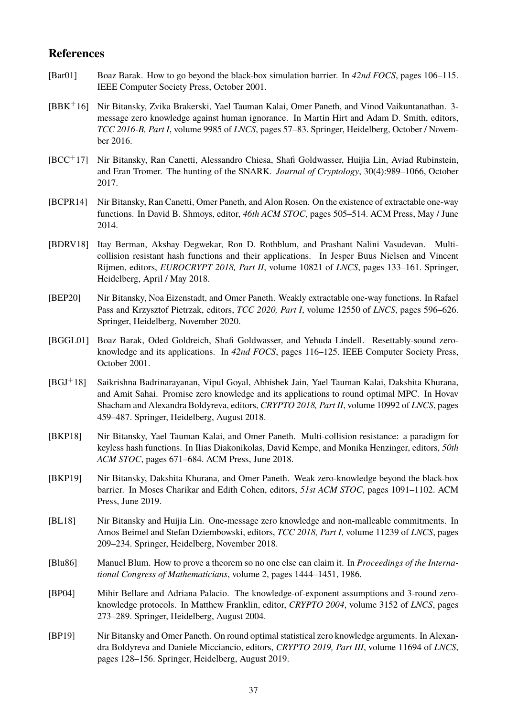# **References**

- [Bar01] Boaz Barak. How to go beyond the black-box simulation barrier. In *42nd FOCS*, pages 106–115. IEEE Computer Society Press, October 2001.
- <span id="page-36-4"></span>[BBK+16] Nir Bitansky, Zvika Brakerski, Yael Tauman Kalai, Omer Paneth, and Vinod Vaikuntanathan. 3 message zero knowledge against human ignorance. In Martin Hirt and Adam D. Smith, editors, *TCC 2016-B, Part I*, volume 9985 of *LNCS*, pages 57–83. Springer, Heidelberg, October / November 2016.
- <span id="page-36-1"></span>[BCC+17] Nir Bitansky, Ran Canetti, Alessandro Chiesa, Shafi Goldwasser, Huijia Lin, Aviad Rubinstein, and Eran Tromer. The hunting of the SNARK. *Journal of Cryptology*, 30(4):989–1066, October 2017.
- <span id="page-36-3"></span>[BCPR14] Nir Bitansky, Ran Canetti, Omer Paneth, and Alon Rosen. On the existence of extractable one-way functions. In David B. Shmoys, editor, *46th ACM STOC*, pages 505–514. ACM Press, May / June 2014.
- <span id="page-36-9"></span>[BDRV18] Itay Berman, Akshay Degwekar, Ron D. Rothblum, and Prashant Nalini Vasudevan. Multicollision resistant hash functions and their applications. In Jesper Buus Nielsen and Vincent Rijmen, editors, *EUROCRYPT 2018, Part II*, volume 10821 of *LNCS*, pages 133–161. Springer, Heidelberg, April / May 2018.
- <span id="page-36-2"></span>[BEP20] Nir Bitansky, Noa Eizenstadt, and Omer Paneth. Weakly extractable one-way functions. In Rafael Pass and Krzysztof Pietrzak, editors, *TCC 2020, Part I*, volume 12550 of *LNCS*, pages 596–626. Springer, Heidelberg, November 2020.
- <span id="page-36-12"></span>[BGGL01] Boaz Barak, Oded Goldreich, Shafi Goldwasser, and Yehuda Lindell. Resettably-sound zeroknowledge and its applications. In *42nd FOCS*, pages 116–125. IEEE Computer Society Press, October 2001.
- <span id="page-36-5"></span>[BGJ+18] Saikrishna Badrinarayanan, Vipul Goyal, Abhishek Jain, Yael Tauman Kalai, Dakshita Khurana, and Amit Sahai. Promise zero knowledge and its applications to round optimal MPC. In Hovav Shacham and Alexandra Boldyreva, editors, *CRYPTO 2018, Part II*, volume 10992 of *LNCS*, pages 459–487. Springer, Heidelberg, August 2018.
- <span id="page-36-8"></span>[BKP18] Nir Bitansky, Yael Tauman Kalai, and Omer Paneth. Multi-collision resistance: a paradigm for keyless hash functions. In Ilias Diakonikolas, David Kempe, and Monika Henzinger, editors, *50th ACM STOC*, pages 671–684. ACM Press, June 2018.
- <span id="page-36-7"></span>[BKP19] Nir Bitansky, Dakshita Khurana, and Omer Paneth. Weak zero-knowledge beyond the black-box barrier. In Moses Charikar and Edith Cohen, editors, *51st ACM STOC*, pages 1091–1102. ACM Press, June 2019.
- <span id="page-36-6"></span>[BL18] Nir Bitansky and Huijia Lin. One-message zero knowledge and non-malleable commitments. In Amos Beimel and Stefan Dziembowski, editors, *TCC 2018, Part I*, volume 11239 of *LNCS*, pages 209–234. Springer, Heidelberg, November 2018.
- <span id="page-36-11"></span>[Blu86] Manuel Blum. How to prove a theorem so no one else can claim it. In *Proceedings of the International Congress of Mathematicians*, volume 2, pages 1444–1451, 1986.
- <span id="page-36-0"></span>[BP04] Mihir Bellare and Adriana Palacio. The knowledge-of-exponent assumptions and 3-round zeroknowledge protocols. In Matthew Franklin, editor, *CRYPTO 2004*, volume 3152 of *LNCS*, pages 273–289. Springer, Heidelberg, August 2004.
- <span id="page-36-10"></span>[BP19] Nir Bitansky and Omer Paneth. On round optimal statistical zero knowledge arguments. In Alexandra Boldyreva and Daniele Micciancio, editors, *CRYPTO 2019, Part III*, volume 11694 of *LNCS*, pages 128–156. Springer, Heidelberg, August 2019.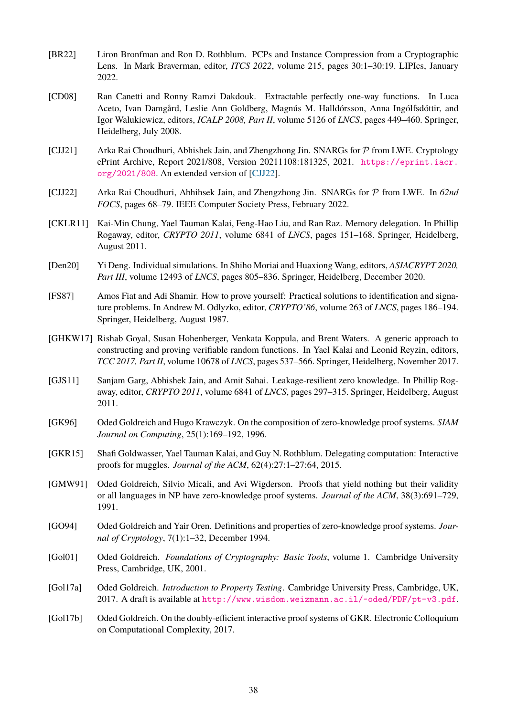- [BR22] Liron Bronfman and Ron D. Rothblum. PCPs and Instance Compression from a Cryptographic Lens. In Mark Braverman, editor, *ITCS 2022*, volume 215, pages 30:1–30:19. LIPIcs, January 2022.
- <span id="page-37-9"></span>[CD08] Ran Canetti and Ronny Ramzi Dakdouk. Extractable perfectly one-way functions. In Luca Aceto, Ivan Damgård, Leslie Ann Goldberg, Magnús M. Halldórsson, Anna Ingólfsdóttir, and Igor Walukiewicz, editors, *ICALP 2008, Part II*, volume 5126 of *LNCS*, pages 449–460. Springer, Heidelberg, July 2008.
- <span id="page-37-2"></span>[CJJ21] Arka Rai Choudhuri, Abhishek Jain, and Zhengzhong Jin. SNARGs for *P* from LWE. Cryptology ePrint Archive, Report 2021/808, Version 20211108:181325, 2021. https://eprint.iacr. org/2021/808. An extended version of [CJJ22].
- <span id="page-37-12"></span>[CJJ22] Arka Rai Choudhuri, Abhihsek Jain, and Zhengzhong Jin. SNARGs for *P* from LWE. In *62nd FOCS*, pages 68–79. IEEE Computer Society Press, February 2022.
- <span id="page-37-7"></span>[CKLR11] [Kai-Min Chung](https://eprint.iacr.org/2021/808), Yael Tauman Kalai, Fen[g-Hao](#page-37-7) Liu, and Ran Raz. Memory delegation. In Phillip Rogaway, editor, *CRYPTO 2011*, volume 6841 of *LNCS*, pages 151–168. Springer, Heidelberg, August 2011.
- <span id="page-37-6"></span>[Den20] Yi Deng. Individual simulations. In Shiho Moriai and Huaxiong Wang, editors, *ASIACRYPT 2020, Part III*, volume 12493 of *LNCS*, pages 805–836. Springer, Heidelberg, December 2020.
- <span id="page-37-3"></span>[FS87] Amos Fiat and Adi Shamir. How to prove yourself: Practical solutions to identification and signature problems. In Andrew M. Odlyzko, editor, *CRYPTO'86*, volume 263 of *LNCS*, pages 186–194. Springer, Heidelberg, August 1987.
- <span id="page-37-14"></span>[GHKW17] Rishab Goyal, Susan Hohenberger, Venkata Koppula, and Brent Waters. A generic approach to constructing and proving verifiable random functions. In Yael Kalai and Leonid Reyzin, editors, *TCC 2017, Part II*, volume 10678 of *LNCS*, pages 537–566. Springer, Heidelberg, November 2017.
- <span id="page-37-13"></span>[GJS11] Sanjam Garg, Abhishek Jain, and Amit Sahai. Leakage-resilient zero knowledge. In Phillip Rogaway, editor, *CRYPTO 2011*, volume 6841 of *LNCS*, pages 297–315. Springer, Heidelberg, August 2011.
- <span id="page-37-5"></span>[GK96] Oded Goldreich and Hugo Krawczyk. On the composition of zero-knowledge proof systems. *SIAM Journal on Computing*, 25(1):169–192, 1996.
- <span id="page-37-1"></span>[GKR15] Shafi Goldwasser, Yael Tauman Kalai, and Guy N. Rothblum. Delegating computation: Interactive proofs for muggles. *Journal of the ACM*, 62(4):27:1–27:64, 2015.
- <span id="page-37-8"></span>[GMW91] Oded Goldreich, Silvio Micali, and Avi Wigderson. Proofs that yield nothing but their validity or all languages in NP have zero-knowledge proof systems. *Journal of the ACM*, 38(3):691–729, 1991.
- <span id="page-37-4"></span>[GO94] Oded Goldreich and Yair Oren. Definitions and properties of zero-knowledge proof systems. *Journal of Cryptology*, 7(1):1–32, December 1994.
- <span id="page-37-0"></span>[Gol01] Oded Goldreich. *Foundations of Cryptography: Basic Tools*, volume 1. Cambridge University Press, Cambridge, UK, 2001.
- <span id="page-37-10"></span>[Gol17a] Oded Goldreich. *Introduction to Property Testing*. Cambridge University Press, Cambridge, UK, 2017. A draft is available at http://www.wisdom.weizmann.ac.il/~oded/PDF/pt-v3.pdf.
- <span id="page-37-15"></span><span id="page-37-11"></span>[Gol17b] Oded Goldreich. On the doubly-efficient interactive proof systems of GKR. Electronic Colloquium on Computational Complexity, 2017.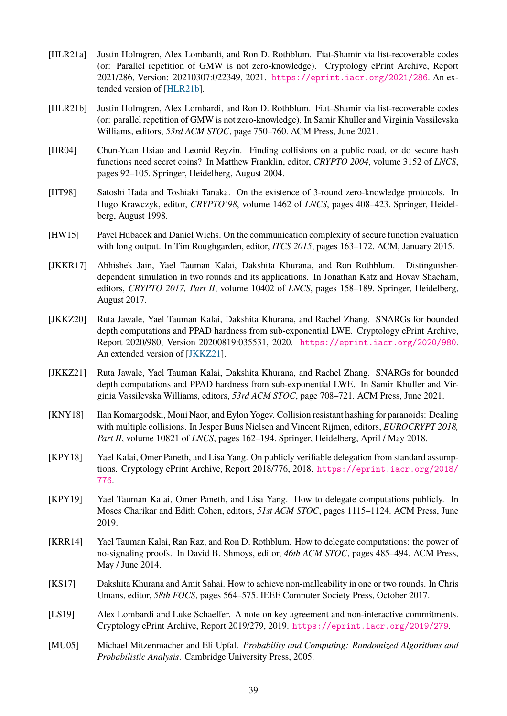- [HLR21a] Justin Holmgren, Alex Lombardi, and Ron D. Rothblum. Fiat-Shamir via list-recoverable codes (or: Parallel repetition of GMW is not zero-knowledge). Cryptology ePrint Archive, Report 2021/286, Version: 20210307:022349, 2021. https://eprint.iacr.org/2021/286. An extended version of [HLR21b].
- <span id="page-38-9"></span>[HLR21b] Justin Holmgren, Alex Lombardi, and Ron D. Rothblum. Fiat–Shamir via list-recoverable codes (or: parallel repetition of GMW is not zero-kno[wledge\). In Samir Khuller and Virginia Vas](https://eprint.iacr.org/2021/286)silevska Williams, editors, *[53rd ACM](#page-38-6) STOC*, page 750–760. ACM Press, June 2021.
- <span id="page-38-6"></span>[HR04] Chun-Yuan Hsiao and Leonid Reyzin. Finding collisions on a public road, or do secure hash functions need secret coins? In Matthew Franklin, editor, *CRYPTO 2004*, volume 3152 of *LNCS*, pages 92–105. Springer, Heidelberg, August 2004.
- <span id="page-38-7"></span>[HT98] Satoshi Hada and Toshiaki Tanaka. On the existence of 3-round zero-knowledge protocols. In Hugo Krawczyk, editor, *CRYPTO'98*, volume 1462 of *LNCS*, pages 408–423. Springer, Heidelberg, August 1998.
- <span id="page-38-0"></span>[HW15] Pavel Hubacek and Daniel Wichs. On the communication complexity of secure function evaluation with long output. In Tim Roughgarden, editor, *ITCS 2015*, pages 163–172. ACM, January 2015.
- [JKKR17] Abhishek Jain, Yael Tauman Kalai, Dakshita Khurana, and Ron Rothblum. Distinguisherdependent simulation in two rounds and its applications. In Jonathan Katz and Hovav Shacham, editors, *CRYPTO 2017, Part II*, volume 10402 of *LNCS*, pages 158–189. Springer, Heidelberg, August 2017.
- <span id="page-38-1"></span>[JKKZ20] Ruta Jawale, Yael Tauman Kalai, Dakshita Khurana, and Rachel Zhang. SNARGs for bounded depth computations and PPAD hardness from sub-exponential LWE. Cryptology ePrint Archive, Report 2020/980, Version 20200819:035531, 2020. https://eprint.iacr.org/2020/980. An extended version of [JKKZ21].
- <span id="page-38-10"></span>[JKKZ21] Ruta Jawale, Yael Tauman Kalai, Dakshita Khurana, and Rachel Zhang. SNARGs for bounded depth computations and PPAD hardness from sub-ex[ponential LWE. In Samir Khuller and Vir](https://eprint.iacr.org/2020/980)ginia Vassilevska Willia[ms, editor](#page-38-5)s, *53rd ACM STOC*, page 708–721. ACM Press, June 2021.
- <span id="page-38-5"></span>[KNY18] Ilan Komargodski, Moni Naor, and Eylon Yogev. Collision resistant hashing for paranoids: Dealing with multiple collisions. In Jesper Buus Nielsen and Vincent Rijmen, editors, *EUROCRYPT 2018, Part II*, volume 10821 of *LNCS*, pages 162–194. Springer, Heidelberg, April / May 2018.
- <span id="page-38-3"></span>[KPY18] Yael Kalai, Omer Paneth, and Lisa Yang. On publicly verifiable delegation from standard assumptions. Cryptology ePrint Archive, Report 2018/776, 2018. https://eprint.iacr.org/2018/ 776.
- <span id="page-38-8"></span>[KPY19] Yael Tauman Kalai, Omer Paneth, and Lisa Yang. How to delegate computations publicly. In Moses Charikar and Edith Cohen, editors, *51st ACM STOC*[, pages 1115–1124. ACM Press, June](https://eprint.iacr.org/2018/776) [2019](https://eprint.iacr.org/2018/776).
- <span id="page-38-11"></span>[KRR14] Yael Tauman Kalai, Ran Raz, and Ron D. Rothblum. How to delegate computations: the power of no-signaling proofs. In David B. Shmoys, editor, *46th ACM STOC*, pages 485–494. ACM Press, May / June 2014.
- <span id="page-38-4"></span>[KS17] Dakshita Khurana and Amit Sahai. How to achieve non-malleability in one or two rounds. In Chris Umans, editor, *58th FOCS*, pages 564–575. IEEE Computer Society Press, October 2017.
- <span id="page-38-2"></span>[LS19] Alex Lombardi and Luke Schaeffer. A note on key agreement and non-interactive commitments. Cryptology ePrint Archive, Report 2019/279, 2019. https://eprint.iacr.org/2019/279.
- <span id="page-38-12"></span>[MU05] Michael Mitzenmacher and Eli Upfal. *Probability and Computing: Randomized Algorithms and Probabilistic Analysis*. Cambridge University Press, 2005.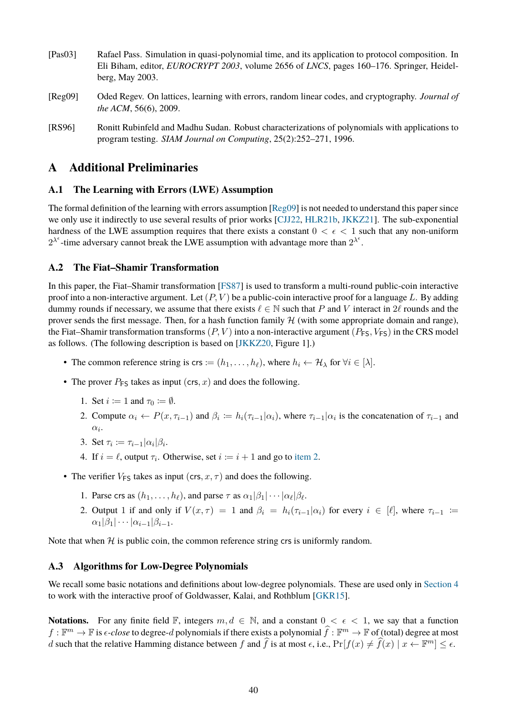- [Pas03] Rafael Pass. Simulation in quasi-polynomial time, and its application to protocol composition. In Eli Biham, editor, *EUROCRYPT 2003*, volume 2656 of *LNCS*, pages 160–176. Springer, Heidelberg, May 2003.
- <span id="page-39-4"></span>[Reg09] Oded Regev. On lattices, learning with errors, random linear codes, and cryptography. *Journal of the ACM*, 56(6), 2009.
- <span id="page-39-5"></span>[RS96] Ronitt Rubinfeld and Madhu Sudan. Robust characterizations of polynomials with applications to program testing. *SIAM Journal on Computing*, 25(2):252–271, 1996.

# <span id="page-39-7"></span>**A Additional Preliminaries**

#### **A.1 The Learning with Errors (LWE) Assumption**

<span id="page-39-1"></span><span id="page-39-0"></span>The formal definition of the learning with errors assumption  $[Reg09]$  is not needed to understand this paper since we only use it indirectly to use several results of prior works [CJJ22, HLR21b, JKKZ21]. The sub-exponential hardness of the LWE assumption requires that there exists a constant  $0 < \epsilon < 1$  such that any non-uniform  $2^{\lambda^{\epsilon}}$ -time adversary cannot break the LWE assumption with [advanta](#page-39-5)ge more than  $2^{\lambda^{\epsilon}}$ .

#### **A.2 The Fiat–Shamir Transformation**

<span id="page-39-2"></span>In this paper, the Fiat–Shamir transformation [FS87] is used to transform a multi-round public-coin interactive proof into a non-interactive argument. Let (*P, V* ) be a public-coin interactive proof for a language *L*. By adding dummy rounds if necessary, we assume that there exists  $\ell \in \mathbb{N}$  such that *P* and *V* interact in 2 $\ell$  rounds and the prover sends the first message. Then, for a ha[sh func](#page-37-14)tion family  $H$  (with some appropriate domain and range), the Fiat–Shamir transformation transforms  $(P, V)$  into a non-interactive argument  $(P_{FS}, V_{FS})$  in the CRS model as follows. (The following description is based on [JKKZ20, Figure 1].)

- The common reference string is crs :=  $(h_1, \ldots, h_\ell)$ , where  $h_i \leftarrow H_\lambda$  for  $\forall i \in [\lambda]$ .
- The prover  $P_{FS}$  takes as input (crs, x) and d[oes the fol](#page-38-10)lowing.
	- 1. Set  $i := 1$  and  $\tau_0 := \emptyset$ .
	- 2. Compute  $\alpha_i \leftarrow P(x, \tau_{i-1})$  and  $\beta_i := h_i(\tau_{i-1}|\alpha_i)$ , where  $\tau_{i-1}|\alpha_i$  is the concatenation of  $\tau_{i-1}$  and *αi* .
	- 3. Set  $\tau_i := \tau_{i-1} |\alpha_i| \beta_i$ .
	- 4. If  $i = \ell$ , output  $\tau_i$ . Otherwise, set  $i := i + 1$  and go to item 2.
- <span id="page-39-6"></span>• The verifier  $V_{FS}$  takes as input (crs,  $x, \tau$ ) and does the following.
	- 1. Parse crs as  $(h_1, \ldots, h_\ell)$ , and parse  $\tau$  as  $\alpha_1|\beta_1|\cdots|\alpha_\ell|\beta_\ell$ .
	- 2. Output 1 if and only if  $V(x, \tau) = 1$  and  $\beta_i = h_i(\tau_{i-1}|\alpha_i)$  for every  $i \in [\ell]$ , where  $\tau_{i-1} :=$  $\alpha_1|\beta_1|\cdots|\alpha_{i-1}|\beta_{i-1}.$

Note that when  $H$  is public coin, the common reference string crs is uniformly random.

#### **A.3 Algorithms for Low-Degree Polynomials**

We recall some basic notations and definitions about low-degree polynomials. These are used only in Section 4 to work with the interactive proof of Goldwasser, Kalai, and Rothblum [GKR15].

<span id="page-39-3"></span>**Notations.** For any finite field F, integers  $m, d \in \mathbb{N}$ , and a constant  $0 < \epsilon < 1$ , we say that [a function](#page-11-1) *f* to work with the interactive proof of Goldwasser, Kalai, and Rothblum [GKR15].<br> **Notations.** For any finite field  $\mathbb{F}$ , integers  $m, d \in \mathbb{N}$ , and a constant  $0 < \epsilon < 1$ , we say that a function  $f : \mathbb{F}^m \to \mathbb{F}$ **Notations.** For any finite field  $\mathbb{F}$ , integers  $m, d \in \mathbb{N}$ , and a constant  $0 < \epsilon < 1$ , we say that a function  $f : \mathbb{F}^m \to \mathbb{F}$  is  $\epsilon$ -close to degree-*d* polynomials if there exists a polynomial  $\hat{f} : \mathbb{F}^$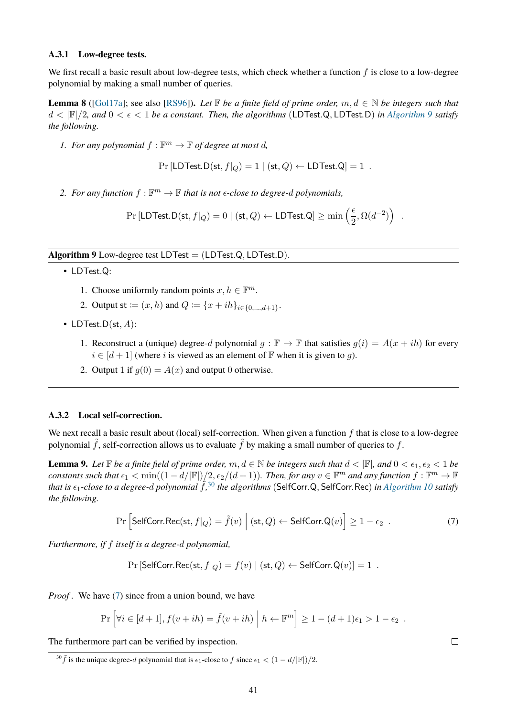#### **A.3.1 Low-degree tests.**

We first recall a basic result about low-degree tests, which check whether a function *f* is close to a low-degree polynomial by making a small number of queries.

**Lemma 8** ([Gol17a]; see also [RS96]). Let  $\mathbb F$  *be a finite field of prime order,*  $m, d \in \mathbb N$  *be integers such that*  $d < |F|/2$ , and  $0 < \epsilon < 1$  *be a constant. Then, the algorithms* (LDTest, Q, LDTest, D) *in Algorithm 9 satisfy the following.*

<span id="page-40-4"></span>*l*. For a[ny polyn](#page-37-15)omial  $f : \mathbb{F}^m \to \mathbb{F}$  of degree at most *d*,

$$
Pr[LDTest.D(st, f|_Q) = 1 | (st, Q) \leftarrow LDTest.Q] = 1.
$$

2. For any function  $f : \mathbb{F}^m \to \mathbb{F}$  that is not  $\epsilon$ -close to degree-*d* polynomials,

$$
\Pr\left[\text{LDTest.D(st, } f|_{Q}\right) = 1 \mid (\text{st}, Q) \leftarrow \text{LDTest.Q}] = 1
$$
\n
$$
\text{on } f: \mathbb{F}^{m} \to \mathbb{F} \text{ that is not } \epsilon\text{-close to degree-d polynomials,}
$$
\n
$$
\Pr\left[\text{LDTest.D(st, } f|_{Q}\right) = 0 \mid (\text{st}, Q) \leftarrow \text{LDTest.Q}] \ge \min\left(\frac{\epsilon}{2}, \Omega(d^{-2})\right) \enspace .
$$

**Algorithm 9** Low-degree test  $LDTest = (LDTest.Q, LDTest.D)$ .

- <span id="page-40-0"></span>• LDTest.Q:
	- 1. Choose uniformly random points  $x, h \in \mathbb{F}^m$ .
	- 2. Output st :=  $(x, h)$  and  $Q$  :=  $\{x + ih\}_{i \in \{0, ..., d+1\}}$ .
- LDTest.D(st*, A*):
	- 1. Reconstruct a (unique) degree-*d* polynomial  $g : \mathbb{F} \to \mathbb{F}$  that satisfies  $g(i) = A(x + ih)$  for every  $i \in [d+1]$  (where *i* is viewed as an element of  $\mathbb{F}$  when it is given to *g*).
	- 2. Output 1 if  $q(0) = A(x)$  and output 0 otherwise.

#### **A.3.2 Local self-correction.**

We next recall a basic result about (local) self-correction. When given a function *f* that is close to a low-degree polynomial  $\tilde{f}$ , self-correction allows us to evaluate  $\tilde{f}$  by making a small number of queries to  $f$ .

<span id="page-40-3"></span>**Lemma 9.** Let  $\mathbb F$  be a finite field of prime order,  $m, d \in \mathbb N$  be integers such that  $d < |\mathbb F|$ , and  $0 < \epsilon_1, \epsilon_2 < 1$  be constants such that  $\epsilon_1 < \min((1-d/|\mathbb{F}|)/2, \epsilon_2/(d+1))$ . Then, for any  $v \in \mathbb{F}^m$  and any function  $f : \mathbb{F}^m \to \mathbb{F}$ *that is ϵ*1*-close to a degree-d polynomial* ˜*f,* <sup>30</sup> *the algorithms* (SelfCorr*.*Q*,* SelfCorr*.*Rec) *in Algorithm 10 satisfy the following.*  $\begin{array}{c} \hbox{$t\in\mathbb{R}$}\\ t\in\mathbb{R} \end{array}$ <br>a deg

$$
\Pr\left[\text{SelfCorr.Rec}(\text{st}, f|_Q) = \tilde{f}(v) \mid (\text{st}, Q) \leftarrow \text{SelfCorr.Q}(v)\right] \ge 1 - \epsilon_2 \tag{7}
$$

<span id="page-40-2"></span> $\Box$ 

*Furthermore, if f itself is a degree-d polynomial,*

$$
\Pr\left[\mathsf{SelfCorr}.\mathsf{Rec}(\mathsf{st},f|_Q) = f(v) \mid (\mathsf{st},Q) \leftarrow \mathsf{SelfCorr}.\mathsf{Q}(v)\right] = 1 \enspace .
$$

*Proof.* We have (7) since from a union bound, we have

$$
\Pr\left[\text{SelfCorr.Rec}(\text{st}, f|_{Q}) = f(v) \mid (\text{st}, Q) \leftarrow \text{SelfCorr.Q}(v)\right] = 1.
$$
\nave (7) since from a union bound, we have

\n
$$
\Pr\left[\forall i \in [d+1], f(v+ih) = \tilde{f}(v+ih) \mid h \leftarrow \mathbb{F}^{m}\right] \ge 1 - (d+1)\epsilon_{1} > 1 - \epsilon_{2}.
$$

The furthermore [pa](#page-40-2)rt can be verified by inspection.

<span id="page-40-1"></span><sup>&</sup>lt;sup>30</sup> $\tilde{f}$  is the unique degree-*d* polynomial that is  $\epsilon_1$ -close to  $f$  since  $\epsilon_1 < (1 - d/|\mathbb{F}|)/2$ .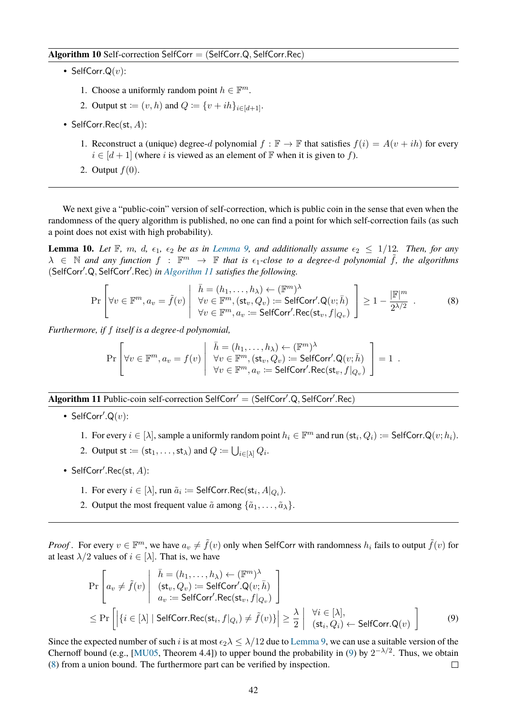- <span id="page-41-0"></span>• SelfCorr.Q(*v*):
	- 1. Choose a uniformly random point  $h \in \mathbb{F}^m$ .
	- 2. Output st :=  $(v, h)$  and  $Q := \{v + ih\}_{i \in [d+1]}$ .
- SelfCorr.Rec(st*, A*):
	- 1. Reconstruct a (unique) degree-*d* polynomial  $f : \mathbb{F} \to \mathbb{F}$  that satisfies  $f(i) = A(v + ih)$  for every  $i \in [d+1]$  (where *i* is viewed as an element of  $\mathbb{F}$  when it is given to *f*).
	- 2. Output *f*(0).

We next give a "public-coin" version of self-correction, which is public coin in the sense that even when the randomness of the query algorithm is published, no one can find a point for which self-correction fails (as such a point does not exist with high probability).

**Lemma 10.** *Let*  $\mathbb{F}$ *, m, d,*  $\epsilon_1$ *,*  $\epsilon_2$  *be as in Lemma 9, and additionally assume*  $\epsilon_2 \leq 1/12$ *. Then, for any*  $\lambda \in \mathbb{N}$  *and any function*  $f : \mathbb{F}^m \to \mathbb{F}$  *that is*  $\epsilon_1$ *-close to a degree-d polynomial*  $\tilde{f}$ *, the algorithms* (SelfCorr*′ .*Q*,* SelfCorr*′ .*Rec) *in Algorithm 11 satisfies the following.* Let  $\mathbb{F}$ ,  $m$ ,  $d$ ,  $\epsilon_1$ ,  $\epsilon_2$  be

$$
\Pr\left[\forall v \in \mathbb{F}^m, a_v = \tilde{f}(v) \middle| \begin{array}{l} \bar{h} = (h_1, \dots, h_\lambda) \leftarrow (\mathbb{F}^m)^\lambda \\ \forall v \in \mathbb{F}^m, (\mathsf{st}_v, Q_v) := \mathsf{SelfCorr'.Q}(v; \bar{h}) \\ \forall v \in \mathbb{F}^m, a_v := \mathsf{SelfCorr'.Rec}(\mathsf{st}_v, f|_{Q_v}) \end{array} \right] \ge 1 - \frac{|\mathbb{F}|^m}{2^{\lambda/2}} \ . \tag{8}
$$

<span id="page-41-2"></span>*Furthermore, if f itself is a degree-d polynomial,* 

$$
\Pr\left[\forall v \in \mathbb{F}^m, a_v = f(v) \left| \begin{array}{l} \bar{h} = (h_1, \dots, h_\lambda) \leftarrow (\mathbb{F}^m)^\lambda \\ \forall v \in \mathbb{F}^m, (\text{st}_v, Q_v) := \text{SelfCorr}'.\mathsf{Q}(v; \bar{h}) \\ \forall v \in \mathbb{F}^m, a_v := \text{SelfCorr}'.\text{Rec}(\text{st}_v, f|_{Q_v}) \end{array} \right] = 1.
$$

**Algorithm 11** Public-coin self-correction SelfCorr*′* = (SelfCorr*′* .Q*,* SelfCorr*′* .Rec) ∪

- <span id="page-41-1"></span>• SelfCorr*′* .Q(*v*):
	- 1. For every  $i \in [\lambda]$ , sample a uniformly random point  $h_i \in \mathbb{F}^m$  and run  $(\mathsf{st}_i, Q_i) \coloneqq \mathsf{SelfCorr.Q}(v; h_i)$ .
	- 2. Output st  $\coloneqq (\mathsf{st}_1, \dots, \mathsf{st}_\lambda)$  and  $Q \coloneqq \bigcup_{i \in [\lambda]} Q_i$ .
- SelfCorr*′* .Rec(st*, A*):

Ξ

1. For every  $i \in [\lambda]$ , run  $\tilde{a}_i \coloneqq \mathsf{SelfCorr}.\mathsf{Rec}(\mathsf{st}_i, A|_{Q_i})$ .

Ξ

2. Output the most frequent value  $\tilde{a}$  among  $\{\tilde{a}_1, \ldots, \tilde{a}_\lambda\}$ .

*Proof*. For every  $v \in \mathbb{F}^m$ , we have  $a_v \neq \tilde{f}(v)$  only when SelfCorr with randomness  $h_i$  fails to output  $\tilde{f}(v)$  for at least  $\lambda/2$  values of  $i \in [\lambda]$ . That is, we have

$$
\Pr\left[a_v \neq \tilde{f}(v) \middle| \begin{array}{l} \bar{h} = (h_1, \ldots, h_\lambda) \leftarrow (\mathbb{F}^m)^\lambda \\ (\text{st}_v, Q_v) := \text{SelfCorr}'.\mathsf{Rec}(\text{st}_v, \bar{h}) \\ a_v := \text{SelfCorr}'.\mathsf{Rec}(\text{st}_v, f|_{Q_v}) \end{array}\right\}\n\leq \Pr\left[\left|\left\{i \in [\lambda] \mid \text{SelfCorr.Rec}(\text{st}_i, f|_{Q_i}) \neq \tilde{f}(v)\right\}\right| \geq \frac{\lambda}{2} \left| \begin{array}{l} \forall i \in [\lambda], \\ (\text{st}_i, Q_i) \leftarrow \text{SelfCorr.Q}(v) \end{array}\right]\n\right]
$$
\n(9)

Ξ

Since the expected number of such *i* is at most  $\epsilon_2 \lambda \leq \lambda/12$  due to Lemma 9, we can use a suitable version of the Chernoff bound (e.g., [MU05, Theorem 4.4]) to upper bound the probability in (9) by  $2^{-\lambda/2}$ . Thus, we obtain (8) from a union bound. The furthermore part can be verified by inspection.  $\Box$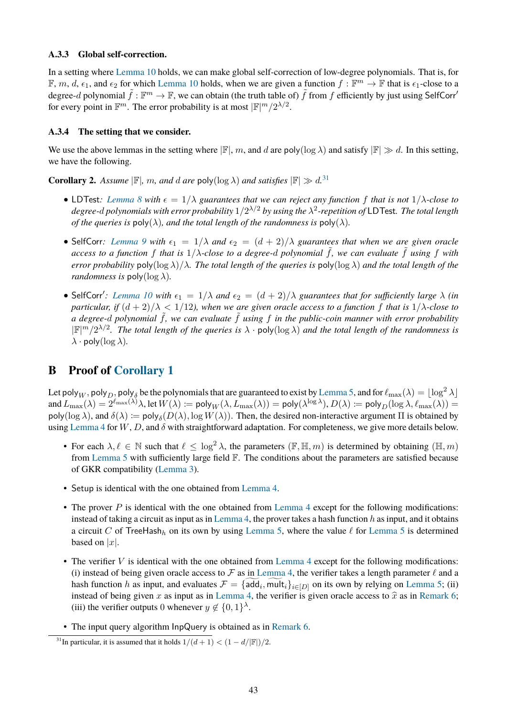#### **A.3.3 Global self-correction.**

In a setting where Lemma 10 holds, we can make global self-correction of low-degree polynomials. That is, for  $\mathbb{F}, m, d, \epsilon_1$ , and  $\epsilon_2$  for which Lemma 10 holds, when we are given a function  $f : \mathbb{F}^m \to \mathbb{F}$  that is  $\epsilon_1$ -close to a degree- $d$  polynomial  $\tilde{f}:\mathbb{F}^m\to\mathbb{F},$  we can obtain (the truth table of)  $\tilde{f}$  from  $f$  efficiently by just using SelfCorr $'$ for every point in  $\mathbb{F}^m$ [. The er](#page-41-2)ror probability is at most  $|\mathbb{F}|^m/2^{\lambda/2}$ .

#### **A.3.4 The setting that we [consider.](#page-41-2)**

We use the above lemmas in the setting where  $|F|, m$ , and *d* are poly(log  $\lambda$ ) and satisfy  $|F| \gg d$ . In this setting, we have the following.

**Corollary 2.** Assume  $|\mathbb{F}|$ , *m*, and *d* are poly(log  $\lambda$ ) and satisfies  $|\mathbb{F}| \gg d$ .<sup>31</sup>

- <span id="page-42-1"></span>• LDTest: *Lemma 8 with*  $\epsilon = 1/\lambda$  *guarantees that we can reject any function f that is not*  $1/\lambda$ *-close to degree-d polynomials with error probability* 1*/*2 *λ/*<sup>2</sup> *by using the λ* 2 *-repetition of* LDTest*. The total length of the queries is*  $poly(\lambda)$  $poly(\lambda)$ *, and the total length of the randomness is*  $poly(\lambda)$ *.*
- SelfCorr: *Lemma* 9 with  $\epsilon_1 = 1/\lambda$  and  $\epsilon_2 = (d+2)/\lambda$  guarantees that when we are given oracle *access to a function*  $f$  *that is*  $1/\lambda$ -*close to a degree-d polynomial*  $\tilde{f}$ *, we can evaluate*  $\tilde{f}$  *using*  $f$  *with error probability* poly $(\log \lambda)/\lambda$ *. The total length of the queries is* poly $(\log \lambda)$  *and the total length of the randomness is* [poly](#page-40-3)( $log \lambda$ ).
- SelfCorr<sup>'</sup>: *Lemma 10* with  $\epsilon_1 = 1/\lambda$  and  $\epsilon_2 = (d+2)/\lambda$  guarantees that for sufficiently large  $\lambda$  (in *particular, if*  $(d+2)/\lambda < 1/12$ *), when we are given oracle access to a function f that is*  $1/\lambda$ *-close to a* degree-*d* polynomial  $\tilde{f}$ , we can evaluate  $\tilde{f}$  using  $f$  in the public-coin manner with error probability *|*F*| <sup>m</sup>/*2 *λ/*2 *[. The total](#page-41-2) length of the queries is λ ·* poly(log *λ*) *and the total length of the randomness is*  $\lambda \cdot \text{poly}(\log \lambda)$ .

# **B Proof of Corollary 1**

<span id="page-42-0"></span>Let poly<sub>*W*</sub>, poly<sub>*D*</sub>, poly<sub>*δ*</sub> be the polynomials that are guaranteed to exist by Lemma 5, and for  $\ell_{\max}(\lambda) = |\log^2 \lambda|$  $\text{and } L_{\max}(\lambda) = 2^{\ell_{\max}(\lambda)}\lambda, \text{let } W(\lambda) \coloneqq \text{poly}_W(\lambda, L_{\max}(\lambda)) = \text{poly}(\lambda^{\log \lambda}), D(\lambda) \coloneqq \text{poly}_D(\log \lambda, \ell_{\max}(\lambda)) = 0$  $poly(log \lambda)$  $poly(log \lambda)$ , and  $\delta(\lambda) := poly_{\delta}(D(\lambda), log W(\lambda))$ . Then, the desired non-interactive argument  $\Pi$  is obtained by using Lemma 4 for  $W$ ,  $D$ , and  $\delta$  with straightforward adaptation. For com[pleteness,](#page-15-1) we give more details below.

- For each  $\lambda, \ell \in \mathbb{N}$  such that  $\ell \leq \log^2 \lambda$ , the parameters  $(\mathbb{F}, \mathbb{H}, m)$  is determined by obtaining  $(\mathbb{H}, m)$ from Lemma 5 with sufficiently large field  $\mathbb F$ . The conditions about the parameters are satisfied because [of GKR c](#page-14-0)ompatibility (Lemma 3).
- Setup is identical with the one obtained from Lemma 4.
- The [prover](#page-15-1) *P* is identi[cal with th](#page-13-4)e one obtained from Lemma 4 except for the following modifications: instead of taking a circuit as input as in Lemma 4, the prover takes a hash function *h* as input, and it obtains a circuit *C* of TreeHash*<sup>h</sup>* on its own by using [Lemma 5](#page-14-0), where the value *ℓ* for Lemma 5 is determined based on  $|x|$ .
- The verifier *V* is identical with the on[e obtained](#page-14-0) from Lemma 4 except for the following modifications: (i) instead of being given oracle access to  $\mathcal F$  as in [Lemma](#page-15-1) 4, the verifier takes a [length par](#page-15-1)ameter  $\ell$  and a hased on |x|.<br>The verifier *V* is identical with the one obtained from Lemma 4 except for the followin[g](#page-14-0) modifications:<br>(i) instead of being given oracle access to *F* as in Lemma 4, the verifier takes a length parameter The verifier *V* is identical with the one obtained from Lemma 4 except for the following modifications:<br>(i) instead of being given oracle access to *F* as in Lemma 4, the verifier takes a length parameter  $\ell$  and a<br>hash (iii) the verifier outputs 0 whenever  $y \notin \{0, 1\}^{\lambda}$ .
- The input query algorithm InpQuery is obtained as in Remark 6.

<span id="page-42-2"></span> $31$ In particular, it is assumed that it holds  $1/(d+1) < (1 - d/|\mathbb{F}|)/2$  $1/(d+1) < (1 - d/|\mathbb{F}|)/2$  $1/(d+1) < (1 - d/|\mathbb{F}|)/2$ .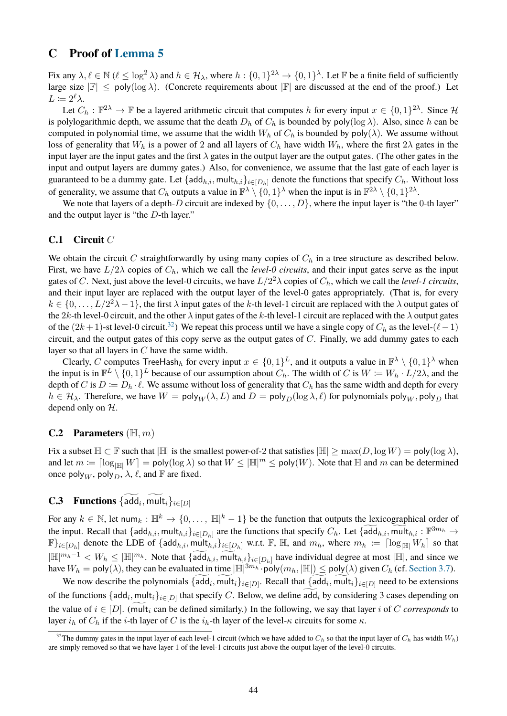## **C Proof of Lemma 5**

Fix any  $\lambda, \ell \in \mathbb{N}$  ( $\ell \le \log^2 \lambda$ ) and  $h \in \mathcal{H}_\lambda$ , where  $h: \{0,1\}^{2\lambda} \to \{0,1\}^{\lambda}$ . Let  $\mathbb F$  be a finite field of sufficiently large size  $|\mathbb{F}| \le \text{poly}(\log \lambda)$  $|\mathbb{F}| \le \text{poly}(\log \lambda)$  $|\mathbb{F}| \le \text{poly}(\log \lambda)$ . (Concrete requirements about  $|\mathbb{F}|$  are discussed at the end of the proof.) Let  $L \coloneqq 2^{\ell} \lambda$ .

<span id="page-43-0"></span>Let  $C_h: \mathbb{F}^{2\lambda} \to \mathbb{F}$  be a layered arithmetic circuit that computes *h* for every input  $x \in \{0,1\}^{2\lambda}$ . Since  $\mathcal{H}$ is polylogarithmic depth, we assume that the death  $D_h$  of  $C_h$  is bounded by poly(log  $\lambda$ ). Also, since  $h$  can be computed in polynomial time, we assume that the width  $W_h$  of  $C_h$  is bounded by poly( $\lambda$ ). We assume without loss of generality that  $W_h$  is a power of 2 and all layers of  $C_h$  have width  $W_h$ , where the first  $2\lambda$  gates in the input layer are the input gates and the first  $\lambda$  gates in the output layer are the output gates. (The other gates in the input and output layers are dummy gates.) Also, for convenience, we assume that the last gate of each layer is guaranteed to be a dummy gate. Let  $\{add_{h,i}, mult_{h,i}\}_{i \in [D_h]}$  denote the functions that specify  $C_h$ . Without loss of generality, we assume that  $C_h$  outputs a value in  $\mathbb{F}^\lambda \setminus \{0,1\}^\lambda$  when the input is in  $\mathbb{F}^{2\lambda} \setminus \{0,1\}^{2\lambda}$ .

We note that layers of a depth-*D* circuit are indexed by  $\{0, \ldots, D\}$ , where the input layer is "the 0-th layer" and the output layer is "the *D*-th layer."

#### **C.1 Circuit** *C*

<span id="page-43-1"></span>We obtain the circuit *C* straightforwardly by using many copies of *C<sup>h</sup>* in a tree structure as described below. First, we have  $L/2\lambda$  copies of  $C_h$ , which we call the *level-0 circuits*, and their input gates serve as the input gates of *C*. Next, just above the level-0 circuits, we have  $L/2^2 \lambda$  copies of  $C_h$ , which we call the *level-1 circuits*, and their input layer are replaced with the output layer of the level-0 gates appropriately. (That is, for every  $k \in \{0, \ldots, L/2^2\lambda - 1\}$ , the first  $\lambda$  input gates of the *k*-th level-1 circuit are replaced with the  $\lambda$  output gates of the 2*k*-th level-0 circuit, and the other  $\lambda$  input gates of the *k*-th level-1 circuit are replaced with the  $\lambda$  output gates of the  $(2k + 1)$ -st level-0 circuit.<sup>32</sup>) We repeat this process until we have a single copy of  $C_h$  as the level- $(\ell - 1)$ circuit, and the output gates of this copy serve as the output gates of *C*. Finally, we add dummy gates to each layer so that all layers in *C* have the same width.

Clearly, *C* computes TreeH[ash](#page-43-2)<sub>h</sub> for every input  $x \in \{0,1\}^L$ , and it outputs a value in  $\mathbb{F}^{\lambda} \setminus \{0,1\}^{\lambda}$  when the input is in  $\mathbb{F}^L \setminus \{0,1\}^L$  because of our assumption about  $C_h$ . The width of  $C$  is  $W \coloneqq W_h \cdot L/2\lambda$ , and the depth of *C* is  $D := D_h \cdot \ell$ . We assume without loss of generality that  $C_h$  has the same width and depth for every  $h \in H_\lambda$ . Therefore, we have  $W = \text{poly}_W(\lambda, L)$  and  $D = \text{poly}_D(\log \lambda, \ell)$  for polynomials  $\text{poly}_W$ , poly<sub>D</sub> that depend only on *H*.

#### **C.2 Parameters** (H*, m*)

Fix a subset  $\mathbb{H} \subset \mathbb{F}$  such that  $|\mathbb{H}|$  is the smallest power-of-2 that satisfies  $|\mathbb{H}| > \max(D, \log W) = \text{poly}(\log \lambda)$ , and let  $m := \lceil \log_{|\mathbb{H}|} W \rceil = \text{poly}(\log \lambda)$  so that  $W \leq |\mathbb{H}|^m \leq \text{poly}(W)$ . Note that  $\mathbb H$  and  $m$  can be determined once poly<sub>*W*</sub>, poly<sub>*D*</sub>,  $\lambda$ ,  $\ell$ , and **F** are fixed. **Fix a subset**  $\mathbb{H} \subset \mathbb{F}$  such that  $|\mathbb{H}|$  is the and let  $m := \lceil \log_{|\mathbb{H}|} W \rceil = \text{poly}(\log \lambda)$ <br>once  $\text{poly}_W$ ,  $\text{poly}_D$ ,  $\lambda$ ,  $\ell$ , and  $\mathbb{F}$  are fix **C.3 Functions**  $\{ \widetilde{\text{add}}_i, \widetilde{\text{mult}}_i \}_{i \in [D]}$ 

For any  $k \in \mathbb{N}$ , let num $_k: \mathbb{H}^k \to \{0, \ldots, |\mathbb{H}|^k-1\}$  be the function that outputs the lexicographical order of **C.3** Functions  $\{ \widetilde{\text{add}}_i, \widetilde{\text{mult}}_i \}_{i \in [D]}$ <br>For any  $k \in \mathbb{N}$ , let num<sub>k</sub>:  $\mathbb{H}^k \to \{0, ..., |\mathbb{H}|^k - 1\}$  be the function that outputs the lexicographical order of<br>the input. Recall that  $\{ \text{add}_{h,i}, \text{mult}_{h,i} \}_{i \in$  $\mathbb{F}_{i\in[D_h]}$  denote the LDE of  $\{\text{add}_{h,i}, \text{mult}_{h,i}\}_{i\in[D_h]}$  w.r.t.  $\mathbb{F}, \mathbb{H}$ , and  $m_h$ , where  $m_h := \lceil \log_{|\mathbb{H}|} W_h \rceil$  so that *|*H*| <sup>m</sup>h−*<sup>1</sup> *< W<sup>h</sup> ≤ |*H*| m*<sub>*h*</sub> :  $\mathbb{H}^k \to \{0, ..., |\mathbb{H}|^k - 1\}$  be the function that outputs the lexicographical order of  $\text{add}_{h,i}$ , mult<sub>*h*,*i*</sub>}<sub>*i*∈[*D<sub><i>h*</sub>]</sub> are the functions that specify *C<sub>h</sub>*. Let { $\text{add}_{h,i}$ , mult<sub>*h*,*i*</sub> :  $\mathbb{F$ have  $W_h = \text{poly}(\lambda)$ , they can be evaluated in time  $|\mathbb{H}|^{3m_h}$  poly $(m_h, |\mathbb{H}|) \le \text{poly}(\lambda)$  given  $C_h$  (cf. Section 3.7).  $E[D_h]$  denote the LDE of  $\{add_{h,i}, \text{mult}_{h,i}\}_{i \in [D_h]}$  w.r.t.  $\mathbb{F}$ ,  $\mathbb{H}$ , and  $m_h$ , where  $m_h := \lceil \log_{|\mathbb{H}|} W_h \rceil$  so that  $n_h - 1 < W_h \leq |\mathbb{H}|^{m_h}$ . Note that  $\{\overline{add}_{h,i}, \text{mult}_{h,i}\}_{i \in [D_h]}$  have individual degree at most at  $\{\overline{\text{add}}_{h,i}, \overline{\text{mult}}_{h,i}\}_{i \in [D_h]}$  have individual degree at most  $|\mathbb{H}|$ , and since we luated in time  $|\mathbb{H}|^{3m_h} \cdot \text{poly}(m_h, |\mathbb{H}|) \le \text{poly}(\lambda)$  given  $C_h$  (cf. Section 3.7).<br>als  $\{\overline{\text{add}}_i, \overline{\text{mult}}_i\}_{i \in [D]}$ . Reca

of the functions *{*add*<sup>i</sup> ,* mult*i}i∈*[*D*] We now describe the polynomials  $\{add_i, mult_i\}_{i \in [D]}$ . Recall that  $\{add_i, mult_i\}_{i \in [D]}$  need to be extensions of the functions  $\{add_i, mult_i\}_{i \in [D]}$  that specify *C*. Below, we define  $add_i$  by considering 3 cases depending on the val layer  $i_h$  of  $C_h$  if the *i*-th layer of  $C$  is the  $i_h$ -th layer of the level- $\kappa$  circuits for some  $\kappa$ .

<span id="page-43-2"></span><sup>&</sup>lt;sup>32</sup>The dummy gates in the input layer of each level-1 circuit (which we have added to  $C_h$  so that the input layer of  $C_h$  has width  $W_h$ ) are simply removed so that we have layer 1 of the level-1 circuits just above the output layer of the level-0 circuits.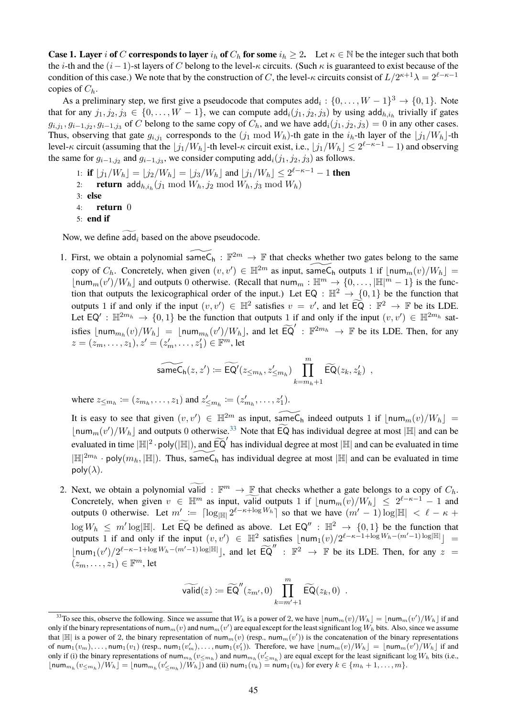**Case 1.** Layer i of C corresponds to layer  $i_h$  of  $C_h$  for some  $i_h \geq 2$ . Let  $\kappa \in \mathbb{N}$  be the integer such that both the *i*-th and the  $(i-1)$ -st layers of *C* belong to the level- $\kappa$  circuits. (Such  $\kappa$  is guaranteed to exist because of the condition of this case.) We note that by the construction of *C*, the level- $\kappa$  circuits consist of  $L/2^{\kappa+1}\lambda = 2^{\ell-\kappa-1}$ copies of *Ch*.

As a preliminary step, we first give a pseudocode that computes  $\text{add}_i: \{0, \ldots, W - 1\}^3 \to \{0, 1\}$ . Note that for any  $j_1, j_2, j_3 \in \{0, \ldots, W - 1\}$ , we can compute  $\text{add}_i(j_1, j_2, j_3)$  by using  $\text{add}_{h, i_h}$  trivially if gates  $g_{i,j_1}, g_{i-1,j_2}, g_{i-1,j_3}$  of C belong to the same copy of  $C_h$ , and we have  $\text{add}_i(j_1, j_2, j_3) = 0$  in any other cases. Thus, observing that gate  $g_{i,j_1}$  corresponds to the  $(j_1 \mod W_h)$ -th gate in the  $i_h$ -th layer of the  $\lfloor j_1/W_h \rfloor$ -th level- $\kappa$  circuit (assuming that the  $\lfloor j_1/W_h\rfloor$ -th level- $\kappa$  circuit exist, i.e.,  $\lfloor j_1/W_h\rfloor\leq 2^{\ell-\kappa-1}-1$ ) and observing the same for  $g_{i-1,j_2}$  and  $g_{i-1,j_3}$ , we consider computing add $_i(j_1, j_2, j_3)$  as follows.

- 1: **if**  $\lfloor j_1/W_h \rfloor = \lfloor j_2/W_h \rfloor = \lfloor j_3/W_h \rfloor$  and  $\lfloor j_1/W_h \rfloor \leq 2^{\ell \kappa 1} 1$  then 2: **return**  $\operatorname{\sf add}_{h,i_h}(j_1 \bmod W_h, j_2 \bmod W_h, j_3 \bmod W_h)$ 3: **else** 4: **return** 0
- 5: **end if**

Now, we define  $add_i$  based on the above pseudocode.

1. First, we obtain a polynomial same  $C_h : \mathbb{F}^{2m} \to \mathbb{F}$  that checks whether two gates belong to the same copy of  $C_h$ . Concretely, when given  $(v, v') \in \mathbb{H}^{2m}$  as input, sameC<sub>h</sub> outputs 1 if  $\lfloor \text{num}_m(v)/W_h \rfloor =$  $\lfloor \text{num}_m(v')/W_h \rfloor$  and outputs 0 otherwise. (Recall that  $\text{num}_m : \mathbb{H}^m \to \{0, \ldots, |\mathbb{H}|^m - 1\}$  is the function that outputs the lexicographical order of the input.) Let  $EQ : \mathbb{H}^2 \to \{0,1\}$  be the function that copy of  $C_h$ . Concretely, when given  $(v, v') \in \mathbb{H}^{2m}$  as input, same $C_h$  outputs 1 if  $\lfloor num_m(v)/W_h \rfloor$  =  $\lfloor num_m(v')/W_h \rfloor$  and outputs 0 otherwise. (Recall that  $num_m : \mathbb{H}^m \to \{0, ..., |\mathbb{H}|^m - 1\}$  is the function that output Let  $EQ'$ :  $\mathbb{H}^{2m_h} \to \{0,1\}$  be the function that outputs 1 if and only if the input  $(v, v') \in \mathbb{H}^{2m_h}$  sattion that outputs the lexicographical order whose. (recent that  $\lim_{n \to \infty} n \leq 1$ ,  $\lim_{n \to \infty} n \leq 1$ ) is the function that outputs 1 if and only if the input  $(v, v') \in \mathbb{H}^2$  satisfies  $v = v'$ , and let  $\widehat{\mathsf{EQ}} : \mathbb{F}^$  $z = (z_m, \ldots, z_1), z' = (z'_m, \ldots, z'_1) \in \mathbb{F}^m$ , let

$$
\widetilde{\mathsf{sameC}}_{\mathsf{h}}(z,z') \coloneqq \widetilde{\mathsf{EQ}'}(z_{\leq m_h}, z'_{\leq m_h}) \prod_{k=m_h+1}^m \widetilde{\mathsf{EQ}}(z_k, z'_k) ,
$$

where  $z_{\leq m_h} := (z_{m_h}, \ldots, z_1)$  and  $z'_{\leq m_h} := (z'_{m_h}, \ldots, z'_1)$ .

It is easy to see that given  $(v, v') \in \mathbb{H}^{2m}$  as input, sameC<sub>h</sub> indeed outputs 1 if  $\lfloor \text{num}_m(v)/W_h \rfloor =$  $\lfloor$ num $_m(v')$  $\begin{aligned} \n\mathcal{L}_{n_h} &:= (z_{m_h}, \dots, z_1) \text{ and } z'_{\leq m_h} := (z'_{m_h}, \dots, z'_1). \n\end{aligned}$ to see that given  $(v, v') \in \mathbb{H}^{2m}$  as input, sameC<sub>h</sub> indeed outputs 1 if  $\lfloor \text{num}_m(v)/W_h \rfloor = 1/W_h$  and outputs 0 otherwise.<sup>33</sup> Note that  $\widetilde{\text{EQ}}$ evaluated in time  $|\Bbb{H}|^2\cdot$  poly $(|\Bbb{H}|)$ , and  $\widehat{\sf EQ}'$  has individual degree at most  $|\Bbb{H}|$  and can be evaluated in time  $\therefore$  *i*,  $z_1$ ) and  $z'_{\leq m_h}$   $\therefore$ <br>given  $(v, v') \in \mathbb{H}^2$ <br>outputs 0 otherwise<br> $\cdot$  poly( $|\mathbb{H}|$ ), and  $\widetilde{\mathsf{EQ}}'$  $|H|^{2m_h}$  *·* poly $(m_h, |H|)$ . Thus, sameC<sub>h</sub> has individual degree at most  $|H|$  and can be evaluated in time poly $(\lambda)$ . evaluated in time  $|\mathbb{H}|^2 \cdot \text{poly}(|\mathbb{H}|)$ , and EQ<br>  $|\mathbb{H}|^{2m_h} \cdot \text{poly}(m_h, |\mathbb{H}|)$ . Thus, same  $C_h$  is poly( $\lambda$ ).<br>
2. Next, we obtain a polynomial valid :  $\mathbb{F}$ 

 $^{m}$   $\rightarrow$   $\mathbb{F}$  that checks whether a gate belongs to a copy of  $C_h$ .  $|\mathbb{H}|^{2m_h} \cdot \text{poly}(m_h, |\mathbb{H}|)$ . Thus, sameC<sub>h</sub> has individual degree at most  $|\mathbb{H}|$  and can be ev<br>poly( $\lambda$ ).<br>Next, we obtain a polynomial valid :  $\mathbb{F}^m \to \mathbb{F}$  that checks whether a gate belongs to<br>Concretely, whe Concretely, when given  $v \in \mathbb{H}^m$  as input, valid outputs 1 if  $|num_m(v)/W_h| \leq 2^{\ell - \kappa - 1} - 1$  and outputs 0 otherwise. Let  $m' := \lceil \log_{\vert \mathbb{H} \vert} 2^{\ell - \kappa + \log W_h} \rceil$  so that we have  $(m' - 1) \log \lvert \mathbb{H} \rvert < \ell - \kappa +$ Next, we obtain a polynomial valid :  $\mathbb{F}^m \to \mathbb{F}$  that checks whether a gate belongs to a copy of  $C_h$ .<br>Concretely, when given  $v \in \mathbb{H}^m$  as input, valid outputs 1 if  $\lfloor \text{num}_m(v)/W_h \rfloor \le 2^{\ell - \kappa - 1} - 1$  and outp outputs 1 if and only if the input  $(v, v') \in \mathbb{H}^2$  satisfies  $\lfloor \text{num}_1(v)/2^{\ell - \kappa - 1 + \log W_h - (m' - 1)\log|\mathbb{H}|} \rfloor =$ outputs 0 otherwise. Let  $m' := \lceil \log_{\lceil \frac{n}{2} \rceil} 2^{\ell - \kappa + \log W_h} \rceil$  so that we have  $(m' - 1) \log |\mathbb{H}| < \ell - \kappa + \log W_h \le m' \log |\mathbb{H}|$ . Let  $\widetilde{\mathsf{EQ}}$  be defined as above. Let  $\mathsf{EQ}'' : \mathbb{H}^2 \to \{0,1\}$  be the function that outp  $(z_m, \ldots, z_1) \in \mathbb{F}^m$ , let **i**  $(v, v') \in \mathbb{H}^2$  satisfies  $\lfloor \text{num}_1(v)/2^{c_1} \rfloor$ <br>  $v'^{-1)\log|\mathbb{H}|}$ , and let  $\widetilde{\text{EQ}}'' : \mathbb{F}^2 \to \mathbb{F}$  be i<br>  $\widetilde{\text{valid}}(z) := \widetilde{\text{EQ}}''(z_{m'}, 0)$   $\prod_{k=1}^{m} \widetilde{\text{EQ}}(z_k, 0)$ .

$$
\widetilde{\mathsf{valid}}(z) \coloneqq \widetilde{\mathsf{EQ}}''(z_{m'}, 0) \prod_{k=m'+1}^{m} \widetilde{\mathsf{EQ}}(z_k, 0)
$$

<sup>&</sup>lt;sup>33</sup>To see this, observe the following. Since we assume that  $W_h$  is a power of 2, we have  $\lfloor \mathsf{num}_m(v)/W_h \rfloor = \lfloor \mathsf{num}_m(v')/W_h \rfloor$  if and only if the binary representations of num<sub>*m*</sub> (*v*) and num<sub>*m*</sub> (*v'* ) are equal except for the least significant log  $W_h$  bits. Also, since we assume that  $|\mathbb{H}|$  is a power of 2, the binary representation of  $\text{num}_m(v)$  (resp.,  $\text{num}_m(v')$ ) is the concatenation of the binary representations of num<sub>1</sub> $(v_m)$ ,..., num<sub>1</sub> $(v_1)$  (resp., num<sub>1</sub> $(v'_m)$ ,..., num<sub>1</sub> $(v'_1)$ ). Therefore, we have  $\lfloor \text{num}_m(v)/W_h \rfloor = \lfloor \text{num}_m(v')/W_h \rfloor$  if and only if (i) the binary representations of num $_{m_h}(v_{\leq m_h})$  and num $_{m_h}(v_{\leq m_h}')$  are equal except for the least significant  $\log W_h$  bits (i.e.,  $\lfloor \text{num}_{m_h}(v_{\leq m_h})/W_h \rfloor = \lfloor \text{num}_{m_h}(v'_{\leq m_h})/W_h \rfloor$ ) and (ii)  $\text{num}_1(v_k) = \text{num}_1(v_k)$  for every  $k \in \{m_h + 1, \ldots, m\}$ .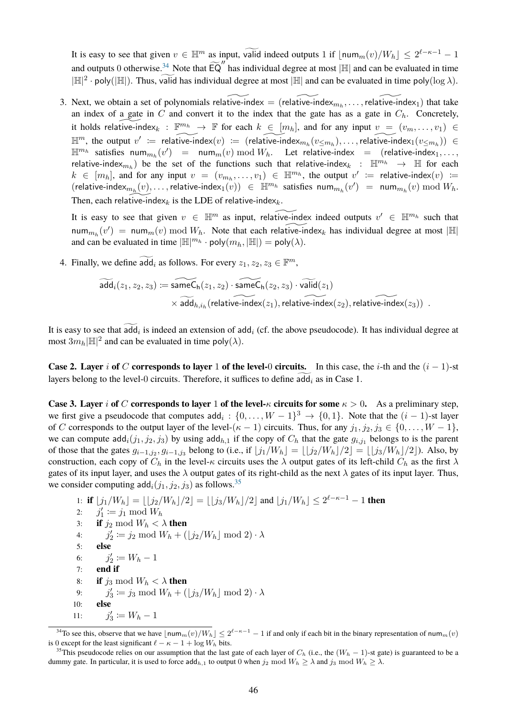It is easy to see that given  $v \in \mathbb{H}^m$  as input, valid indeed outputs 1 if  $\lfloor \text{num}_m(v)/W_h \rfloor \leq 2^{\ell - \kappa - 1} - 1$ It is easy to see that given  $v \in \mathbb{H}^m$  as in and outputs 0 otherwise.<sup>34</sup> Note that  $\widetilde{\mathsf{EQ}}^{\prime\prime}$ and outputs 0 otherwise.<sup>34</sup> Note that  $\widetilde{\mathsf{EQ}}''$  has individual degree at most  $|\mathbb{H}|$  and can be evaluated in time *|*H*|* 2 *•* poly( $|H|$ ). Thus, valid has individual degree at most  $|H|$  and can be evaluated in time  $\cdot$  *poly*( $|H|$ ). Thus, valid has individual degree at most  $|H|$  and can be evaluated in time  $\cdot$  *poly*( $|H|$ ). Thus, val

3. Next, we obtain a set of [po](#page-45-0)lynomials relative-index  $=$  (relative-index<sub>*m<sub>h</sub></sub>,...,* relative-index<sub>1</sub>) that take</sub> an index of a gate in  $C$  and convert it to the index that the gate has as a gate in  $C_h$ . Concretely, it holds relative-index<sub>k</sub> :  $\mathbb{F}^{m_h} \to \mathbb{F}$  for each  $k \in [m_h]$ , and for any input  $v = (v_m, \ldots, v_1) \in$  $\mathbb{H}^m$ , the output  $v' \coloneqq$  relative-index $(v) \coloneqq$  (relative-index $_{m_h}(v_{\leq m_h}), \ldots$ , relative-index $_1(v_{\leq m_h})) \in$  $\mathbb{H}^{m_h}$  satisfies  $\mathsf{num}_{m_h}(v') = \mathsf{num}_m(v) \bmod W_h$ . Let relative-index  $=$  (relative-index<sub>1</sub>,...,  $r$  relative-index $m_h$ ) be the set of the functions such that relative-index $k$  :  $\mathbb{H}^{m_h} \to \mathbb{H}$  for each  $k \in [m_h]$ , and for any input  $v = (v_{m_h}, \ldots, v_1) \in \mathbb{H}^{m_h}$ , the output  $v' :=$  relative-index $(v) :=$  ${\rm (relative-index}_{m_h}(v),\ldots,{\rm relative-index}_1(v))$   $\in$   $\mathbb{H}^{m_h}$  satisfies  ${\rm num}_{m_h}(v')$  =  ${\rm num}_{m_h}(v) \bmod W_h$ . Then, each relative-index<sub>*k*</sub> is the LDE of relative-index<sub>*k*</sub>.

It is easy to see that given  $v \in \mathbb{H}^m$  as input, relative-index indeed outputs  $v' \in \mathbb{H}^{m_h}$  such that  $\lim_{m_h} (v') = \lim_{m_h} (v) \mod W_h$ . Note that each relative-index<sub>*k*</sub> has individual degree at most  $|\mathbb{H}|$ and can be evaluated in time  $|\mathbb{H}|^{m_h} \cdot \text{poly}(m_h, |\mathbb{H}|) = \text{poly}(\lambda)$ . 4. Finally, we define  $\overline{\text{add}}_i$  as follows. For every  $z_1, z_2, z_3 \in \mathbb{F}^m$ ,<br>4. Finally, we define  $\overline{\text{add}}_i$  as follows. For every  $z_1, z_2, z_3 \in \mathbb{F}^m$ ,

and can be evaluated in time 
$$
|\mathbb{H}|^{m_h} \cdot \text{poly}(m_h, |\mathbb{H}|) = \text{poly}(\lambda)
$$
.  
\n4. Finally, we define  $\overline{\text{add}}_i$  as follows. For every  $z_1, z_2, z_3 \in \mathbb{F}^m$ ,  
\n $\overline{\text{add}}_i(z_1, z_2, z_3) := \overline{\text{sameC}}_h(z_1, z_2) \cdot \overline{\text{sameC}}_h(z_2, z_3) \cdot \overline{\text{valid}}(z_1)$   
\n $\times \overline{\text{add}}_{h, i_h}(\text{relative-index}(z_1), \text{relative-index}(z_2), \text{relative-index}(z_3))$ .  
\nIt is easy to see that  $\overline{\text{add}}_i$  is indeed an extension of  $\text{add}_i$  (cf. the above pseudocode). It has individual degree at

 $\text{most } 3m_h|\mathbb{H}|^2$  and can be evaluated in time  $\text{poly}(\lambda)$ .

**Case 2. Layer** *i* **of** C **corresponds to layer** 1 **of the level**-0 **circuits.** In this case, the *i*-th and the  $(i - 1)$ -st layers belong to the level-0 circuits. Therefore, it suffices to define  $add_i$  as in Case 1.

**Case 3. Layer** *i* of *C* **corresponds to layer** 1 of the level- $\kappa$  **circuits for some**  $\kappa > 0$ . As a preliminary step, we first give a pseudocode that computes  $add_i: \{0, \ldots, W - 1\}^3 \rightarrow \{0, 1\}$ . Note that the  $(i - 1)$ -st layer of *C* corresponds to the output layer of the level- $(\kappa - 1)$  circuits. Thus, for any  $j_1, j_2, j_3 \in \{0, \ldots, W - 1\}$ , we can compute  $\text{add}_i(j_1, j_2, j_3)$  by using  $\text{add}_{h,1}$  if the copy of  $C_h$  that the gate  $g_{i,j_1}$  belongs to is the parent of those that the gates  $g_{i-1,j_2}, g_{i-1,j_3}$  belong to (i.e., if  $\lfloor j_1/W_h \rfloor = \lfloor \lfloor j_2/W_h \rfloor/2 \rfloor = \lfloor \lfloor j_3/W_h \rfloor/2 \rfloor$ ). Also, by construction, each copy of  $C_h$  in the level- $\kappa$  circuits uses the  $\lambda$  output gates of its left-child  $C_h$  as the first  $\lambda$ gates of its input layer, and uses the  $\lambda$  output gates of its right-child as the next  $\lambda$  gates of its input layer. Thus, we consider computing  $add_i(j_1, j_2, j_3)$  as follows.<sup>35</sup>

1: **if** 
$$
|j_1/W_h| = \lfloor j_2/W_h \rfloor/2 \rfloor = \lfloor j_3/W_h \rfloor/2 \rfloor
$$
 and  $|j_1/W_h| \leq 2^{\ell - \kappa - 1} - 1$  then 2:  $j'_1 := j_1 \mod W_h$ \n3: **if**  $j_2 \mod W_h < \lambda$  then 4:  $j'_2 := j_2 \mod W_h + (\lfloor j_2/W_h \rfloor \mod 2) \cdot \lambda$ \n5: **else**\n6:  $j'_2 := W_h - 1$ \n7: **end if**\n8: **if**  $j_3 \mod W_h < \lambda$  then 9:  $j'_3 := j_3 \mod W_h + (\lfloor j_3/W_h \rfloor \mod 2) \cdot \lambda$ \n10: **else**\n11:  $j'_3 := W_h - 1$ 

 $34$ To see this, observe that we have  $\lfloor \text{num}_m(v)/W_h \rfloor \leq 2^{\ell - \kappa - 1} - 1$  if and only if each bit in the binary representation of num<sub>m</sub> $(v)$ is 0 except for the least significant  $\ell - \kappa - 1 + \log W_h$  bits.

<span id="page-45-0"></span><sup>&</sup>lt;sup>35</sup>This pseudocode relies on our assumption that the last gate of each layer of  $C_h$  (i.e., the  $(W_h - 1)$ -st gate) is guaranteed to be a dummy gate. In particular, it is used to force  $\text{add}_{h,1}$  to output 0 when  $j_2 \mod W_h \geq \lambda$  and  $j_3 \mod W_h \geq \lambda$ .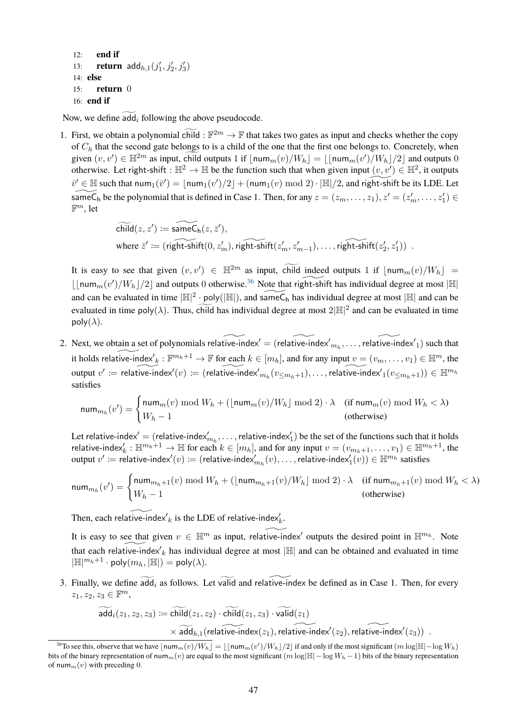```
12: end if
13: return \text{add}_{h,1}(j'_1, j'_2, j'_3)14: else
15: return 0
16: end if
```
Now, we define add, following the above pseudocode.

15: **return** 0<br>
16: **end if**<br>
Now, we define  $\overline{add}_i$  following the above pseudocode.<br>
1. First, we obtain a polynomial child :  $\mathbb{F}^{2m} \to \mathbb{F}$  that takes two gates as input and checks whether the copy of  $C_h$  that the second gate belongs to is a child of the one that the first one belongs to. Concretely, when book, we define  $\widetilde{\text{add}}_i$  following the above pseudocode.<br>First, we obtain a polynomial  $\widetilde{\text{child}}$ :  $\mathbb{F}^{2m} \to \mathbb{F}$  that takes two gates as input and checks whether the copy<br>of  $C_h$  that the second gate belongs otherwise. Let right-shift :  $\mathbb{H}^2 \to \mathbb{H}$  be the function such that when given input  $(v, v') \in \mathbb{H}^2$ , it outputs  $\bar{v}' \in \mathbb{H}$  such that num<sub>1</sub>( $\bar{v}'$ ) =  $\lfloor \text{num}_1(v')/2 \rfloor + (\text{num}_1(v) \bmod 2) \cdot |\mathbb{H}|/2$ , and right-shift be its LDE. Let sameC<sub>h</sub> be the polynomial that is defined in Case 1. Then, for any  $z = (z_m, \ldots, z_1), z' = (z'_m, \ldots, z'_1) \in$ F *<sup>m</sup>*, let that num<sub>1</sub><br>he polyno:<br>child  $(z, z^{\prime})$ 

$$
\widetilde{\text{child}}(z, z') := \widetilde{\text{sameC}}_{\text{h}}(z, \bar{z}'),
$$
\n
$$
\text{where } \bar{z}' := (\text{right-shift}(0, z'_m), \text{right-shift}(z'_m, z'_{m-1}), \dots, \text{right-shift}(z'_2, z'_1))
$$
\n
$$
\text{It is easy to see that given } (v, v') \in \mathbb{H}^{2m} \text{ as input, child indeed outputs 1 if } \lfloor \text{num}_m(v)/W_h \rfloor = 1 \text{ and } \text{if } \lfloor \text{num}_m(v)/W_h \rfloor = 1 \text{ and } \text{if } \lfloor \text{num}_m(v)/W_h \rfloor = 1 \text{ and } \text{if } \lfloor \text{num}_m(v)/W_h \rfloor = 1 \text{ and } \text{if } \lfloor \text{num}_m(v)/W_h \rfloor = 1 \text{ and } \text{if } \lfloor \text{num}_m(v)/W_h \rfloor = 1 \text{ and } \text{if } \lfloor \text{num}_m(v)/W_h \rfloor = 1 \text{ and } \text{if } \lfloor \text{num}_m(v)/W_h \rfloor = 1 \text{ and } \text{if } \lfloor \text{num}_m(v)/W_h \rfloor = 1 \text{ and } \text{if } \lfloor \text{num}_m(v)/W_h \rfloor = 1 \text{ and } \text{if } \lfloor \text{num}_m(v)/W_h \rfloor = 1 \text{ and } \text{if } \lfloor \text{num}_m(v)/W_h \rfloor = 1 \text{ and } \text{if } \lfloor \text{num}_m(v)/W_h \rfloor = 1 \text{ and } \text{if } \lfloor \text{num}_m(v)/W_h \rfloor = 1 \text{ and } \text{if } \lfloor \text{num}_m(v)/W_h \rfloor = 1 \text{ and } \text{if } \lfloor \text{num}_m(v)/W_h \rfloor = 1 \text{ and } \text{if } \lfloor \text{num}_m(v)/W_h \rfloor = 1 \text{ and } \text{if } \lfloor \text{num}_m(v)/W_h \rfloor = 1 \text{ and } \text{if } \lfloor \text{num}_m(v)/W_h \rfloor = 1 \text{ and } \text{if } \lfloor \text{num}_m(v)/W_h \rfloor = 1 \text{ and } \text{if } \lfloor \text{num}_m(v)/W_h \rfloor = 1 \text{ and }
$$

 $\lfloor \lfloor \text{num}_m(v')/W_h \rfloor/2 \rfloor$  and outputs 0 otherwise.<sup>36</sup> Note that right-shift has individual degree at most  $|\mathbb{H}|$ and can be evaluated in time  $|\mathbb{H}|^2 \cdot \text{poly}(|\mathbb{H}|)$ , and sameC<sub>h</sub> has individual degree at most  $|\mathbb{H}|$  and can be It is easy to see that given  $(v, v') \in \mathbb{H}^{2m}$  as input, child indeed out  $\lfloor \lfloor \text{num}_m(v')/W_h \rfloor/2 \rfloor$  and outputs 0 otherwise.<sup>36</sup> Note that right-shift has and can be evaluated in time  $|\mathbb{H}|^2 \cdot \text{poly}(|\mathbb{H}|)$ , and sam <sup>2</sup> and can be evaluated in time poly $(\lambda)$ .

2. Next, we obtain a set of polynomials relative-index<sup>*'*</sup> = (relative-index<sup>*'*</sup><sub>*m<sub>h</sub>*</sub>,..., relative-index<sup>*'*</sup><sub>1</sub>) such that it holds relative-index<sup>'</sup><sub>k</sub>:  $\mathbb{F}^{m_h+1} \to \mathbb{F}$  for each  $k \in [m_h]$ , and for any input  $v = (v_m, \ldots, v_1) \in \mathbb{H}^m$ , the output  $v':=$  relative-index' $(v)\coloneqq(\mathsf{relative\text{-}index'}_{m_h}(v_{\leq m_h+1}),\ldots,\mathsf{relative\text{-}index'}_1(v_{\leq m_h+1}))\in \mathbb{H}^{m_h}$ satisfies  $\widetilde{e}$  ive-ind<br>relativ<br> $\widetilde{e}$  =  $\begin{cases} 1 & \text{if } i \leq n \end{cases}$ 

$$
\mathsf{num}_{m_h}(v') = \begin{cases} \mathsf{num}_m(v) \bmod W_h + (\lfloor \mathsf{num}_m(v) / W_h \rfloor \bmod 2) \cdot \lambda & \text{(if } \mathsf{num}_m(v) \bmod W_h < \lambda) \\ W_h - 1 & \text{(otherwise)} \end{cases}
$$

Let relative-index'  $=$   $(\text{relative-index}_{m_h}', \ldots, \text{relative-index}_1')$  be the set of the functions such that it holds  $\mathsf{relative\text{-}index}'_k: \mathbb{H}^{m_h+1} \to \mathbb{H}$  for each  $k \in [m_h]$ , and for any input  $v = (v_{m_h+1}, \ldots, v_1) \in \mathbb{H}^{m_h+1}$ , the  $\text{output } v' \coloneqq \text{relative-index}'(v) \coloneqq (\text{relative-index}'_{m_h}(v), \ldots, \text{relative-index}'_1(v)) \in \mathbb{H}^{m_h} \text{ satisfies }$  $e$ -inde:<br>dex $'_{k}$  :<br>= rela<br>=  $\begin{pmatrix} 1 \\ 1 \end{pmatrix}$ 

$$
\operatorname{num}_{m_h}(v') = \begin{cases} \operatorname{num}_{m_h+1}(v) \bmod W_h + (\lfloor \operatorname{num}_{m_h+1}(v)/W_h \rfloor \bmod 2) \cdot \lambda & \text{(if } \operatorname{num}_{m_h+1}(v) \bmod W_h < \lambda) \\ W_h - 1 & \text{(otherwise)} \end{cases}
$$

Then, each relative-index<sup>*'*</sup><sub>*k*</sub> is the LDE of relative-index<sup>*'*</sup><sub>*k*</sub>.

It is easy to see that given  $v \in \mathbb{H}^m$  as input, relative-index<sup>*'*</sup> outputs the desired point in  $\mathbb{H}^{m_h}$ . Note that each relative-index<sup>'</sup><sub>k</sub> has individual degree at most  $|\mathbb{H}|$  and can be obtained and evaluated in time  $|\mathbb{H}|^{m_h+1} \cdot \text{poly}(m_h, |\mathbb{H}|) = \text{poly}(\lambda).$ 3. Finally, we define add<sub>*i*</sub> as follows. Let valid and relative-index be defined as in Case 1. Then, for every<br>3. Finally, we define add<sub>*i*</sub> as follows. Let valid and relative-index be defined as in Case 1. Then, for e

 $z_1, z_2, z_3 \in \mathbb{F}^m$ , we define  $\widetilde{\text{add}}_i$  as follows. Let valid and relative-index  $z_3 \in \mathbb{F}^m$ ,<br> $\widetilde{\text{add}}_i(z_1, z_2, z_3) := \widetilde{\text{child}}(z_1, z_2) \cdot \widetilde{\text{child}}(z_1, z_3) \cdot \widetilde{\text{valid}}(z_1)$ 

we define 
$$
\text{ad}a_i
$$
 as follows. Let  $\text{vand and feature-index } \in \text{defined as in } \text{Case 1. Then, for}$   
\n $23 \in \mathbb{F}^m$ ,  
\n $\text{add}_i(z_1, z_2, z_3) := \widetilde{\text{child}}(z_1, z_2) \cdot \widetilde{\text{child}}(z_1, z_3) \cdot \widetilde{\text{valid}}(z_1)$   
\n $\times \widetilde{\text{add}}_{h,1}(\text{relative-index}(z_1), \text{relative-index}'(z_2), \text{relative-index}'(z_3))$ .

<sup>&</sup>lt;sup>36</sup>To see this, observe that we have  $\lfloor \mathsf{num}_m(v)/W_h \rfloor = \lfloor \lfloor \mathsf{num}_m(v')/W_h \rfloor/2 \rfloor$  if and only if the most significant  $(m \log |\mathbb{H}| - \log W_h)$ bits of the binary representation of num<sub>*m*</sub>(*v*) are equal to the most significant  $(m \log |H| - \log W_h - 1)$  bits of the binary representation of  $\text{num}_m(v)$  with preceding 0.